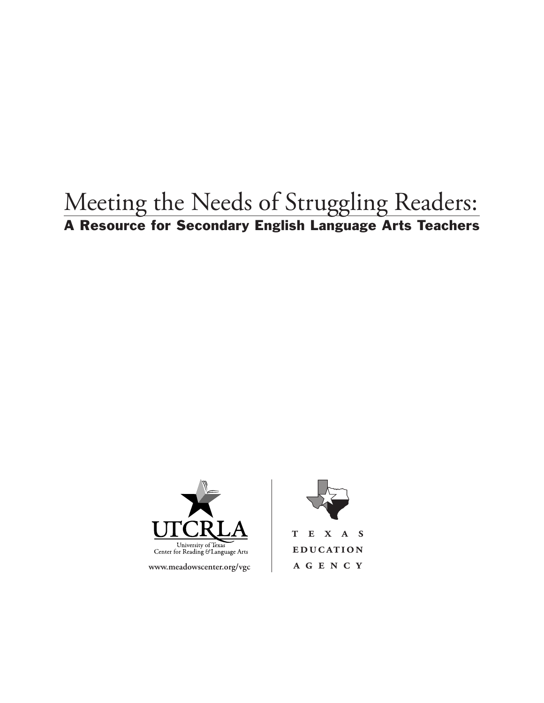# Meeting the Needs of Struggling Readers:

A Resource for Secondary English Language Arts Teachers





**agency**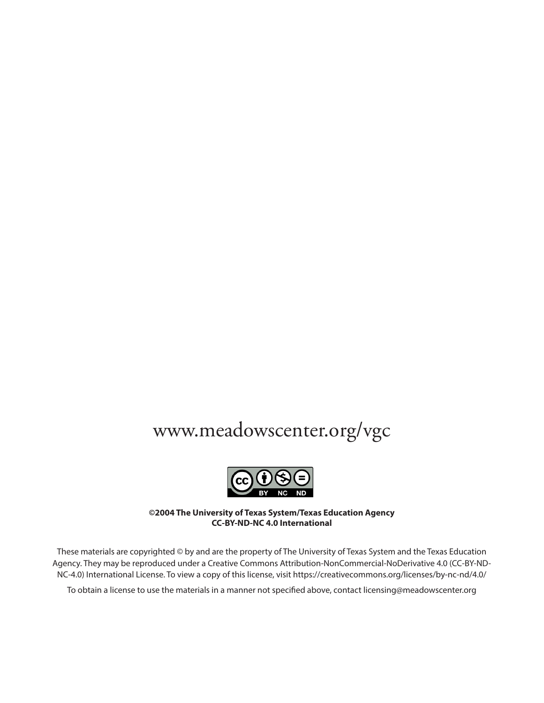# www.meadowscenter.org/vgc



**©2004 The University of Texas System/Texas Education Agency CC-BY-ND-NC 4.0 International**

These materials are copyrighted © by and are the property of The University of Texas System and the Texas Education Agency. They may be reproduced under a Creative Commons Attribution-NonCommercial-NoDerivative 4.0 (CC-BY-ND-NC-4.0) International License. To view a copy of this license, visit https://creativecommons.org/licenses/by-nc-nd/4.0/

To obtain a license to use the materials in a manner not specified above, contact licensing@meadowscenter.org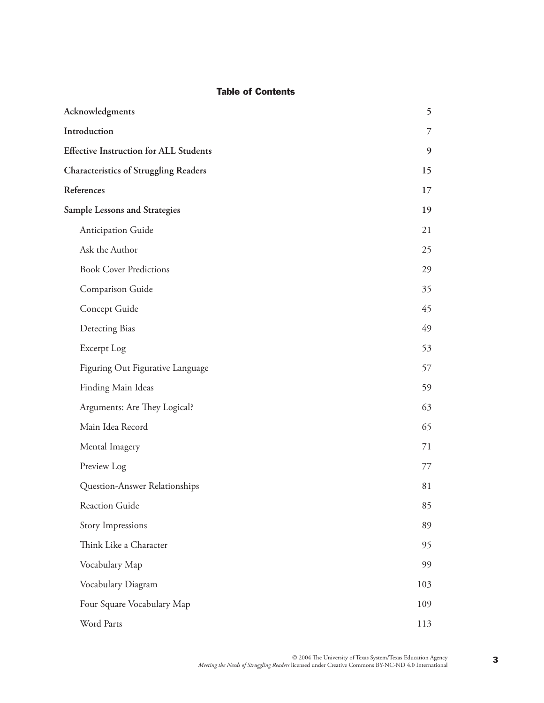### Table of Contents

| Acknowledgments                               |                |  |
|-----------------------------------------------|----------------|--|
| Introduction                                  | $\overline{7}$ |  |
| <b>Effective Instruction for ALL Students</b> |                |  |
| <b>Characteristics of Struggling Readers</b>  | 15             |  |
| References                                    | 17             |  |
| <b>Sample Lessons and Strategies</b>          | 19             |  |
| Anticipation Guide                            | 21             |  |
| Ask the Author                                | 25             |  |
| <b>Book Cover Predictions</b>                 | 29             |  |
| Comparison Guide                              | 35             |  |
| Concept Guide                                 | 45             |  |
| Detecting Bias                                | 49             |  |
| Excerpt Log                                   | 53             |  |
| Figuring Out Figurative Language              | 57             |  |
| Finding Main Ideas                            | 59             |  |
| Arguments: Are They Logical?                  | 63             |  |
| Main Idea Record                              | 65             |  |
| Mental Imagery                                | 71             |  |
| Preview Log                                   | 77             |  |
| Question-Answer Relationships                 | 81             |  |
| Reaction Guide                                | 85             |  |
| <b>Story Impressions</b>                      | 89             |  |
| Think Like a Character                        | 95             |  |
| Vocabulary Map                                | 99             |  |
| Vocabulary Diagram                            | 103            |  |
| Four Square Vocabulary Map                    | 109            |  |
| Word Parts                                    | 113            |  |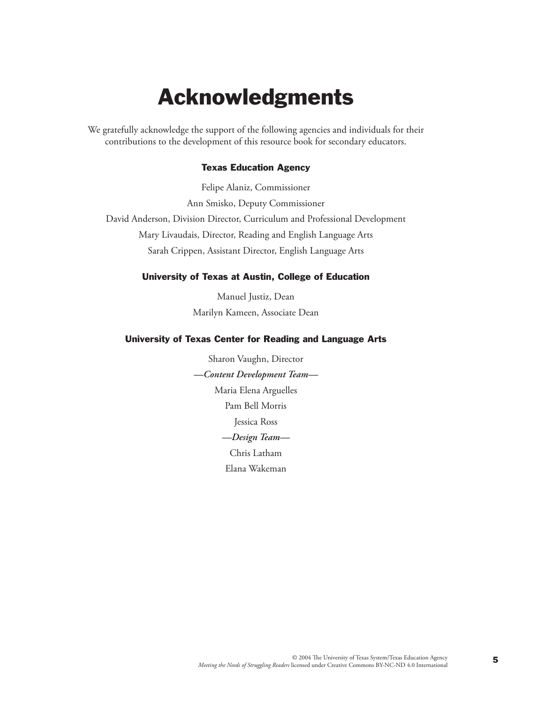# Acknowledgments

We gratefully acknowledge the support of the following agencies and individuals for their contributions to the development of this resource book for secondary educators.

#### Texas Education Agency

Felipe Alaniz, Commissioner Ann Smisko, Deputy Commissioner David Anderson, Division Director, Curriculum and Professional Development Mary Livaudais, Director, Reading and English Language Arts Sarah Crippen, Assistant Director, English Language Arts

#### University of Texas at Austin, College of Education

Manuel Justiz, Dean Marilyn Kameen, Associate Dean

#### University of Texas Center for Reading and Language Arts

Sharon Vaughn, Director *—Content Development Team—* Maria Elena Arguelles Pam Bell Morris Jessica Ross *—Design Team—* Chris Latham Elana Wakeman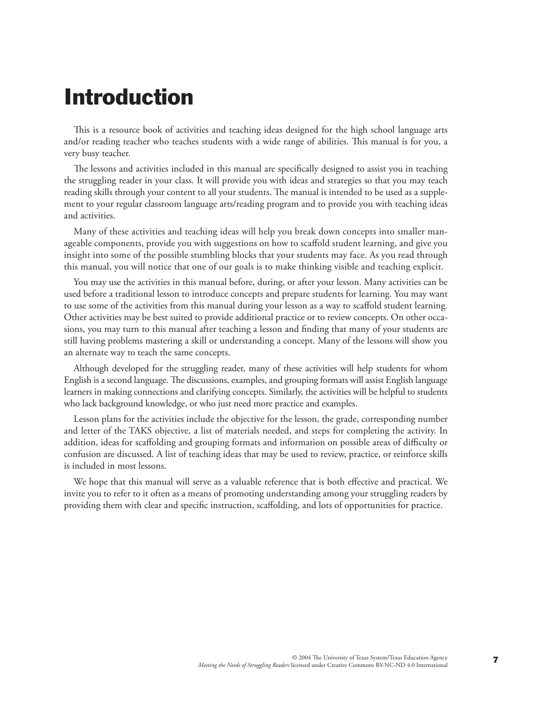# Introduction

This is a resource book of activities and teaching ideas designed for the high school language arts and/or reading teacher who teaches students with a wide range of abilities. This manual is for you, a very busy teacher.

The lessons and activities included in this manual are specifically designed to assist you in teaching the struggling reader in your class. It will provide you with ideas and strategies so that you may teach reading skills through your content to all your students. The manual is intended to be used as a supplement to your regular classroom language arts/reading program and to provide you with teaching ideas and activities.

Many of these activities and teaching ideas will help you break down concepts into smaller manageable components, provide you with suggestions on how to scaffold student learning, and give you insight into some of the possible stumbling blocks that your students may face. As you read through this manual, you will notice that one of our goals is to make thinking visible and teaching explicit.

You may use the activities in this manual before, during, or after your lesson. Many activities can be used before a traditional lesson to introduce concepts and prepare students for learning. You may want to use some of the activities from this manual during your lesson as a way to scaffold student learning. Other activities may be best suited to provide additional practice or to review concepts. On other occasions, you may turn to this manual after teaching a lesson and finding that many of your students are still having problems mastering a skill or understanding a concept. Many of the lessons will show you an alternate way to teach the same concepts.

Although developed for the struggling reader, many of these activities will help students for whom English is a second language. The discussions, examples, and grouping formats will assist English language learners in making connections and clarifying concepts. Similarly, the activities will be helpful to students who lack background knowledge, or who just need more practice and examples.

Lesson plans for the activities include the objective for the lesson, the grade, corresponding number and letter of the TAKS objective, a list of materials needed, and steps for completing the activity. In addition, ideas for scaffolding and grouping formats and information on possible areas of difficulty or confusion are discussed. A list of teaching ideas that may be used to review, practice, or reinforce skills is included in most lessons.

We hope that this manual will serve as a valuable reference that is both effective and practical. We invite you to refer to it often as a means of promoting understanding among your struggling readers by providing them with clear and specific instruction, scaffolding, and lots of opportunities for practice.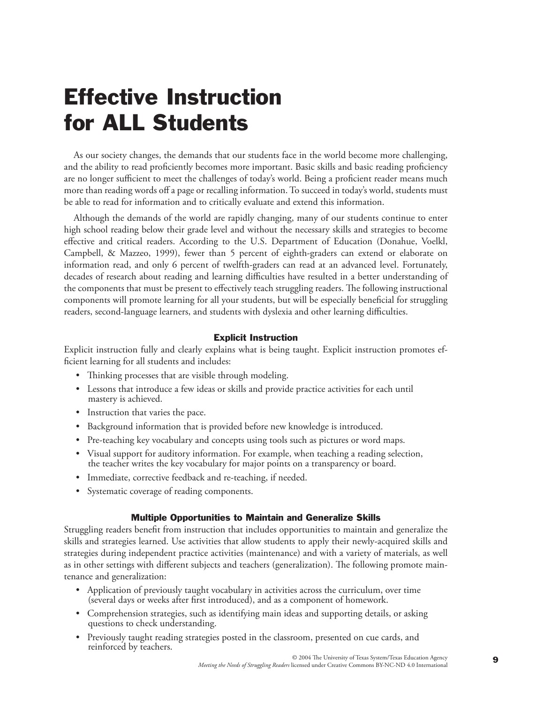# Effective Instruction for ALL Students

As our society changes, the demands that our students face in the world become more challenging, and the ability to read proficiently becomes more important. Basic skills and basic reading proficiency are no longer sufficient to meet the challenges of today's world. Being a proficient reader means much more than reading words off a page or recalling information. To succeed in today's world, students must be able to read for information and to critically evaluate and extend this information.

Although the demands of the world are rapidly changing, many of our students continue to enter high school reading below their grade level and without the necessary skills and strategies to become effective and critical readers. According to the U.S. Department of Education (Donahue, Voelkl, Campbell, & Mazzeo, 1999), fewer than 5 percent of eighth-graders can extend or elaborate on information read, and only 6 percent of twelfth-graders can read at an advanced level. Fortunately, decades of research about reading and learning difficulties have resulted in a better understanding of the components that must be present to effectively teach struggling readers. The following instructional components will promote learning for all your students, but will be especially beneficial for struggling readers, second-language learners, and students with dyslexia and other learning difficulties.

#### Explicit Instruction

Explicit instruction fully and clearly explains what is being taught. Explicit instruction promotes efficient learning for all students and includes:

- Thinking processes that are visible through modeling.
- Lessons that introduce a few ideas or skills and provide practice activities for each until mastery is achieved.
- Instruction that varies the pace.
- Background information that is provided before new knowledge is introduced.
- Pre-teaching key vocabulary and concepts using tools such as pictures or word maps.
- Visual support for auditory information. For example, when teaching a reading selection, the teacher writes the key vocabulary for major points on a transparency or board.
- Immediate, corrective feedback and re-teaching, if needed.
- Systematic coverage of reading components.

#### Multiple Opportunities to Maintain and Generalize Skills

Struggling readers benefit from instruction that includes opportunities to maintain and generalize the skills and strategies learned. Use activities that allow students to apply their newly-acquired skills and strategies during independent practice activities (maintenance) and with a variety of materials, as well as in other settings with different subjects and teachers (generalization). The following promote maintenance and generalization:

- Application of previously taught vocabulary in activities across the curriculum, over time (several days or weeks after first introduced), and as a component of homework.
- Comprehension strategies, such as identifying main ideas and supporting details, or asking questions to check understanding.
- Previously taught reading strategies posted in the classroom, presented on cue cards, and reinforced by teachers.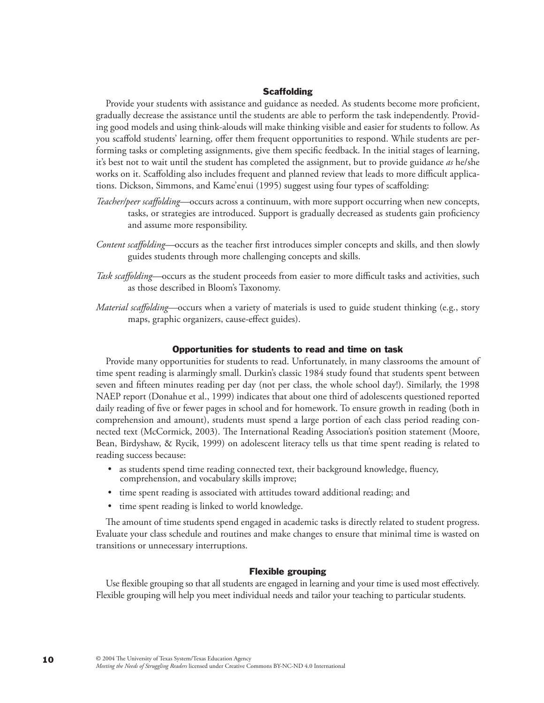#### **Scaffolding**

Provide your students with assistance and guidance as needed. As students become more proficient, gradually decrease the assistance until the students are able to perform the task independently. Providing good models and using think-alouds will make thinking visible and easier for students to follow. As you scaffold students' learning, offer them frequent opportunities to respond. While students are performing tasks or completing assignments, give them specific feedback. In the initial stages of learning, it's best not to wait until the student has completed the assignment, but to provide guidance *as* he/she works on it. Scaffolding also includes frequent and planned review that leads to more difficult applications. Dickson, Simmons, and Kame'enui (1995) suggest using four types of scaffolding:

- *Teacher/peer scaffolding—*occurs across a continuum, with more support occurring when new concepts, tasks, or strategies are introduced. Support is gradually decreased as students gain proficiency and assume more responsibility.
- *Content scaffolding—*occurs as the teacher first introduces simpler concepts and skills, and then slowly guides students through more challenging concepts and skills.
- *Task scaffolding—*occurs as the student proceeds from easier to more difficult tasks and activities, such as those described in Bloom's Taxonomy.
- *Material scaffolding—*occurs when a variety of materials is used to guide student thinking (e.g., story maps, graphic organizers, cause-effect guides).

#### Opportunities for students to read and time on task

Provide many opportunities for students to read. Unfortunately, in many classrooms the amount of time spent reading is alarmingly small. Durkin's classic 1984 study found that students spent between seven and fifteen minutes reading per day (not per class, the whole school day!). Similarly, the 1998 NAEP report (Donahue et al., 1999) indicates that about one third of adolescents questioned reported daily reading of five or fewer pages in school and for homework. To ensure growth in reading (both in comprehension and amount), students must spend a large portion of each class period reading connected text (McCormick, 2003). The International Reading Association's position statement (Moore, Bean, Birdyshaw, & Rycik, 1999) on adolescent literacy tells us that time spent reading is related to reading success because:

- as students spend time reading connected text, their background knowledge, fluency, comprehension, and vocabulary skills improve;
- time spent reading is associated with attitudes toward additional reading; and
- time spent reading is linked to world knowledge.

The amount of time students spend engaged in academic tasks is directly related to student progress. Evaluate your class schedule and routines and make changes to ensure that minimal time is wasted on transitions or unnecessary interruptions.

#### Flexible grouping

Use flexible grouping so that all students are engaged in learning and your time is used most effectively. Flexible grouping will help you meet individual needs and tailor your teaching to particular students.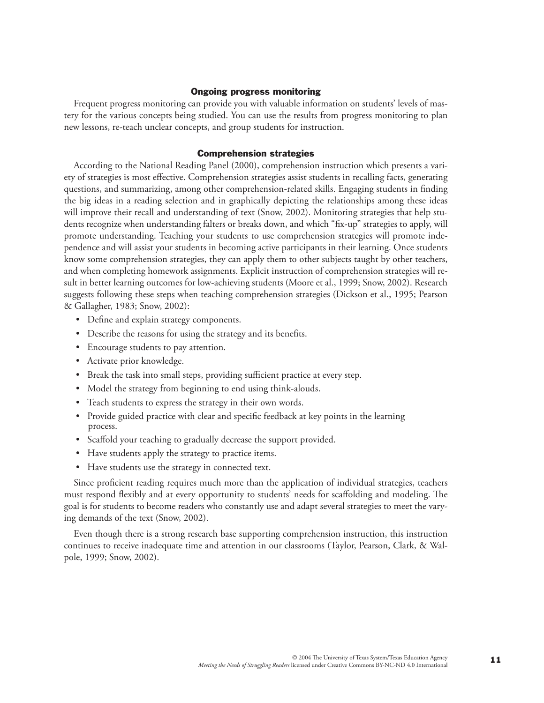#### Ongoing progress monitoring

Frequent progress monitoring can provide you with valuable information on students' levels of mastery for the various concepts being studied. You can use the results from progress monitoring to plan new lessons, re-teach unclear concepts, and group students for instruction.

#### Comprehension strategies

According to the National Reading Panel (2000), comprehension instruction which presents a variety of strategies is most effective. Comprehension strategies assist students in recalling facts, generating questions, and summarizing, among other comprehension-related skills. Engaging students in finding the big ideas in a reading selection and in graphically depicting the relationships among these ideas will improve their recall and understanding of text (Snow, 2002). Monitoring strategies that help students recognize when understanding falters or breaks down, and which "fix-up" strategies to apply, will promote understanding. Teaching your students to use comprehension strategies will promote independence and will assist your students in becoming active participants in their learning. Once students know some comprehension strategies, they can apply them to other subjects taught by other teachers, and when completing homework assignments. Explicit instruction of comprehension strategies will result in better learning outcomes for low-achieving students (Moore et al., 1999; Snow, 2002). Research suggests following these steps when teaching comprehension strategies (Dickson et al., 1995; Pearson & Gallagher, 1983; Snow, 2002):

- Define and explain strategy components.
- Describe the reasons for using the strategy and its benefits.
- Encourage students to pay attention.
- Activate prior knowledge.
- Break the task into small steps, providing sufficient practice at every step.
- Model the strategy from beginning to end using think-alouds.
- Teach students to express the strategy in their own words.
- Provide guided practice with clear and specific feedback at key points in the learning process.
- Scaffold your teaching to gradually decrease the support provided.
- Have students apply the strategy to practice items.
- Have students use the strategy in connected text.

Since proficient reading requires much more than the application of individual strategies, teachers must respond flexibly and at every opportunity to students' needs for scaffolding and modeling. The goal is for students to become readers who constantly use and adapt several strategies to meet the varying demands of the text (Snow, 2002).

Even though there is a strong research base supporting comprehension instruction, this instruction continues to receive inadequate time and attention in our classrooms (Taylor, Pearson, Clark, & Walpole, 1999; Snow, 2002).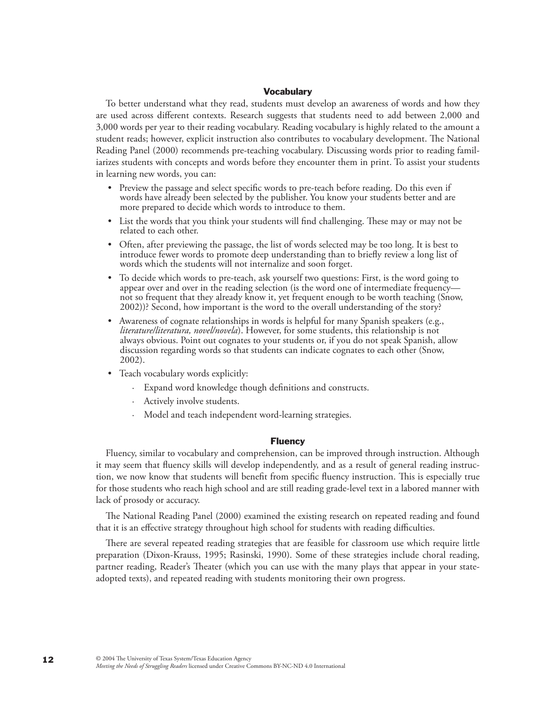#### **Vocabulary**

To better understand what they read, students must develop an awareness of words and how they are used across different contexts. Research suggests that students need to add between 2,000 and 3,000 words per year to their reading vocabulary. Reading vocabulary is highly related to the amount a student reads; however, explicit instruction also contributes to vocabulary development. The National Reading Panel (2000) recommends pre-teaching vocabulary. Discussing words prior to reading familiarizes students with concepts and words before they encounter them in print. To assist your students in learning new words, you can:

- Preview the passage and select specific words to pre-teach before reading. Do this even if words have already been selected by the publisher. You know your students better and are more prepared to decide which words to introduce to them.
- List the words that you think your students will find challenging. These may or may not be related to each other.
- Often, after previewing the passage, the list of words selected may be too long. It is best to introduce fewer words to promote deep understanding than to briefly review a long list of words which the students will not internalize and soon forget.
- To decide which words to pre-teach, ask yourself two questions: First, is the word going to appear over and over in the reading selection (is the word one of intermediate frequency not so frequent that they already know it, yet frequent enough to be worth teaching (Snow, 2002))? Second, how important is the word to the overall understanding of the story?
- Awareness of cognate relationships in words is helpful for many Spanish speakers (e.g., *literature/literatura, novel/novela*). However, for some students, this relationship is not always obvious. Point out cognates to your students or, if you do not speak Spanish, allow discussion regarding words so that students can indicate cognates to each other (Snow, 2002).
- Teach vocabulary words explicitly:
	- · Expand word knowledge though definitions and constructs.
	- · Actively involve students.
	- · Model and teach independent word-learning strategies.

#### **Fluency**

Fluency, similar to vocabulary and comprehension, can be improved through instruction. Although it may seem that fluency skills will develop independently, and as a result of general reading instruction, we now know that students will benefit from specific fluency instruction. This is especially true for those students who reach high school and are still reading grade-level text in a labored manner with lack of prosody or accuracy.

The National Reading Panel (2000) examined the existing research on repeated reading and found that it is an effective strategy throughout high school for students with reading difficulties.

There are several repeated reading strategies that are feasible for classroom use which require little preparation (Dixon-Krauss, 1995; Rasinski, 1990). Some of these strategies include choral reading, partner reading, Reader's Theater (which you can use with the many plays that appear in your stateadopted texts), and repeated reading with students monitoring their own progress.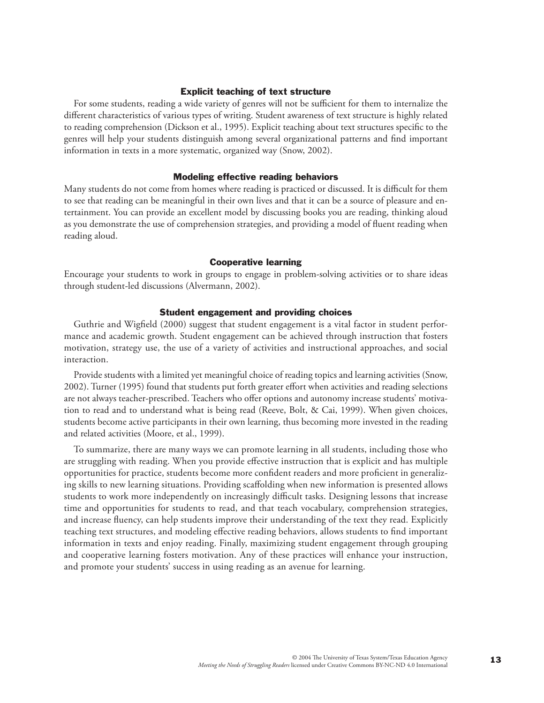#### Explicit teaching of text structure

For some students, reading a wide variety of genres will not be sufficient for them to internalize the different characteristics of various types of writing. Student awareness of text structure is highly related to reading comprehension (Dickson et al., 1995). Explicit teaching about text structures specific to the genres will help your students distinguish among several organizational patterns and find important information in texts in a more systematic, organized way (Snow, 2002).

#### Modeling effective reading behaviors

Many students do not come from homes where reading is practiced or discussed. It is difficult for them to see that reading can be meaningful in their own lives and that it can be a source of pleasure and entertainment. You can provide an excellent model by discussing books you are reading, thinking aloud as you demonstrate the use of comprehension strategies, and providing a model of fluent reading when reading aloud.

#### Cooperative learning

Encourage your students to work in groups to engage in problem-solving activities or to share ideas through student-led discussions (Alvermann, 2002).

#### Student engagement and providing choices

Guthrie and Wigfield (2000) suggest that student engagement is a vital factor in student performance and academic growth. Student engagement can be achieved through instruction that fosters motivation, strategy use, the use of a variety of activities and instructional approaches, and social interaction.

Provide students with a limited yet meaningful choice of reading topics and learning activities (Snow, 2002). Turner (1995) found that students put forth greater effort when activities and reading selections are not always teacher-prescribed. Teachers who offer options and autonomy increase students' motivation to read and to understand what is being read (Reeve, Bolt, & Cai, 1999). When given choices, students become active participants in their own learning, thus becoming more invested in the reading and related activities (Moore, et al., 1999).

To summarize, there are many ways we can promote learning in all students, including those who are struggling with reading. When you provide effective instruction that is explicit and has multiple opportunities for practice, students become more confident readers and more proficient in generalizing skills to new learning situations. Providing scaffolding when new information is presented allows students to work more independently on increasingly difficult tasks. Designing lessons that increase time and opportunities for students to read, and that teach vocabulary, comprehension strategies, and increase fluency, can help students improve their understanding of the text they read. Explicitly teaching text structures, and modeling effective reading behaviors, allows students to find important information in texts and enjoy reading. Finally, maximizing student engagement through grouping and cooperative learning fosters motivation. Any of these practices will enhance your instruction, and promote your students' success in using reading as an avenue for learning.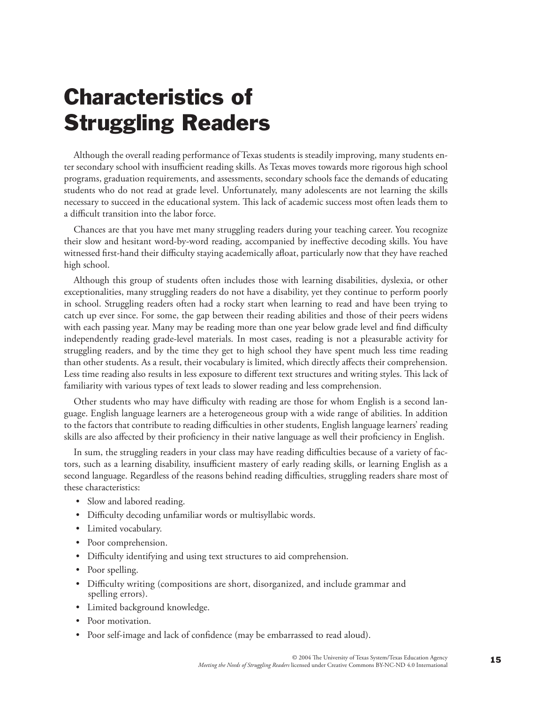# Characteristics of Struggling Readers

Although the overall reading performance of Texas students is steadily improving, many students enter secondary school with insufficient reading skills. As Texas moves towards more rigorous high school programs, graduation requirements, and assessments, secondary schools face the demands of educating students who do not read at grade level. Unfortunately, many adolescents are not learning the skills necessary to succeed in the educational system. This lack of academic success most often leads them to a difficult transition into the labor force.

Chances are that you have met many struggling readers during your teaching career. You recognize their slow and hesitant word-by-word reading, accompanied by ineffective decoding skills. You have witnessed first-hand their difficulty staying academically afloat, particularly now that they have reached high school.

Although this group of students often includes those with learning disabilities, dyslexia, or other exceptionalities, many struggling readers do not have a disability, yet they continue to perform poorly in school. Struggling readers often had a rocky start when learning to read and have been trying to catch up ever since. For some, the gap between their reading abilities and those of their peers widens with each passing year. Many may be reading more than one year below grade level and find difficulty independently reading grade-level materials. In most cases, reading is not a pleasurable activity for struggling readers, and by the time they get to high school they have spent much less time reading than other students. As a result, their vocabulary is limited, which directly affects their comprehension. Less time reading also results in less exposure to different text structures and writing styles. This lack of familiarity with various types of text leads to slower reading and less comprehension.

Other students who may have difficulty with reading are those for whom English is a second language. English language learners are a heterogeneous group with a wide range of abilities. In addition to the factors that contribute to reading difficulties in other students, English language learners' reading skills are also affected by their proficiency in their native language as well their proficiency in English.

In sum, the struggling readers in your class may have reading difficulties because of a variety of factors, such as a learning disability, insufficient mastery of early reading skills, or learning English as a second language. Regardless of the reasons behind reading difficulties, struggling readers share most of these characteristics:

- Slow and labored reading.
- Difficulty decoding unfamiliar words or multisyllabic words.
- Limited vocabulary.
- Poor comprehension.
- Difficulty identifying and using text structures to aid comprehension.
- Poor spelling.
- Difficulty writing (compositions are short, disorganized, and include grammar and spelling errors).
- Limited background knowledge.
- Poor motivation.
- Poor self-image and lack of confidence (may be embarrassed to read aloud).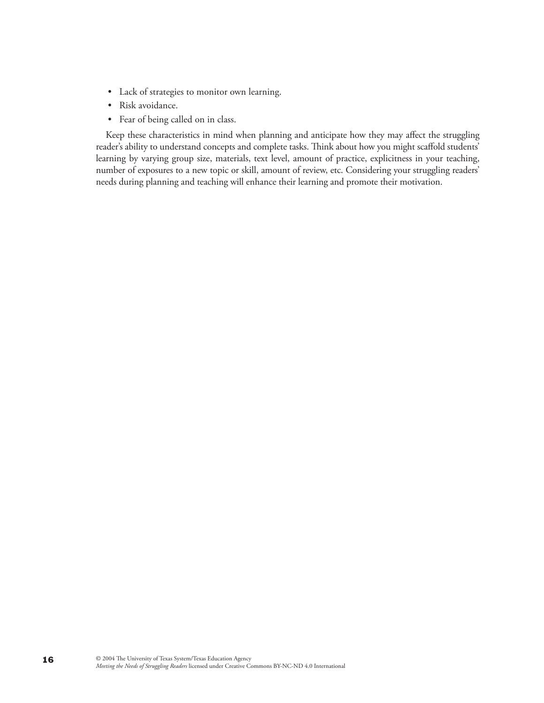- Lack of strategies to monitor own learning.
- Risk avoidance.
- Fear of being called on in class.

Keep these characteristics in mind when planning and anticipate how they may affect the struggling reader's ability to understand concepts and complete tasks. Think about how you might scaffold students' learning by varying group size, materials, text level, amount of practice, explicitness in your teaching, number of exposures to a new topic or skill, amount of review, etc. Considering your struggling readers' needs during planning and teaching will enhance their learning and promote their motivation.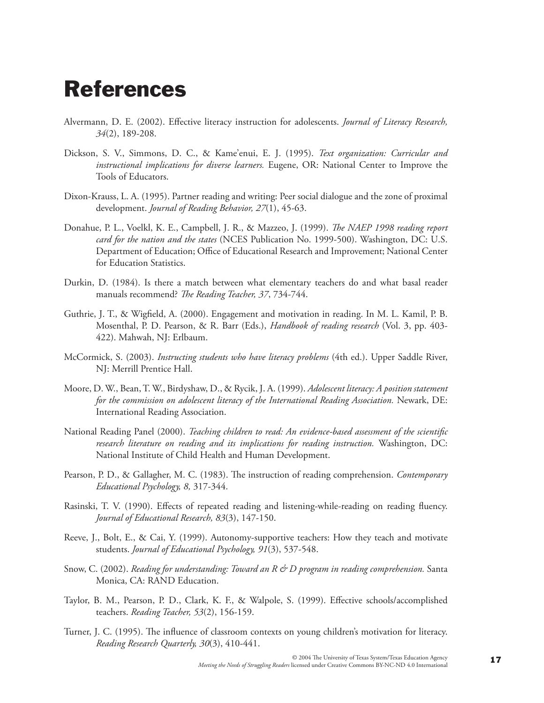# References

- Alvermann, D. E. (2002). Effective literacy instruction for adolescents. *Journal of Literacy Research, 34*(2), 189-208.
- Dickson, S. V., Simmons, D. C., & Kame'enui, E. J. (1995). *Text organization: Curricular and instructional implications for diverse learners.* Eugene, OR: National Center to Improve the Tools of Educators.
- Dixon-Krauss, L. A. (1995). Partner reading and writing: Peer social dialogue and the zone of proximal development. *Journal of Reading Behavior, 27*(1), 45-63.
- Donahue, P. L., Voelkl, K. E., Campbell, J. R., & Mazzeo, J. (1999). *The NAEP 1998 reading report card for the nation and the states* (NCES Publication No. 1999-500). Washington, DC: U.S. Department of Education; Office of Educational Research and Improvement; National Center for Education Statistics.
- Durkin, D. (1984). Is there a match between what elementary teachers do and what basal reader manuals recommend? *The Reading Teacher, 37*, 734-744.
- Guthrie, J. T., & Wigfield, A. (2000). Engagement and motivation in reading. In M. L. Kamil, P. B. Mosenthal, P. D. Pearson, & R. Barr (Eds.), *Handbook of reading research* (Vol. 3, pp. 403- 422). Mahwah, NJ: Erlbaum.
- McCormick, S. (2003). *Instructing students who have literacy problems* (4th ed.). Upper Saddle River, NJ: Merrill Prentice Hall.
- Moore, D. W., Bean, T. W., Birdyshaw, D., & Rycik, J. A. (1999). *Adolescent literacy: A position statement for the commission on adolescent literacy of the International Reading Association.* Newark, DE: International Reading Association.
- National Reading Panel (2000). *Teaching children to read: An evidence-based assessment of the scientific research literature on reading and its implications for reading instruction.* Washington, DC: National Institute of Child Health and Human Development.
- Pearson, P. D., & Gallagher, M. C. (1983). The instruction of reading comprehension. *Contemporary Educational Psychology, 8,* 317-344.
- Rasinski, T. V. (1990). Effects of repeated reading and listening-while-reading on reading fluency. *Journal of Educational Research, 83*(3), 147-150.
- Reeve, J., Bolt, E., & Cai, Y. (1999). Autonomy-supportive teachers: How they teach and motivate students. *Journal of Educational Psychology, 91*(3), 537-548.
- Snow, C. (2002). *Reading for understanding: Toward an R & D program in reading comprehension.* Santa Monica, CA: RAND Education.
- Taylor, B. M., Pearson, P. D., Clark, K. F., & Walpole, S. (1999). Effective schools/accomplished teachers. *Reading Teacher, 53*(2), 156-159.
- Turner, J. C. (1995). The influence of classroom contexts on young children's motivation for literacy. *Reading Research Quarterly, 30*(3), 410-441.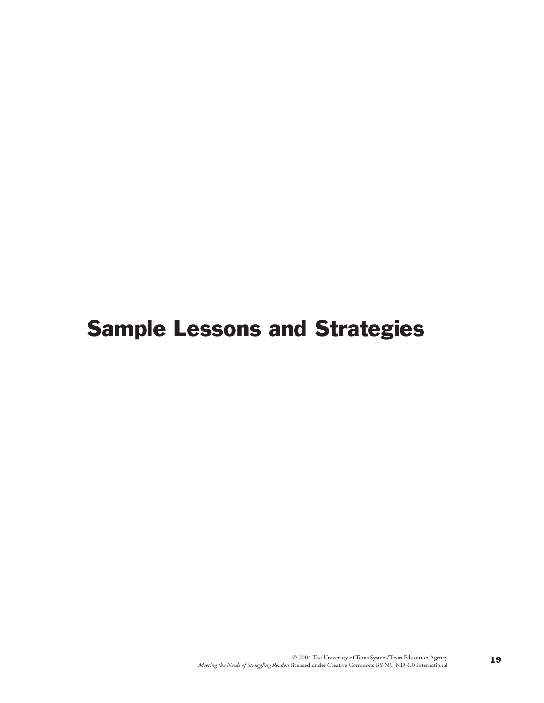# Sample Lessons and Strategies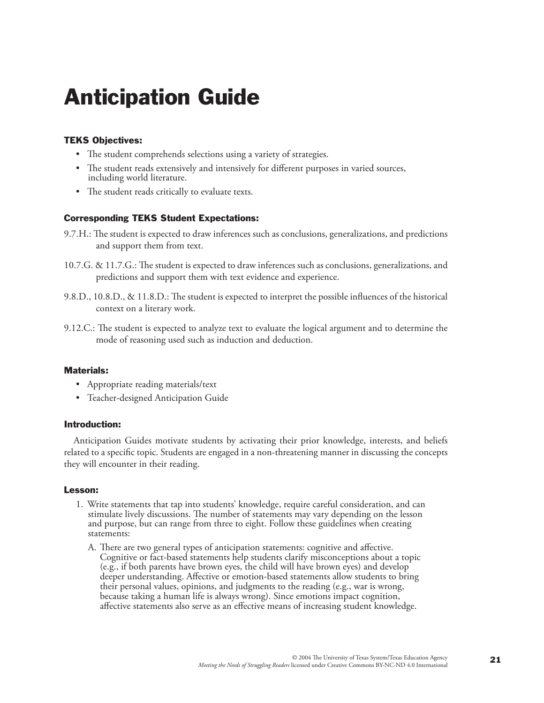# Anticipation Guide

## TEKS Objectives:

- The student comprehends selections using a variety of strategies.
- The student reads extensively and intensively for different purposes in varied sources, including world literature.
- The student reads critically to evaluate texts.

#### Corresponding TEKS Student Expectations:

- 9.7.H.: The student is expected to draw inferences such as conclusions, generalizations, and predictions and support them from text.
- 10.7.G. & 11.7.G.: The student is expected to draw inferences such as conclusions, generalizations, and predictions and support them with text evidence and experience.
- 9.8.D., 10.8.D., & 11.8.D.: The student is expected to interpret the possible influences of the historical context on a literary work.
- 9.12.C.: The student is expected to analyze text to evaluate the logical argument and to determine the mode of reasoning used such as induction and deduction.

#### Materials:

- Appropriate reading materials/text
- Teacher-designed Anticipation Guide

#### Introduction:

Anticipation Guides motivate students by activating their prior knowledge, interests, and beliefs related to a specific topic. Students are engaged in a non-threatening manner in discussing the concepts they will encounter in their reading.

#### Lesson:

- 1. Write statements that tap into students' knowledge, require careful consideration, and can stimulate lively discussions. The number of statements may vary depending on the lesson and purpose, but can range from three to eight. Follow these guidelines when creating statements:
	- A. There are two general types of anticipation statements: cognitive and affective. Cognitive or fact-based statements help students clarify misconceptions about a topic (e.g., if both parents have brown eyes, the child will have brown eyes) and develop deeper understanding. Affective or emotion-based statements allow students to bring their personal values, opinions, and judgments to the reading (e.g., war is wrong, because taking a human life is always wrong). Since emotions impact cognition, affective statements also serve as an effective means of increasing student knowledge.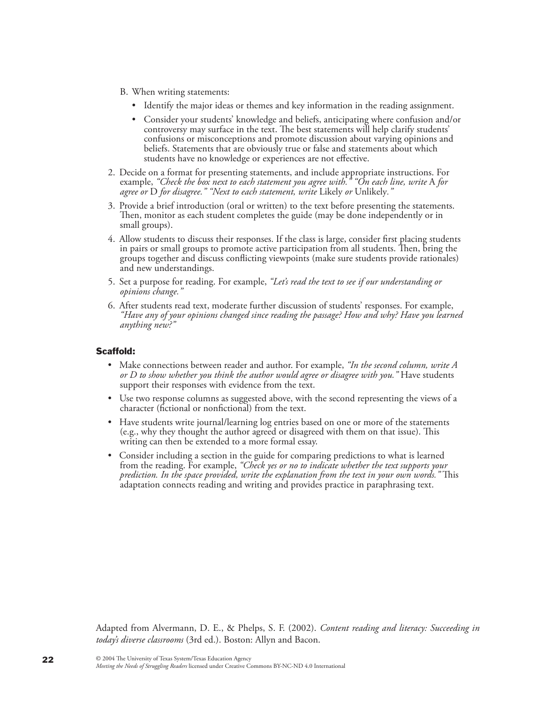- B. When writing statements:
	- Identify the major ideas or themes and key information in the reading assignment.
	- Consider your students' knowledge and beliefs, anticipating where confusion and/or controversy may surface in the text. The best statements will help clarify students' confusions or misconceptions and promote discussion about varying opinions and beliefs. Statements that are obviously true or false and statements about which students have no knowledge or experiences are not effective.
- 2. Decide on a format for presenting statements, and include appropriate instructions. For example, "Check the box next to each statement you agree with." "On each line, write A for *agree or* D *for disagree." "Next to each statement, write* Likely *or* Unlikely*."*
- 3. Provide a brief introduction (oral or written) to the text before presenting the statements. Then, monitor as each student completes the guide (may be done independently or in small groups).
- 4. Allow students to discuss their responses. If the class is large, consider first placing students in pairs or small groups to promote active participation from all students. Then, bring the groups together and discuss conflicting viewpoints (make sure students provide rationales) and new understandings.
- 5. Set a purpose for reading. For example, *"Let's read the text to see if our understanding or opinions change."*
- 6. After students read text, moderate further discussion of students' responses. For example, *"Have any of your opinions changed since reading the passage? How and why? Have you learned anything new?"*

#### Scaffold:

- Make connections between reader and author. For example, *"In the second column, write A or D to show whether you think the author would agree or disagree with you."* Have students support their responses with evidence from the text.
- Use two response columns as suggested above, with the second representing the views of a character (fictional or nonfictional) from the text.
- Have students write journal/learning log entries based on one or more of the statements (e.g., why they thought the author agreed or disagreed with them on that issue). This writing can then be extended to a more formal essay.
- Consider including a section in the guide for comparing predictions to what is learned from the reading. For example, *"Check yes or no to indicate whether the text supports your prediction. In the space provided, write the explanation from the text in your own words."* This adaptation connects reading and writing and provides practice in paraphrasing text.

Adapted from Alvermann, D. E., & Phelps, S. F. (2002). *Content reading and literacy: Succeeding in today's diverse classrooms* (3rd ed.). Boston: Allyn and Bacon.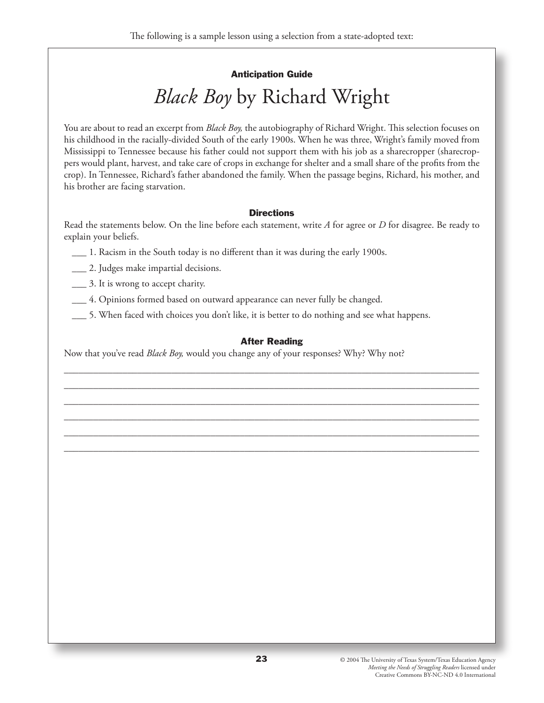## Anticipation Guide *Black Boy* by Richard Wright

You are about to read an excerpt from *Black Boy,* the autobiography of Richard Wright. This selection focuses on his childhood in the racially-divided South of the early 1900s. When he was three, Wright's family moved from Mississippi to Tennessee because his father could not support them with his job as a sharecropper (sharecroppers would plant, harvest, and take care of crops in exchange for shelter and a small share of the profits from the crop). In Tennessee, Richard's father abandoned the family. When the passage begins, Richard, his mother, and his brother are facing starvation.

## **Directions**

Read the statements below. On the line before each statement, write *A* for agree or *D* for disagree. Be ready to explain your beliefs.

- \_\_\_ 1. Racism in the South today is no different than it was during the early 1900s.
- \_\_\_ 2. Judges make impartial decisions.

\_\_\_ 3. It is wrong to accept charity.

- \_\_\_ 4. Opinions formed based on outward appearance can never fully be changed.
- \_\_\_ 5. When faced with choices you don't like, it is better to do nothing and see what happens.

## After Reading

\_\_\_\_\_\_\_\_\_\_\_\_\_\_\_\_\_\_\_\_\_\_\_\_\_\_\_\_\_\_\_\_\_\_\_\_\_\_\_\_\_\_\_\_\_\_\_\_\_\_\_\_\_\_\_\_\_\_\_\_\_\_\_\_\_\_\_\_\_\_\_\_\_\_\_\_\_\_\_\_\_\_\_\_\_ \_\_\_\_\_\_\_\_\_\_\_\_\_\_\_\_\_\_\_\_\_\_\_\_\_\_\_\_\_\_\_\_\_\_\_\_\_\_\_\_\_\_\_\_\_\_\_\_\_\_\_\_\_\_\_\_\_\_\_\_\_\_\_\_\_\_\_\_\_\_\_\_\_\_\_\_\_\_\_\_\_\_\_\_\_ \_\_\_\_\_\_\_\_\_\_\_\_\_\_\_\_\_\_\_\_\_\_\_\_\_\_\_\_\_\_\_\_\_\_\_\_\_\_\_\_\_\_\_\_\_\_\_\_\_\_\_\_\_\_\_\_\_\_\_\_\_\_\_\_\_\_\_\_\_\_\_\_\_\_\_\_\_\_\_\_\_\_\_\_\_ \_\_\_\_\_\_\_\_\_\_\_\_\_\_\_\_\_\_\_\_\_\_\_\_\_\_\_\_\_\_\_\_\_\_\_\_\_\_\_\_\_\_\_\_\_\_\_\_\_\_\_\_\_\_\_\_\_\_\_\_\_\_\_\_\_\_\_\_\_\_\_\_\_\_\_\_\_\_\_\_\_\_\_\_\_ \_\_\_\_\_\_\_\_\_\_\_\_\_\_\_\_\_\_\_\_\_\_\_\_\_\_\_\_\_\_\_\_\_\_\_\_\_\_\_\_\_\_\_\_\_\_\_\_\_\_\_\_\_\_\_\_\_\_\_\_\_\_\_\_\_\_\_\_\_\_\_\_\_\_\_\_\_\_\_\_\_\_\_\_\_ \_\_\_\_\_\_\_\_\_\_\_\_\_\_\_\_\_\_\_\_\_\_\_\_\_\_\_\_\_\_\_\_\_\_\_\_\_\_\_\_\_\_\_\_\_\_\_\_\_\_\_\_\_\_\_\_\_\_\_\_\_\_\_\_\_\_\_\_\_\_\_\_\_\_\_\_\_\_\_\_\_\_\_\_\_

Now that you've read *Black Boy,* would you change any of your responses? Why? Why not?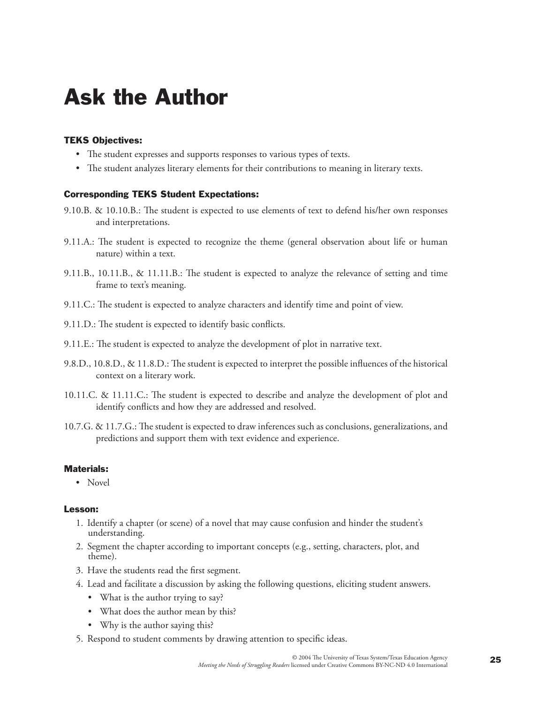# Ask the Author

### TEKS Objectives:

- The student expresses and supports responses to various types of texts.
- The student analyzes literary elements for their contributions to meaning in literary texts.

### Corresponding TEKS Student Expectations:

- 9.10.B. & 10.10.B.: The student is expected to use elements of text to defend his/her own responses and interpretations.
- 9.11.A.: The student is expected to recognize the theme (general observation about life or human nature) within a text.
- 9.11.B., 10.11.B., & 11.11.B.: The student is expected to analyze the relevance of setting and time frame to text's meaning.
- 9.11.C.: The student is expected to analyze characters and identify time and point of view.
- 9.11.D.: The student is expected to identify basic conflicts.
- 9.11.E.: The student is expected to analyze the development of plot in narrative text.
- 9.8.D., 10.8.D., & 11.8.D.: The student is expected to interpret the possible influences of the historical context on a literary work.
- 10.11.C. & 11.11.C.: The student is expected to describe and analyze the development of plot and identify conflicts and how they are addressed and resolved.
- 10.7.G. & 11.7.G.: The student is expected to draw inferences such as conclusions, generalizations, and predictions and support them with text evidence and experience.

### Materials:

• Novel

### Lesson:

- 1. Identify a chapter (or scene) of a novel that may cause confusion and hinder the student's understanding.
- 2. Segment the chapter according to important concepts (e.g., setting, characters, plot, and theme).
- 3. Have the students read the first segment.
- 4. Lead and facilitate a discussion by asking the following questions, eliciting student answers.
	- What is the author trying to say?
	- What does the author mean by this?
	- Why is the author saying this?
- 5. Respond to student comments by drawing attention to specific ideas.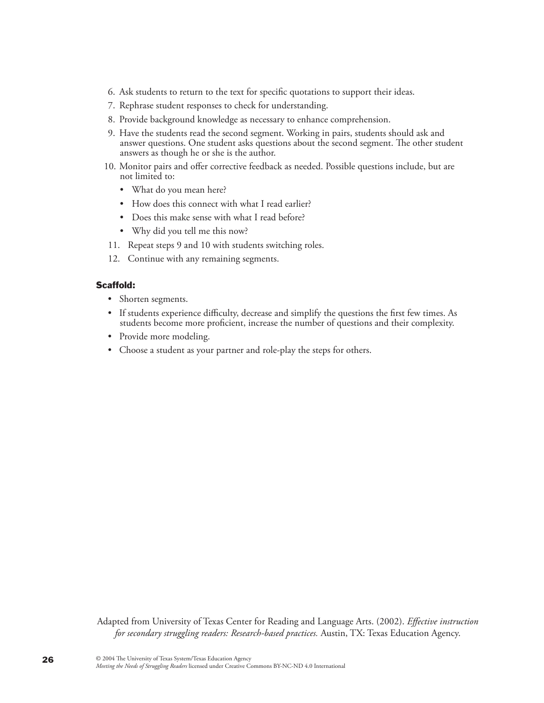- 6. Ask students to return to the text for specific quotations to support their ideas.
- 7. Rephrase student responses to check for understanding.
- 8. Provide background knowledge as necessary to enhance comprehension.
- 9. Have the students read the second segment. Working in pairs, students should ask and answer questions. One student asks questions about the second segment. The other student answers as though he or she is the author.
- 10. Monitor pairs and offer corrective feedback as needed. Possible questions include, but are not limited to:
	- What do you mean here?
	- How does this connect with what I read earlier?
	- Does this make sense with what I read before?
	- Why did you tell me this now?
- 11. Repeat steps 9 and 10 with students switching roles.
- 12. Continue with any remaining segments.

#### Scaffold:

- Shorten segments.
- If students experience difficulty, decrease and simplify the questions the first few times. As students become more proficient, increase the number of questions and their complexity.
- Provide more modeling.
- Choose a student as your partner and role-play the steps for others.

Adapted from University of Texas Center for Reading and Language Arts. (2002). *Effective instruction for secondary struggling readers: Research-based practices.* Austin, TX: Texas Education Agency.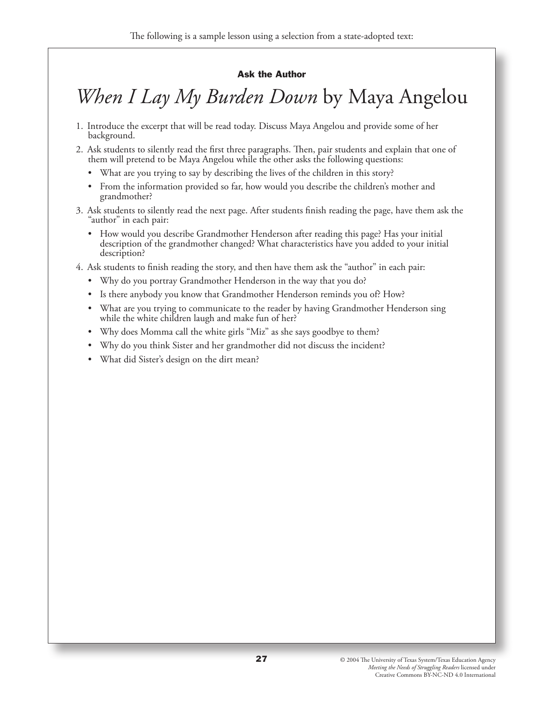## Ask the Author

# *When I Lay My Burden Down* by Maya Angelou

- 1. Introduce the excerpt that will be read today. Discuss Maya Angelou and provide some of her background.
- 2. Ask students to silently read the first three paragraphs. Then, pair students and explain that one of them will pretend to be Maya Angelou while the other asks the following questions:
	- What are you trying to say by describing the lives of the children in this story?
	- From the information provided so far, how would you describe the children's mother and grandmother?
- 3. Ask students to silently read the next page. After students finish reading the page, have them ask the "author" in each pair:
	- How would you describe Grandmother Henderson after reading this page? Has your initial description of the grandmother changed? What characteristics have you added to your initial description?

4. Ask students to finish reading the story, and then have them ask the "author" in each pair:

- Why do you portray Grandmother Henderson in the way that you do?
- Is there anybody you know that Grandmother Henderson reminds you of? How?
- What are you trying to communicate to the reader by having Grandmother Henderson sing while the white children laugh and make fun of her?
- Why does Momma call the white girls "Miz" as she says goodbye to them?
- Why do you think Sister and her grandmother did not discuss the incident?
- What did Sister's design on the dirt mean?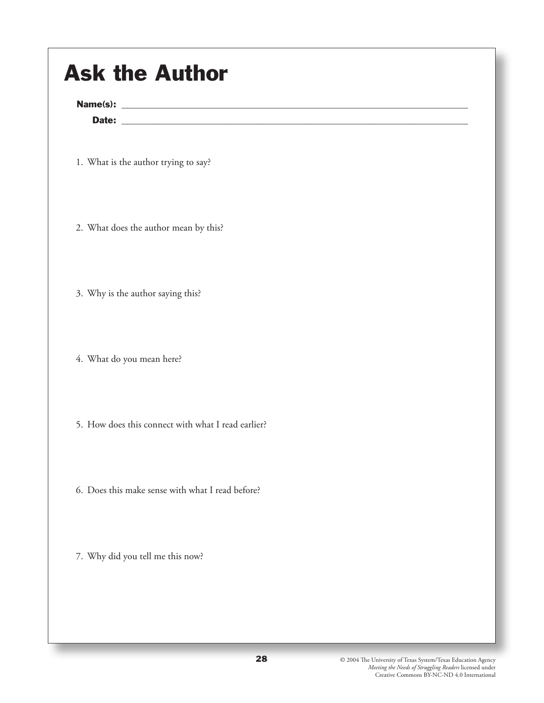| 1. What is the author trying to say?               |
|----------------------------------------------------|
| 2. What does the author mean by this?              |
| 3. Why is the author saying this?                  |
| 4. What do you mean here?                          |
| 5. How does this connect with what I read earlier? |
| 6. Does this make sense with what I read before?   |
| 7. Why did you tell me this now?                   |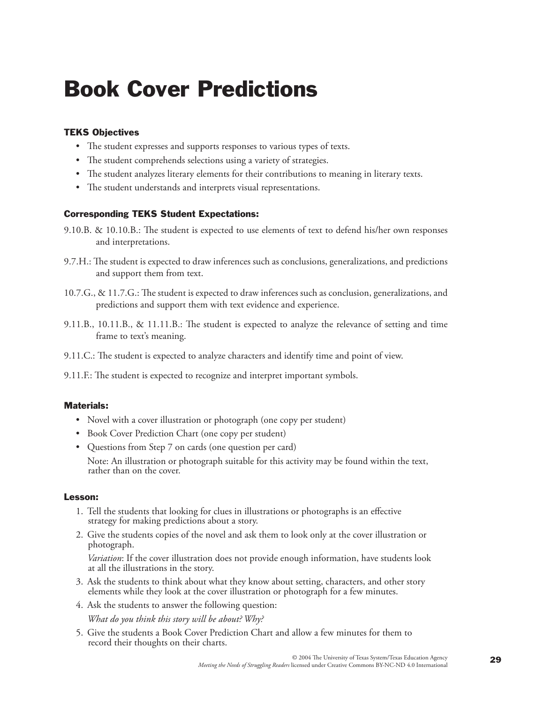# Book Cover Predictions

## TEKS Objectives

- The student expresses and supports responses to various types of texts.
- The student comprehends selections using a variety of strategies.
- The student analyzes literary elements for their contributions to meaning in literary texts.
- The student understands and interprets visual representations.

### Corresponding TEKS Student Expectations:

- 9.10.B. & 10.10.B.: The student is expected to use elements of text to defend his/her own responses and interpretations.
- 9.7.H.: The student is expected to draw inferences such as conclusions, generalizations, and predictions and support them from text.
- 10.7.G., & 11.7.G.: The student is expected to draw inferences such as conclusion, generalizations, and predictions and support them with text evidence and experience.
- 9.11.B., 10.11.B., & 11.11.B.: The student is expected to analyze the relevance of setting and time frame to text's meaning.
- 9.11.C.: The student is expected to analyze characters and identify time and point of view.
- 9.11.F.: The student is expected to recognize and interpret important symbols.

#### Materials:

- Novel with a cover illustration or photograph (one copy per student)
- Book Cover Prediction Chart (one copy per student)
- Questions from Step 7 on cards (one question per card)

Note: An illustration or photograph suitable for this activity may be found within the text, rather than on the cover.

#### Lesson:

- 1. Tell the students that looking for clues in illustrations or photographs is an effective strategy for making predictions about a story.
- 2. Give the students copies of the novel and ask them to look only at the cover illustration or photograph.

*Variation*: If the cover illustration does not provide enough information, have students look at all the illustrations in the story.

- 3. Ask the students to think about what they know about setting, characters, and other story elements while they look at the cover illustration or photograph for a few minutes.
- 4. Ask the students to answer the following question: *What do you think this story will be about? Why?*
- 5. Give the students a Book Cover Prediction Chart and allow a few minutes for them to record their thoughts on their charts.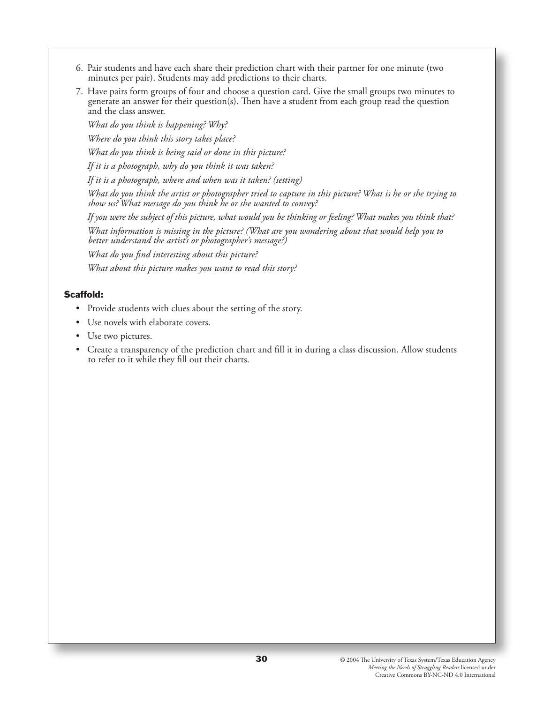- 6. Pair students and have each share their prediction chart with their partner for one minute (two minutes per pair). Students may add predictions to their charts.
- 7. Have pairs form groups of four and choose a question card. Give the small groups two minutes to generate an answer for their question(s). Then have a student from each group read the question and the class answer.

*What do you think is happening? Why?*

*Where do you think this story takes place?*

*What do you think is being said or done in this picture?*

*If it is a photograph, why do you think it was taken?*

*If it is a photograph, where and when was it taken? (setting)*

*What do you think the artist or photographer tried to capture in this picture? What is he or she trying to show us? What message do you think he or she wanted to convey?*

*If you were the subject of this picture, what would you be thinking or feeling? What makes you think that?*

*What information is missing in the picture? (What are you wondering about that would help you to better understand the artist's or photographer's message?)*

*What do you find interesting about this picture?*

*What about this picture makes you want to read this story?*

## Scaffold:

- Provide students with clues about the setting of the story.
- Use novels with elaborate covers.
- Use two pictures.
- Create a transparency of the prediction chart and fill it in during a class discussion. Allow students to refer to it while they fill out their charts.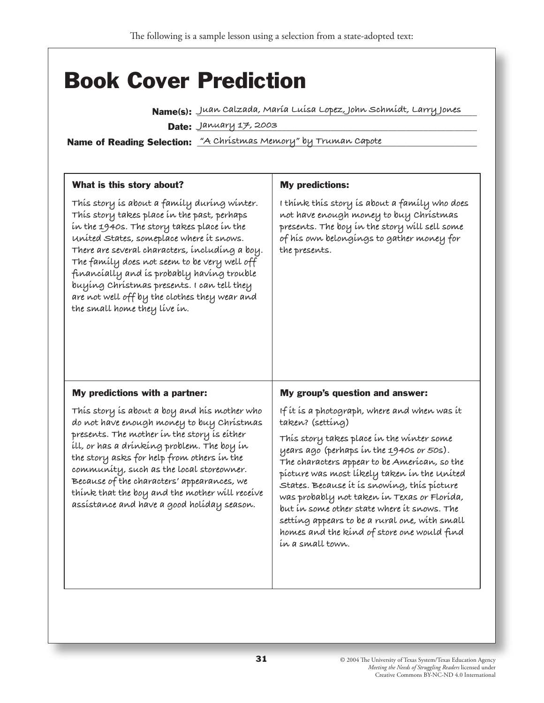# Book Cover Prediction

**Name(s):** Juan Calzada, María Luísa Lopez, John Schmídt, Larry Jones <sub>—</sub>

Date: \_\_\_\_\_\_\_\_\_\_\_\_\_\_\_\_\_\_\_\_\_\_\_\_\_\_\_\_\_\_\_\_\_\_\_\_\_\_\_\_\_\_\_\_\_\_\_\_\_\_\_\_\_\_\_\_\_\_\_\_\_\_\_ **January 17, 2003**

**Name of Reading Selection:**  $\frac{A \text{ Christmas Memory}}{A}$  by Truman Capote

| What is this story about?                                                                                                                                                                                                                                                                                                                                                                                                                                           | <b>My predictions:</b>                                                                                                                                                                                                                                                                                                            |
|---------------------------------------------------------------------------------------------------------------------------------------------------------------------------------------------------------------------------------------------------------------------------------------------------------------------------------------------------------------------------------------------------------------------------------------------------------------------|-----------------------------------------------------------------------------------------------------------------------------------------------------------------------------------------------------------------------------------------------------------------------------------------------------------------------------------|
| This story is about a family during winter.<br>This story takes place in the past, perhaps<br>in the 1940s. The story takes place in the<br>united States, someplace where it snows.<br>There are several characters, including a boy.<br>The family does not seem to be very well off<br>financially and is probably having trouble<br>buying Christmas presents. I can tell they<br>are not well off by the clothes they wear and<br>the small home they live in. | i thínk thís story ís about a famíly who does<br>not have enough money to buy Chrístmas<br>presents. The boy in the story will sell some<br>of his own belongings to gather money for<br>the presents.                                                                                                                            |
| My predictions with a partner:                                                                                                                                                                                                                                                                                                                                                                                                                                      | My group's question and answer:                                                                                                                                                                                                                                                                                                   |
| This story is about a boy and his mother who<br>do not have enough money to buy Chrístmas<br>presents. The mother in the story is either<br>ill, or has a drinking problem. The boy in<br>the story asks for help from others in the<br>community, such as the local storeowner.<br>Because of the characters' appearances, we<br>think that the boy and the mother will receive<br>assístance and have a good holíday season.                                      | If it is a photograph, where and when was it<br>taken? (setting)                                                                                                                                                                                                                                                                  |
|                                                                                                                                                                                                                                                                                                                                                                                                                                                                     | This story takes place in the winter some<br>years ago (perhaps in the 1940s or 50s).<br>The characters appear to be American, so the<br>pícture was most líkely taken ín the united<br>States. Because it is snowing, this picture<br>was probably not taken in Texas or Florida,<br>but in some other state where it snows. The |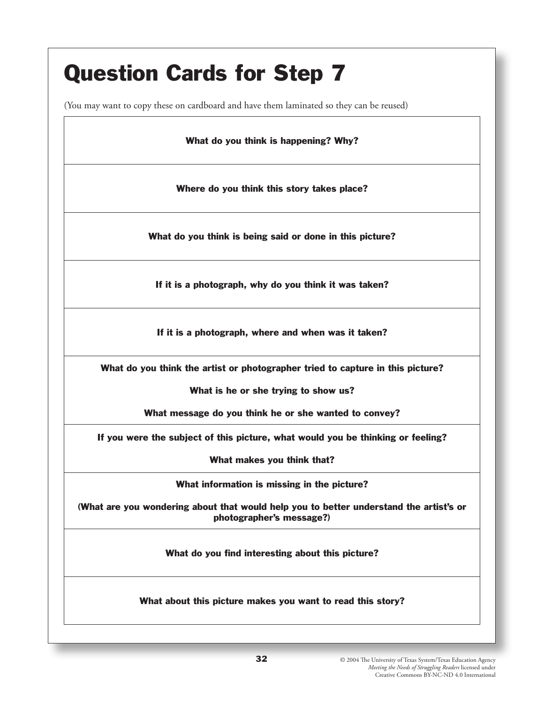# Question Cards for Step 7

(You may want to copy these on cardboard and have them laminated so they can be reused)

What do you think is happening? Why?

Where do you think this story takes place?

What do you think is being said or done in this picture?

If it is a photograph, why do you think it was taken?

If it is a photograph, where and when was it taken?

What do you think the artist or photographer tried to capture in this picture?

What is he or she trying to show us?

What message do you think he or she wanted to convey?

If you were the subject of this picture, what would you be thinking or feeling?

What makes you think that?

What information is missing in the picture?

(What are you wondering about that would help you to better understand the artist's or photographer's message?)

What do you find interesting about this picture?

What about this picture makes you want to read this story?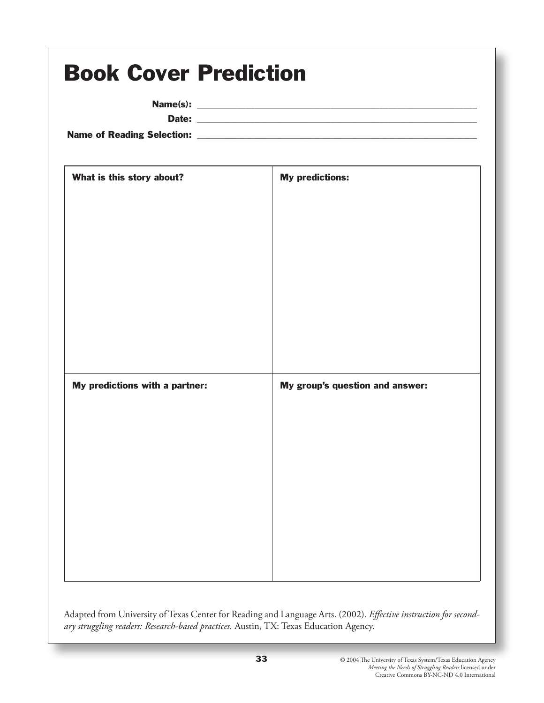| <b>Book Cover Prediction</b>   |                                 |  |  |  |
|--------------------------------|---------------------------------|--|--|--|
|                                |                                 |  |  |  |
|                                |                                 |  |  |  |
| What is this story about?      | <b>My predictions:</b>          |  |  |  |
|                                |                                 |  |  |  |
|                                |                                 |  |  |  |
|                                |                                 |  |  |  |
|                                |                                 |  |  |  |
| My predictions with a partner: | My group's question and answer: |  |  |  |
|                                |                                 |  |  |  |
|                                |                                 |  |  |  |
|                                |                                 |  |  |  |
|                                |                                 |  |  |  |

Adapted from University of Texas Center for Reading and Language Arts. (2002). *Effective instruction for secondary struggling readers: Research-based practices.* Austin, TX: Texas Education Agency.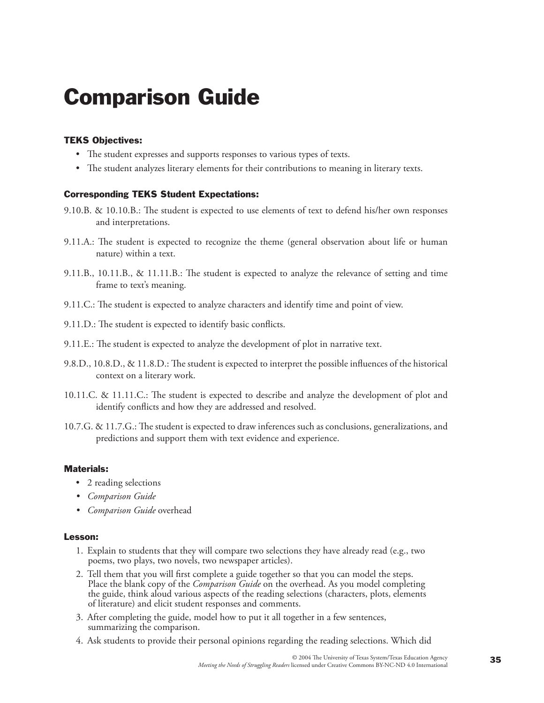# Comparison Guide

### TEKS Objectives:

- The student expresses and supports responses to various types of texts.
- The student analyzes literary elements for their contributions to meaning in literary texts.

### Corresponding TEKS Student Expectations:

- 9.10.B. & 10.10.B.: The student is expected to use elements of text to defend his/her own responses and interpretations.
- 9.11.A.: The student is expected to recognize the theme (general observation about life or human nature) within a text.
- 9.11.B., 10.11.B., & 11.11.B.: The student is expected to analyze the relevance of setting and time frame to text's meaning.
- 9.11.C.: The student is expected to analyze characters and identify time and point of view.
- 9.11.D.: The student is expected to identify basic conflicts.
- 9.11.E.: The student is expected to analyze the development of plot in narrative text.
- 9.8.D., 10.8.D., & 11.8.D.: The student is expected to interpret the possible influences of the historical context on a literary work.
- 10.11.C. & 11.11.C.: The student is expected to describe and analyze the development of plot and identify conflicts and how they are addressed and resolved.
- 10.7.G. & 11.7.G.: The student is expected to draw inferences such as conclusions, generalizations, and predictions and support them with text evidence and experience.

### Materials:

- 2 reading selections
- *• Comparison Guide*
- *• Comparison Guide* overhead

#### Lesson:

- 1. Explain to students that they will compare two selections they have already read (e.g., two poems, two plays, two novels, two newspaper articles).
- 2. Tell them that you will first complete a guide together so that you can model the steps. Place the blank copy of the *Comparison Guide* on the overhead. As you model completing the guide, think aloud various aspects of the reading selections (characters, plots, elements of literature) and elicit student responses and comments.
- 3. After completing the guide, model how to put it all together in a few sentences, summarizing the comparison.
- 4. Ask students to provide their personal opinions regarding the reading selections. Which did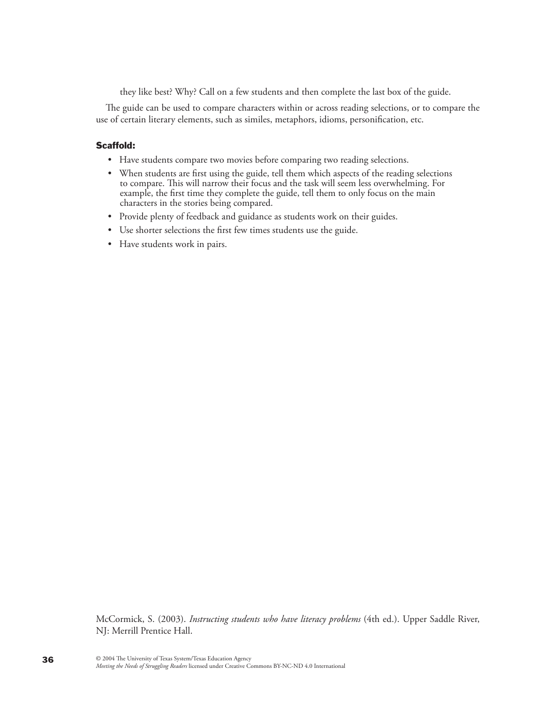they like best? Why? Call on a few students and then complete the last box of the guide.

The guide can be used to compare characters within or across reading selections, or to compare the use of certain literary elements, such as similes, metaphors, idioms, personification, etc.

#### Scaffold:

- Have students compare two movies before comparing two reading selections.
- When students are first using the guide, tell them which aspects of the reading selections to compare. This will narrow their focus and the task will seem less overwhelming. For example, the first time they complete the guide, tell them to only focus on the main characters in the stories being compared.
- Provide plenty of feedback and guidance as students work on their guides.
- Use shorter selections the first few times students use the guide.
- Have students work in pairs.

McCormick, S. (2003). *Instructing students who have literacy problems* (4th ed.). Upper Saddle River, NJ: Merrill Prentice Hall.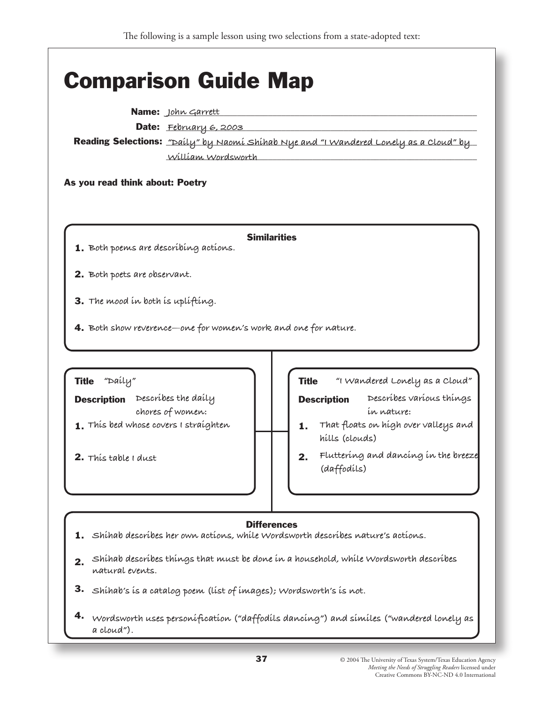# Comparison Guide Map

**Name:** John Garrett **1988** 

Date: February 6, 2003 **1990 1200 1200 1200 1200 121 122 123 124 124 125 126 126 126 126 126 126 126 126 126 12** 

**Reading Selections:** "Daily" by Naomi Shihab Nye and "I Wandered Lonely as a Cloud" by \_\_\_\_\_\_\_\_\_\_\_\_\_\_\_\_\_\_\_\_\_\_\_\_\_\_\_\_\_\_\_\_\_\_\_\_\_\_\_\_\_\_\_\_\_\_\_\_\_\_\_\_\_\_\_\_\_\_\_\_\_\_\_\_\_\_\_\_\_\_ **William Wordsworth**

# As you read think about: Poetry

# **Similarities**

1. **Both poems are describing actions.**

2. **Both poets are observant.**

3. **The mood in both is uplifting.**

4. **Both show reverence—one for women's work and one for nature.**

# Title **"Daily"**

Description **Describes the daily**  1. **This bed whose covers I straighten chores of women:**

2. **This table I dust**

Title **"I Wandered Lonely as a Cloud"**

**Description Describes various things in nature:**

- 1. **That floats on high over valleys and hills (clouds)**
- 2. **Fluttering and dancing in the breeze (daffodils)**

# **Differences**

1. **Shihab describes her own actions, while Wordsworth describes nature's actions.**

2. **Shihab describes things that must be done in a household, while Wordsworth describes natural events.**

3. **Shihab's is a catalog poem (list of images); Wordsworth's is not.**

4. **Wordsworth uses personification ("daffodils dancing") and similes ("wandered lonely as a cloud").**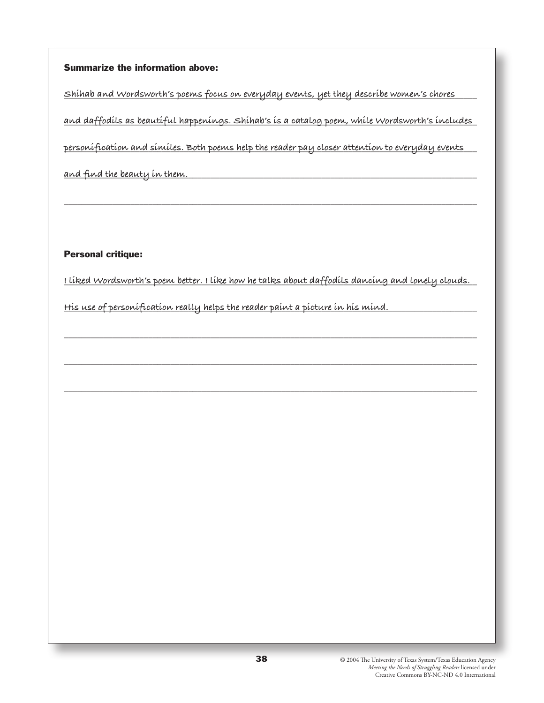# Summarize the information above:

 $\mathcal S$ híhab and Wordsworth's poems focus on everyday events, yet they descríbe women's chores  $\hspace{0.2cm}$ \_\_\_\_\_\_\_\_\_\_\_\_\_\_\_\_\_\_\_\_\_\_\_\_\_\_\_\_\_\_\_\_\_\_\_\_\_\_\_\_\_\_\_\_\_\_\_\_\_\_\_\_\_\_\_\_\_\_\_\_\_\_\_\_\_\_\_\_\_\_\_\_\_\_\_\_\_\_\_\_\_\_\_\_\_\_\_\_\_\_\_\_\_ **and daffodils as beautiful happenings. Shihab's is a catalog poem, while Wordsworth's includes**  personification and similes. Both poems help the reader pay closer attention to everyday events **compatible to** \_\_\_\_\_\_\_\_\_\_\_\_\_\_\_\_\_\_\_\_\_\_\_\_\_\_\_\_\_\_\_\_\_\_\_\_\_\_\_\_\_\_\_\_\_\_\_\_\_\_\_\_\_\_\_\_\_\_\_\_\_\_\_\_\_\_\_\_\_\_\_\_\_\_\_\_\_\_\_\_\_\_\_\_\_\_\_\_\_\_\_\_\_ **and find the beauty in them.**

 $\_$  ,  $\_$  ,  $\_$  ,  $\_$  ,  $\_$  ,  $\_$  ,  $\_$  ,  $\_$  ,  $\_$  ,  $\_$  ,  $\_$  ,  $\_$  ,  $\_$  ,  $\_$  ,  $\_$  ,  $\_$  ,  $\_$  ,  $\_$  ,  $\_$  ,  $\_$  ,  $\_$  ,  $\_$  ,  $\_$  ,  $\_$  ,  $\_$  ,  $\_$  ,  $\_$  ,  $\_$  ,  $\_$  ,  $\_$  ,  $\_$  ,  $\_$  ,  $\_$  ,  $\_$  ,  $\_$  ,  $\_$  ,  $\_$  ,

# Personal critique:

<u>I líked Wordsworth's poem better. I líke how he talks about daffodíls dancíng and lonely clouds. </u>

 $\_$  ,  $\_$  ,  $\_$  ,  $\_$  ,  $\_$  ,  $\_$  ,  $\_$  ,  $\_$  ,  $\_$  ,  $\_$  ,  $\_$  ,  $\_$  ,  $\_$  ,  $\_$  ,  $\_$  ,  $\_$  ,  $\_$  ,  $\_$  ,  $\_$  ,  $\_$  ,  $\_$  ,  $\_$  ,  $\_$  ,  $\_$  ,  $\_$  ,  $\_$  ,  $\_$  ,  $\_$  ,  $\_$  ,  $\_$  ,  $\_$  ,  $\_$  ,  $\_$  ,  $\_$  ,  $\_$  ,  $\_$  ,  $\_$  ,

 $\_$  ,  $\_$  ,  $\_$  ,  $\_$  ,  $\_$  ,  $\_$  ,  $\_$  ,  $\_$  ,  $\_$  ,  $\_$  ,  $\_$  ,  $\_$  ,  $\_$  ,  $\_$  ,  $\_$  ,  $\_$  ,  $\_$  ,  $\_$  ,  $\_$  ,  $\_$  ,  $\_$  ,  $\_$  ,  $\_$  ,  $\_$  ,  $\_$  ,  $\_$  ,  $\_$  ,  $\_$  ,  $\_$  ,  $\_$  ,  $\_$  ,  $\_$  ,  $\_$  ,  $\_$  ,  $\_$  ,  $\_$  ,  $\_$  ,

 $\_$  ,  $\_$  ,  $\_$  ,  $\_$  ,  $\_$  ,  $\_$  ,  $\_$  ,  $\_$  ,  $\_$  ,  $\_$  ,  $\_$  ,  $\_$  ,  $\_$  ,  $\_$  ,  $\_$  ,  $\_$  ,  $\_$  ,  $\_$  ,  $\_$  ,  $\_$  ,  $\_$  ,  $\_$  ,  $\_$  ,  $\_$  ,  $\_$  ,  $\_$  ,  $\_$  ,  $\_$  ,  $\_$  ,  $\_$  ,  $\_$  ,  $\_$  ,  $\_$  ,  $\_$  ,  $\_$  ,  $\_$  ,  $\_$  ,

\_\_\_\_\_\_\_\_\_\_\_\_\_\_\_\_\_\_\_\_\_\_\_\_\_\_\_\_\_\_\_\_\_\_\_\_\_\_\_\_\_\_\_\_\_\_\_\_\_\_\_\_\_\_\_\_\_\_\_\_\_\_\_\_\_\_\_\_\_\_\_\_\_\_\_\_\_\_\_\_\_\_\_\_\_\_\_\_\_\_\_\_\_ **His use of personification really helps the reader paint a picture in his mind.**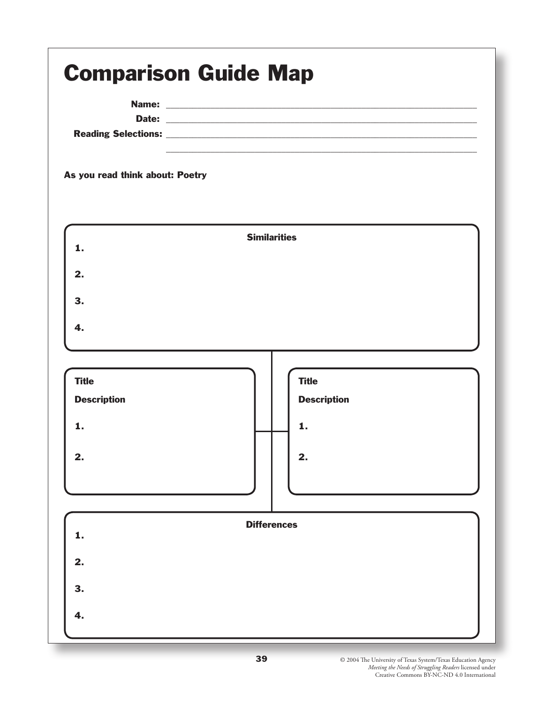| <b>Comparison Guide Map</b>     |                     |
|---------------------------------|---------------------|
|                                 |                     |
|                                 |                     |
|                                 |                     |
| As you read think about: Poetry |                     |
| 1.                              | <b>Similarities</b> |
| 2.                              |                     |
| 3.                              |                     |
| 4.                              |                     |
| <b>Title</b>                    | <b>Title</b>        |
| <b>Description</b>              | <b>Description</b>  |
| 1.                              | 1.                  |
| 2.                              | 2.                  |
|                                 |                     |
| 1.                              | <b>Differences</b>  |
| 2.                              |                     |
| 3.                              |                     |
| 4.                              |                     |
|                                 |                     |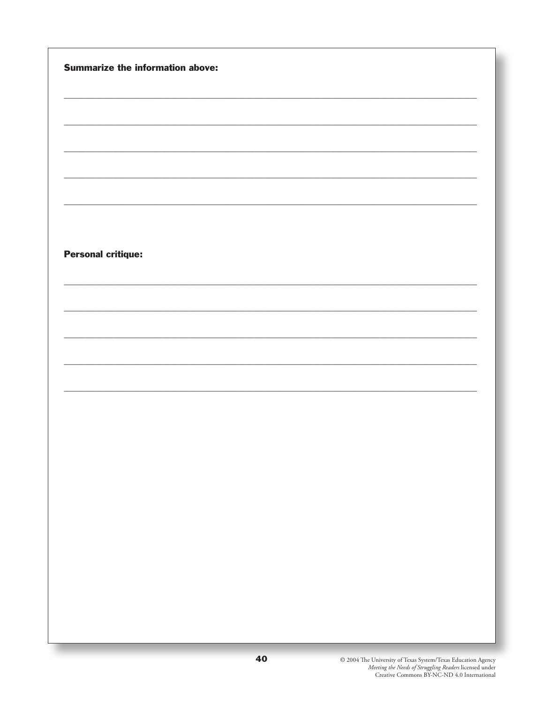| <b>Summarize the information above:</b> |  |  |  |
|-----------------------------------------|--|--|--|
|                                         |  |  |  |
|                                         |  |  |  |
|                                         |  |  |  |
|                                         |  |  |  |
|                                         |  |  |  |
|                                         |  |  |  |
|                                         |  |  |  |
| <b>Personal critique:</b>               |  |  |  |
|                                         |  |  |  |
|                                         |  |  |  |
|                                         |  |  |  |
|                                         |  |  |  |
|                                         |  |  |  |
|                                         |  |  |  |
|                                         |  |  |  |
|                                         |  |  |  |
|                                         |  |  |  |
|                                         |  |  |  |
|                                         |  |  |  |
|                                         |  |  |  |
|                                         |  |  |  |
|                                         |  |  |  |
|                                         |  |  |  |
|                                         |  |  |  |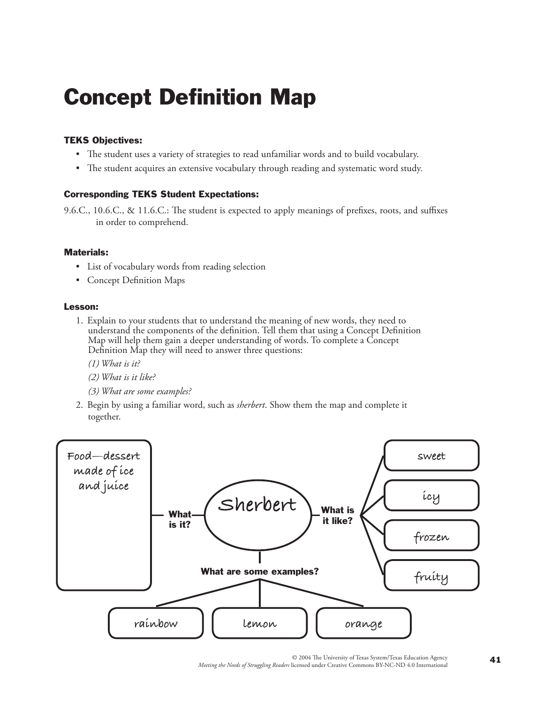# Concept Definition Map

# TEKS Objectives:

- The student uses a variety of strategies to read unfamiliar words and to build vocabulary.
- The student acquires an extensive vocabulary through reading and systematic word study.

### Corresponding TEKS Student Expectations:

9.6.C., 10.6.C., & 11.6.C.: The student is expected to apply meanings of prefixes, roots, and suffixes in order to comprehend.

### Materials:

- List of vocabulary words from reading selection
- Concept Definition Maps

### Lesson:

- 1. Explain to your students that to understand the meaning of new words, they need to understand the components of the definition. Tell them that using a Concept Definition Map will help them gain a deeper understanding of words. To complete a Concept Definition Map they will need to answer three questions:
	- *(1) What is it?*
	- *(2) What is it like?*
	- *(3) What are some examples?*
- 2. Begin by using a familiar word, such as *sherbert*. Show them the map and complete it together.



© 2004 The University of Texas System/Texas Education Agency *Meeting the Needs of Struggling Readers* licensed under Creative Commons BY-NC-ND 4.0 International <sup>41</sup>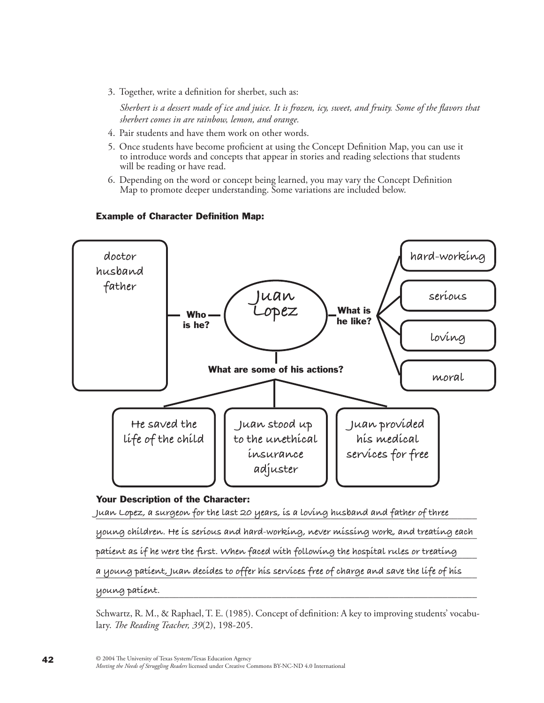3. Together, write a definition for sherbet, such as:

*Sherbert is a dessert made of ice and juice. It is frozen, icy, sweet, and fruity. Some of the flavors that sherbert comes in are rainbow, lemon, and orange.*

- 4. Pair students and have them work on other words.
- 5. Once students have become proficient at using the Concept Definition Map, you can use it to introduce words and concepts that appear in stories and reading selections that students will be reading or have read.
- 6. Depending on the word or concept being learned, you may vary the Concept Definition Map to promote deeper understanding. Some variations are included below.

#### Example of Character Definition Map:



#### Your Description of the Character:

\_\_\_\_\_\_\_\_\_\_\_\_\_\_\_\_\_\_\_\_\_\_\_\_\_\_\_\_\_\_\_\_\_\_\_\_\_\_\_\_\_\_\_\_\_\_\_\_\_\_\_\_\_\_\_\_\_\_\_\_\_\_\_\_\_\_\_\_\_\_\_\_\_\_\_\_\_\_ **Juan Lopez, a surgeon for the last 20 years, is a loving husband and father of three** 

\_\_\_\_\_\_\_\_\_\_\_\_\_\_\_\_\_\_\_\_\_\_\_\_\_\_\_\_\_\_\_\_\_\_\_\_\_\_\_\_\_\_\_\_\_\_\_\_\_\_\_\_\_\_\_\_\_\_\_\_\_\_\_\_\_\_\_\_\_\_\_\_\_\_\_\_\_\_ **young children. He is serious and hard-working, never missing work, and treating each** 

\_\_\_\_\_\_\_\_\_\_\_\_\_\_\_\_\_\_\_\_\_\_\_\_\_\_\_\_\_\_\_\_\_\_\_\_\_\_\_\_\_\_\_\_\_\_\_\_\_\_\_\_\_\_\_\_\_\_\_\_\_\_\_\_\_\_\_\_\_\_\_\_\_\_\_\_\_\_ **patient as if he were the first. When faced with following the hospital rules or treating** 

\_\_\_\_\_\_\_\_\_\_\_\_\_\_\_\_\_\_\_\_\_\_\_\_\_\_\_\_\_\_\_\_\_\_\_\_\_\_\_\_\_\_\_\_\_\_\_\_\_\_\_\_\_\_\_\_\_\_\_\_\_\_\_\_\_\_\_\_\_\_\_\_\_\_\_\_\_\_ **a young patient, Juan decides to offer his services free of charge and save the life of his** 

#### young pacient. **young patient.**

Schwartz, R. M., & Raphael, T. E. (1985). Concept of definition: A key to improving students' vocabulary. *The Reading Teacher, 39*(2), 198-205.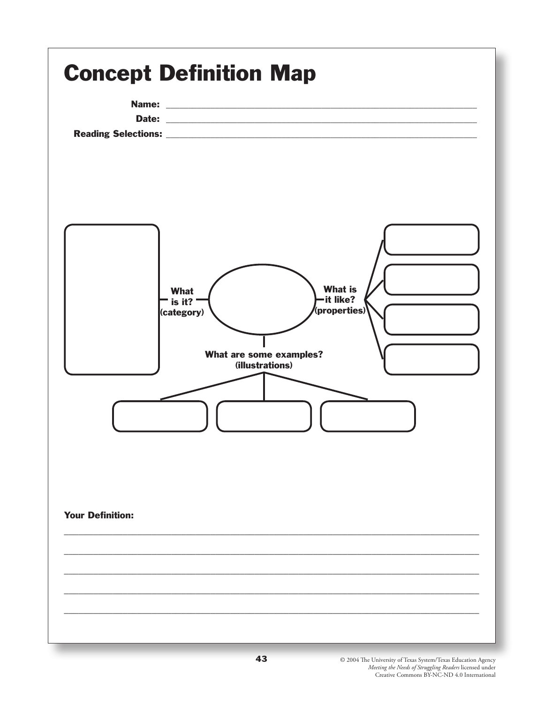|                         | <b>Concept Definition Map</b>                                                                                             |
|-------------------------|---------------------------------------------------------------------------------------------------------------------------|
| <b>Your Definition:</b> | <b>What is</b><br>What<br>-it like?<br>is it?<br>(properties)<br>(category)<br>What are some examples?<br>(illustrations) |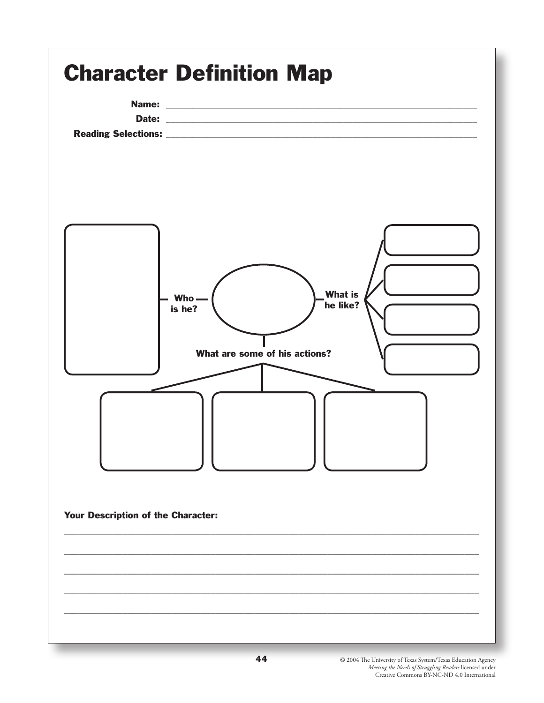|                                    | <b>Character Definition Map</b>                                                     |
|------------------------------------|-------------------------------------------------------------------------------------|
|                                    |                                                                                     |
| Your Description of the Character: | <b>What is</b><br><b>Who</b><br>he like?<br>is he?<br>What are some of his actions? |
|                                    |                                                                                     |
|                                    |                                                                                     |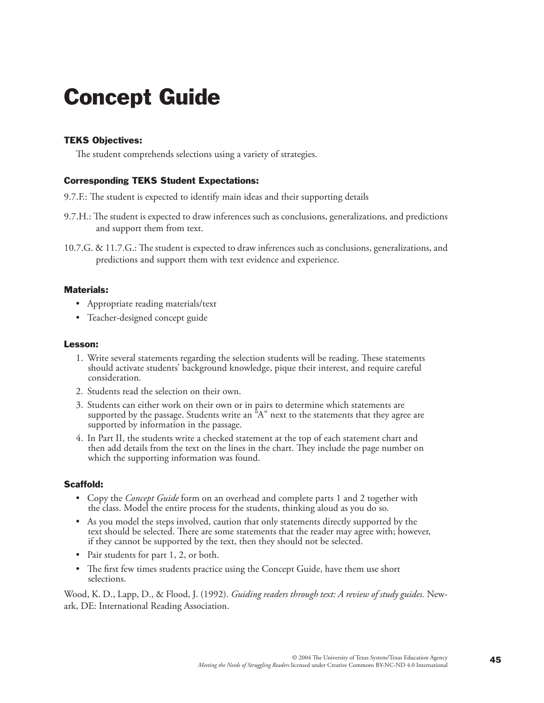# Concept Guide

# TEKS Objectives:

The student comprehends selections using a variety of strategies.

### Corresponding TEKS Student Expectations:

- 9.7.F.: The student is expected to identify main ideas and their supporting details
- 9.7.H.: The student is expected to draw inferences such as conclusions, generalizations, and predictions and support them from text.
- 10.7.G. & 11.7.G.: The student is expected to draw inferences such as conclusions, generalizations, and predictions and support them with text evidence and experience.

#### Materials:

- Appropriate reading materials/text
- Teacher-designed concept guide

#### Lesson:

- 1. Write several statements regarding the selection students will be reading. These statements should activate students' background knowledge, pique their interest, and require careful consideration.
- 2. Students read the selection on their own.
- 3. Students can either work on their own or in pairs to determine which statements are supported by the passage. Students write an  ${}^{k}A$ " next to the statements that they agree are supported by information in the passage.
- 4. In Part II, the students write a checked statement at the top of each statement chart and then add details from the text on the lines in the chart. They include the page number on which the supporting information was found.

#### Scaffold:

- Copy the *Concept Guide* form on an overhead and complete parts 1 and 2 together with the class. Model the entire process for the students, thinking aloud as you do so.
- As you model the steps involved, caution that only statements directly supported by the text should be selected. There are some statements that the reader may agree with; however, if they cannot be supported by the text, then they should not be selected.
- Pair students for part 1, 2, or both.
- The first few times students practice using the Concept Guide, have them use short selections.

Wood, K. D., Lapp, D., & Flood, J. (1992). *Guiding readers through text: A review of study guides.* Newark, DE: International Reading Association.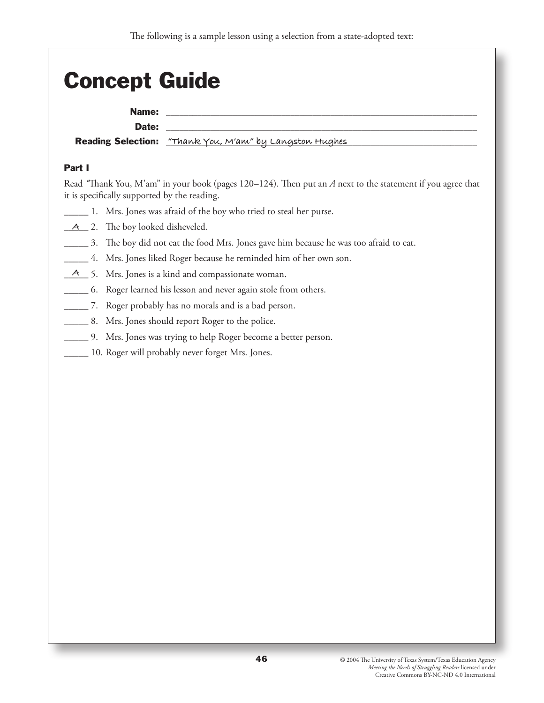# Concept Guide

Name: \_\_\_\_\_\_\_\_\_\_\_\_\_\_\_\_\_\_\_\_\_\_\_\_\_\_\_\_\_\_\_\_\_\_\_\_\_\_\_\_\_\_\_\_\_\_\_\_\_\_\_\_\_\_\_\_\_\_\_\_\_\_\_\_\_\_\_\_\_\_

Date: \_\_\_\_\_\_\_\_\_\_\_\_\_\_\_\_\_\_\_\_\_\_\_\_\_\_\_\_\_\_\_\_\_\_\_\_\_\_\_\_\_\_\_\_\_\_\_\_\_\_\_\_\_\_\_\_\_\_\_\_\_\_\_\_\_\_\_\_\_\_

**Reading Selection:** <u>"Thank You, M'am" by Langston Hughes</u> \_\_\_\_\_\_\_\_\_\_\_\_\_\_\_\_\_\_\_\_\_\_\_\_\_\_\_

# Part I

Read *"*Thank You, M'am" in your book (pages 120–124). Then put an *A* next to the statement if you agree that it is specifically supported by the reading.

- \_\_\_\_\_ 1. Mrs. Jones was afraid of the boy who tried to steal her purse.
- A 2. The boy looked disheveled.
- \_\_\_\_\_ 3. The boy did not eat the food Mrs. Jones gave him because he was too afraid to eat.
- \_\_\_\_\_ 4. Mrs. Jones liked Roger because he reminded him of her own son.
- A 5. Mrs. Jones is a kind and compassionate woman.
- \_\_\_\_\_ 6. Roger learned his lesson and never again stole from others.
- \_\_\_\_\_ 7. Roger probably has no morals and is a bad person.
- \_\_\_\_\_ 8. Mrs. Jones should report Roger to the police.
- \_\_\_\_\_ 9. Mrs. Jones was trying to help Roger become a better person.
- \_\_\_\_\_ 10. Roger will probably never forget Mrs. Jones.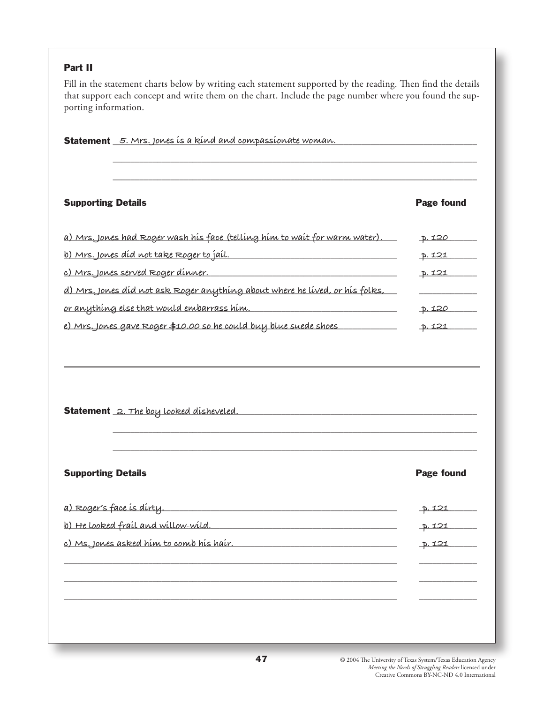# Part II

Fill in the statement charts below by writing each statement supported by the reading. Then find the details that support each concept and write them on the chart. Include the page number where you found the supporting information.

| Statement 5. Mrs. Jones is a kind and compassionate woman.                                                   |            |
|--------------------------------------------------------------------------------------------------------------|------------|
| <b>Supporting Details</b>                                                                                    | Page found |
| a) Mrs. Jones had Roger wash his face (telling him to wait for warm water).                                  | p.120      |
|                                                                                                              | p. 121     |
| c) Mrs. Jones served Roger dinner.                                                                           | p.121      |
| d) Mrs. Jones díd not ask Roger anything about where he lived, or his folks,                                 |            |
| <u>or anything else that would embarrass him. ____________________________</u>                               | p.120      |
| e) Mrs. Jones gave Roger \$10.00 so he could buy blue suede shoes                                            | p. 121     |
| <b>Supporting Details</b>                                                                                    | Page found |
| a) Roger's face is dirty.                                                                                    | D. 121     |
| b) He Looked frail and willow-wild.                                                                          | D.121      |
| c) Ms. Jones asked him to comb his hair.<br><u> 1980 - Jan James James Barnett, fransk politik (d. 1980)</u> | p. 121     |
|                                                                                                              |            |
|                                                                                                              |            |
|                                                                                                              |            |
|                                                                                                              |            |
|                                                                                                              |            |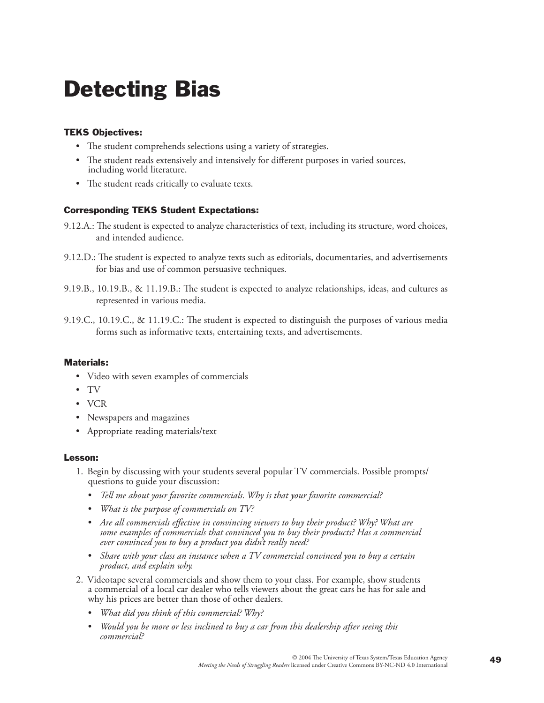# Detecting Bias

# TEKS Objectives:

- The student comprehends selections using a variety of strategies.
- The student reads extensively and intensively for different purposes in varied sources, including world literature.
- The student reads critically to evaluate texts.

### Corresponding TEKS Student Expectations:

- 9.12.A.: The student is expected to analyze characteristics of text, including its structure, word choices, and intended audience.
- 9.12.D.: The student is expected to analyze texts such as editorials, documentaries, and advertisements for bias and use of common persuasive techniques.
- 9.19.B., 10.19.B., & 11.19.B.: The student is expected to analyze relationships, ideas, and cultures as represented in various media.
- 9.19.C., 10.19.C., & 11.19.C.: The student is expected to distinguish the purposes of various media forms such as informative texts, entertaining texts, and advertisements.

#### Materials:

- Video with seven examples of commercials
- TV
- VCR
- Newspapers and magazines
- Appropriate reading materials/text

#### Lesson:

- 1. Begin by discussing with your students several popular TV commercials. Possible prompts/ questions to guide your discussion:
	- *Tell me about your favorite commercials. Why is that your favorite commercial?*
	- *What is the purpose of commercials on TV?*
	- *Are all commercials effective in convincing viewers to buy their product? Why? What are some examples of commercials that convinced you to buy their products? Has a commercial ever convinced you to buy a product you didn't really need?*
	- *Share with your class an instance when a TV commercial convinced you to buy a certain product, and explain why.*
- 2. Videotape several commercials and show them to your class. For example, show students a commercial of a local car dealer who tells viewers about the great cars he has for sale and why his prices are better than those of other dealers.
	- *What did you think of this commercial? Why?*
	- *Would you be more or less inclined to buy a car from this dealership after seeing this commercial?*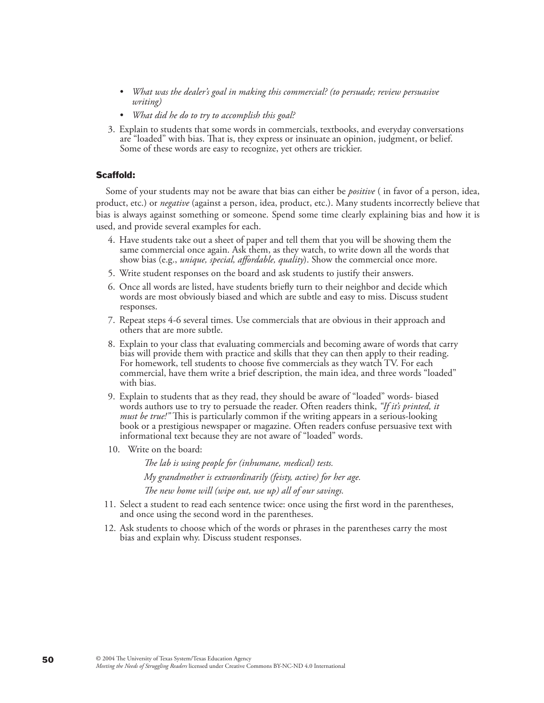- *What was the dealer's goal in making this commercial? (to persuade; review persuasive writing)*
- *What did he do to try to accomplish this goal?*
- 3. Explain to students that some words in commercials, textbooks, and everyday conversations are "loaded" with bias. That is, they express or insinuate an opinion, judgment, or belief. Some of these words are easy to recognize, yet others are trickier.

#### Scaffold:

Some of your students may not be aware that bias can either be *positive* ( in favor of a person, idea, product, etc.) or *negative* (against a person, idea, product, etc.). Many students incorrectly believe that bias is always against something or someone. Spend some time clearly explaining bias and how it is used, and provide several examples for each.

- 4. Have students take out a sheet of paper and tell them that you will be showing them the same commercial once again. Ask them, as they watch, to write down all the words that show bias (e.g., *unique, special, affordable, quality*). Show the commercial once more.
- 5. Write student responses on the board and ask students to justify their answers.
- 6. Once all words are listed, have students briefly turn to their neighbor and decide which words are most obviously biased and which are subtle and easy to miss. Discuss student responses.
- 7. Repeat steps 4-6 several times. Use commercials that are obvious in their approach and others that are more subtle.
- 8. Explain to your class that evaluating commercials and becoming aware of words that carry bias will provide them with practice and skills that they can then apply to their reading. For homework, tell students to choose five commercials as they watch TV. For each commercial, have them write a brief description, the main idea, and three words "loaded" with bias.
- 9. Explain to students that as they read, they should be aware of "loaded" words- biased words authors use to try to persuade the reader. Often readers think, *"If it's printed, it must be true!"* This is particularly common if the writing appears in a serious-looking book or a prestigious newspaper or magazine. Often readers confuse persuasive text with informational text because they are not aware of "loaded" words.
- 10. Write on the board:

*The lab is using people for (inhumane, medical) tests.*

*My grandmother is extraordinarily (feisty, active) for her age.*

*The new home will (wipe out, use up) all of our savings.* 

- 11. Select a student to read each sentence twice: once using the first word in the parentheses, and once using the second word in the parentheses.
- 12. Ask students to choose which of the words or phrases in the parentheses carry the most bias and explain why. Discuss student responses.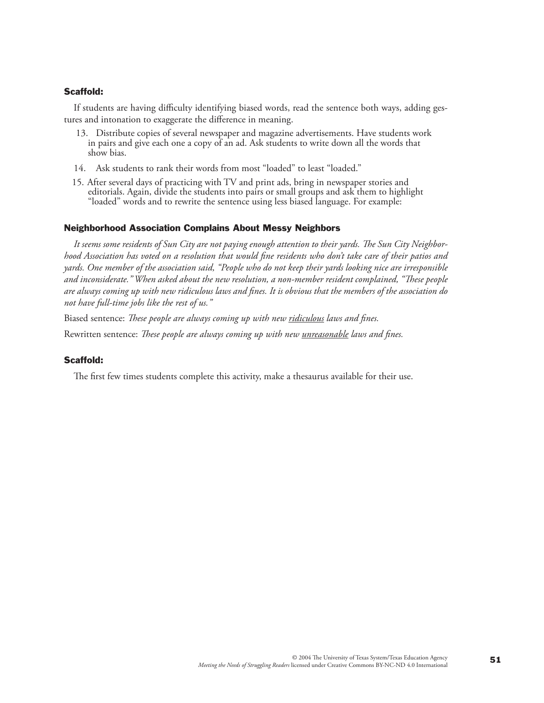#### Scaffold:

If students are having difficulty identifying biased words, read the sentence both ways, adding gestures and intonation to exaggerate the difference in meaning.

- 13. Distribute copies of several newspaper and magazine advertisements. Have students work in pairs and give each one a copy of an ad. Ask students to write down all the words that show bias.
- 14. Ask students to rank their words from most "loaded" to least "loaded."
- 15. After several days of practicing with TV and print ads, bring in newspaper stories and editorials. Again, divide the students into pairs or small groups and ask them to highlight "loaded" words and to rewrite the sentence using less biased language. For example:

#### Neighborhood Association Complains About Messy Neighbors

*It seems some residents of Sun City are not paying enough attention to their yards. The Sun City Neighborhood Association has voted on a resolution that would fine residents who don't take care of their patios and yards. One member of the association said, "People who do not keep their yards looking nice are irresponsible and inconsiderate." When asked about the new resolution, a non-member resident complained, "These people are always coming up with new ridiculous laws and fines. It is obvious that the members of the association do not have full-time jobs like the rest of us."*

Biased sentence: *These people are always coming up with new ridiculous laws and fines.*

Rewritten sentence: *These people are always coming up with new unreasonable laws and fines.*

#### Scaffold:

The first few times students complete this activity, make a thesaurus available for their use.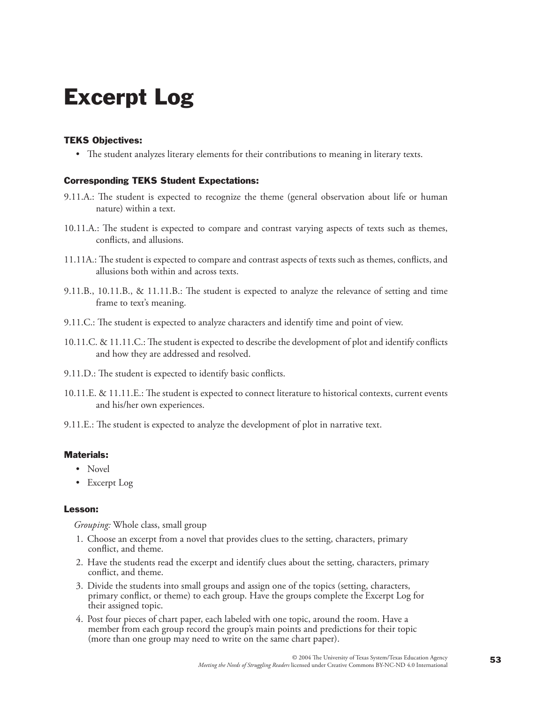# Excerpt Log

### TEKS Objectives:

• The student analyzes literary elements for their contributions to meaning in literary texts.

#### Corresponding TEKS Student Expectations:

- 9.11.A.: The student is expected to recognize the theme (general observation about life or human nature) within a text.
- 10.11.A.: The student is expected to compare and contrast varying aspects of texts such as themes, conflicts, and allusions.
- 11.11A.: The student is expected to compare and contrast aspects of texts such as themes, conflicts, and allusions both within and across texts.
- 9.11.B., 10.11.B., & 11.11.B.: The student is expected to analyze the relevance of setting and time frame to text's meaning.
- 9.11.C.: The student is expected to analyze characters and identify time and point of view.
- 10.11.C. & 11.11.C.: The student is expected to describe the development of plot and identify conflicts and how they are addressed and resolved.
- 9.11.D.: The student is expected to identify basic conflicts.
- 10.11.E. & 11.11.E.: The student is expected to connect literature to historical contexts, current events and his/her own experiences.
- 9.11.E.: The student is expected to analyze the development of plot in narrative text.

### Materials:

- Novel
- Excerpt Log

#### Lesson:

*Grouping:* Whole class, small group

- 1. Choose an excerpt from a novel that provides clues to the setting, characters, primary conflict, and theme.
- 2. Have the students read the excerpt and identify clues about the setting, characters, primary conflict, and theme.
- 3. Divide the students into small groups and assign one of the topics (setting, characters, primary conflict, or theme) to each group. Have the groups complete the Excerpt Log for their assigned topic.
- 4. Post four pieces of chart paper, each labeled with one topic, around the room. Have a member from each group record the group's main points and predictions for their topic (more than one group may need to write on the same chart paper).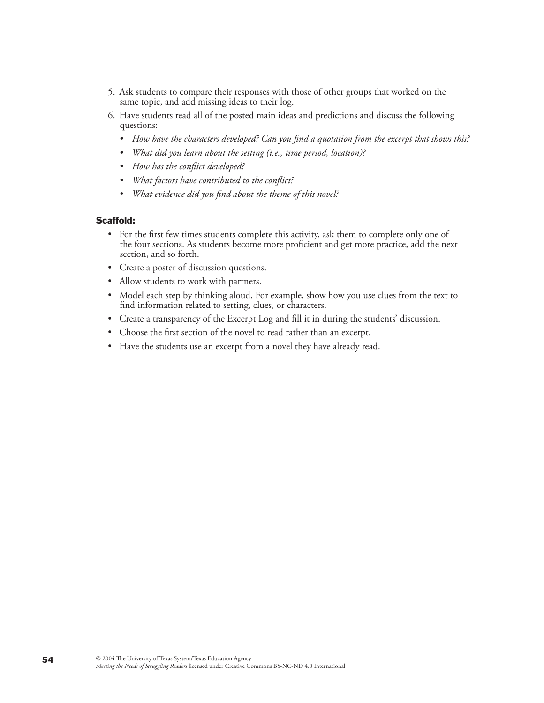- 5. Ask students to compare their responses with those of other groups that worked on the same topic, and add missing ideas to their log.
- 6. Have students read all of the posted main ideas and predictions and discuss the following questions:
	- *How have the characters developed? Can you find a quotation from the excerpt that shows this?*
	- *What did you learn about the setting (i.e., time period, location)?*
	- *How has the conflict developed?*
	- *What factors have contributed to the conflict?*
	- *What evidence did you find about the theme of this novel?*

#### Scaffold:

- For the first few times students complete this activity, ask them to complete only one of the four sections. As students become more proficient and get more practice, add the next section, and so forth.
- Create a poster of discussion questions.
- Allow students to work with partners.
- Model each step by thinking aloud. For example, show how you use clues from the text to find information related to setting, clues, or characters.
- Create a transparency of the Excerpt Log and fill it in during the students' discussion.
- Choose the first section of the novel to read rather than an excerpt.
- Have the students use an excerpt from a novel they have already read.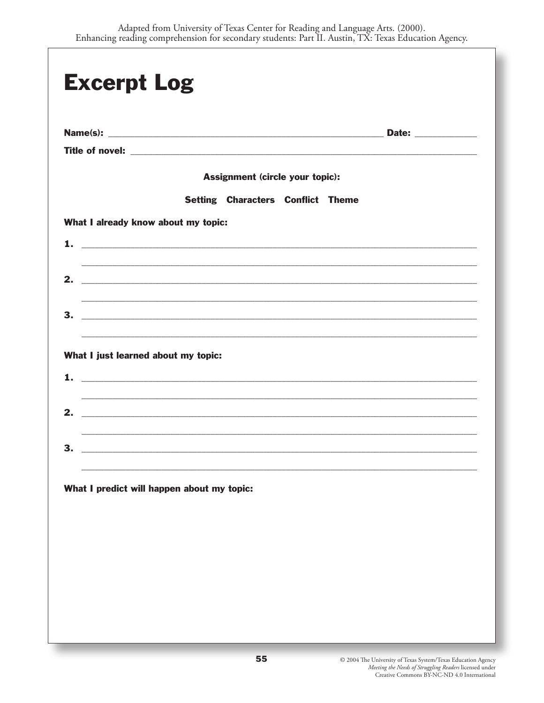| <b>Assignment (circle your topic):</b><br><b>Setting Characters Conflict Theme</b>                                    |                                                                                                                                                                          |  |
|-----------------------------------------------------------------------------------------------------------------------|--------------------------------------------------------------------------------------------------------------------------------------------------------------------------|--|
| <u> 1989 - Johann Stoff, deutscher Stoff, der Stoff, der Stoff, der Stoff, der Stoff, der Stoff, der Stoff, der S</u> | <u> 1999 - Jan James James Sandar (j. 1989)</u><br><u> 1980 - Jan Samuel Barbara, margaret eta batean batean batean batean batean batean batean batean batean batean</u> |  |
|                                                                                                                       |                                                                                                                                                                          |  |
| What I already know about my topic:                                                                                   |                                                                                                                                                                          |  |
| 1.                                                                                                                    |                                                                                                                                                                          |  |
|                                                                                                                       | 2.                                                                                                                                                                       |  |
|                                                                                                                       | 3.<br>What I just learned about my topic:<br>1.<br>2 <sub>1</sub><br>3.<br>What I predict will happen about my topic:                                                    |  |
|                                                                                                                       |                                                                                                                                                                          |  |
|                                                                                                                       |                                                                                                                                                                          |  |
|                                                                                                                       |                                                                                                                                                                          |  |
|                                                                                                                       |                                                                                                                                                                          |  |
|                                                                                                                       |                                                                                                                                                                          |  |
|                                                                                                                       |                                                                                                                                                                          |  |
|                                                                                                                       |                                                                                                                                                                          |  |
|                                                                                                                       |                                                                                                                                                                          |  |
|                                                                                                                       |                                                                                                                                                                          |  |
|                                                                                                                       |                                                                                                                                                                          |  |
|                                                                                                                       |                                                                                                                                                                          |  |
|                                                                                                                       |                                                                                                                                                                          |  |
|                                                                                                                       |                                                                                                                                                                          |  |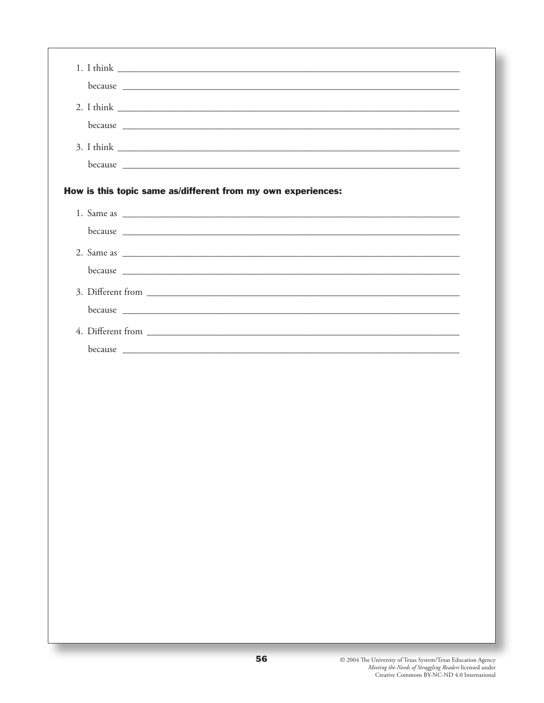| because experience and the set of the set of the set of the set of the set of the set of the set of the set of                                                                                                                 |  |
|--------------------------------------------------------------------------------------------------------------------------------------------------------------------------------------------------------------------------------|--|
|                                                                                                                                                                                                                                |  |
|                                                                                                                                                                                                                                |  |
|                                                                                                                                                                                                                                |  |
| How is this topic same as/different from my own experiences:                                                                                                                                                                   |  |
|                                                                                                                                                                                                                                |  |
| because experience and the contract of the contract of the contract of the contract of the contract of the contract of the contract of the contract of the contract of the contract of the contract of the contract of the con |  |
| 2. Same as $\overline{\qquad \qquad }$                                                                                                                                                                                         |  |
|                                                                                                                                                                                                                                |  |
|                                                                                                                                                                                                                                |  |
|                                                                                                                                                                                                                                |  |
|                                                                                                                                                                                                                                |  |
|                                                                                                                                                                                                                                |  |
|                                                                                                                                                                                                                                |  |
|                                                                                                                                                                                                                                |  |
|                                                                                                                                                                                                                                |  |
|                                                                                                                                                                                                                                |  |
|                                                                                                                                                                                                                                |  |
|                                                                                                                                                                                                                                |  |
|                                                                                                                                                                                                                                |  |
|                                                                                                                                                                                                                                |  |
|                                                                                                                                                                                                                                |  |
|                                                                                                                                                                                                                                |  |
|                                                                                                                                                                                                                                |  |
|                                                                                                                                                                                                                                |  |
|                                                                                                                                                                                                                                |  |
|                                                                                                                                                                                                                                |  |
|                                                                                                                                                                                                                                |  |
|                                                                                                                                                                                                                                |  |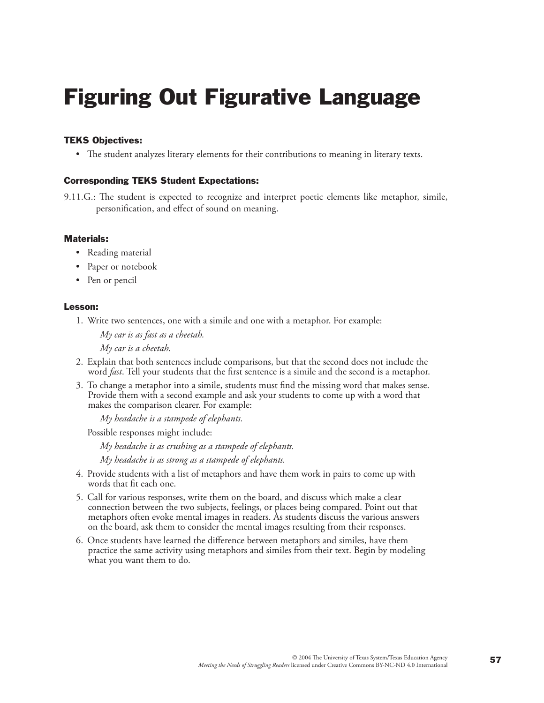# Figuring Out Figurative Language

# TEKS Objectives:

• The student analyzes literary elements for their contributions to meaning in literary texts.

### Corresponding TEKS Student Expectations:

9.11.G.: The student is expected to recognize and interpret poetic elements like metaphor, simile, personification, and effect of sound on meaning.

#### Materials:

- Reading material
- Paper or notebook
- Pen or pencil

#### Lesson:

1. Write two sentences, one with a simile and one with a metaphor. For example:

*My car is as fast as a cheetah.*

*My car is a cheetah.*

- 2. Explain that both sentences include comparisons, but that the second does not include the word *fast*. Tell your students that the first sentence is a simile and the second is a metaphor.
- 3. To change a metaphor into a simile, students must find the missing word that makes sense. Provide them with a second example and ask your students to come up with a word that makes the comparison clearer. For example:

*My headache is a stampede of elephants.*

Possible responses might include:

*My headache is as crushing as a stampede of elephants.*

*My headache is as strong as a stampede of elephants.*

- 4. Provide students with a list of metaphors and have them work in pairs to come up with words that fit each one.
- 5. Call for various responses, write them on the board, and discuss which make a clear connection between the two subjects, feelings, or places being compared. Point out that metaphors often evoke mental images in readers. As students discuss the various answers on the board, ask them to consider the mental images resulting from their responses.
- 6. Once students have learned the difference between metaphors and similes, have them practice the same activity using metaphors and similes from their text. Begin by modeling what you want them to do.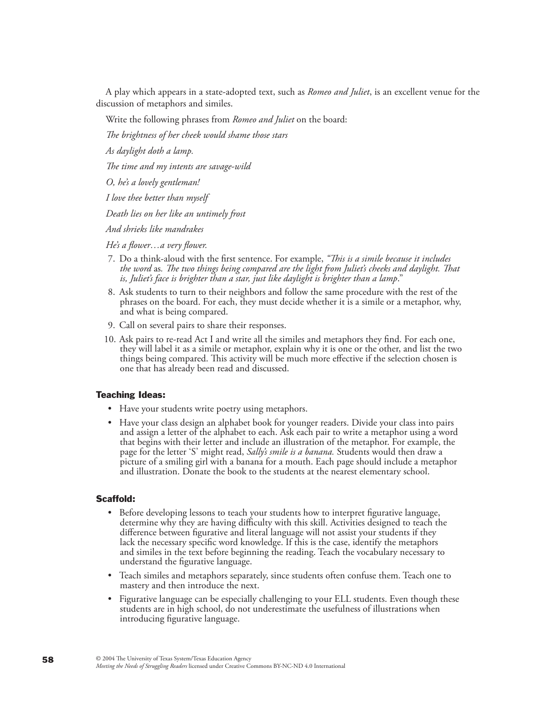A play which appears in a state-adopted text, such as *Romeo and Juliet*, is an excellent venue for the discussion of metaphors and similes.

Write the following phrases from *Romeo and Juliet* on the board:

*The brightness of her cheek would shame those stars*

*As daylight doth a lamp.*

*The time and my intents are savage-wild*

*O, he's a lovely gentleman!*

*I love thee better than myself* 

*Death lies on her like an untimely frost*

*And shrieks like mandrakes* 

*He's a flower…a very flower.*

- 7. Do a think-aloud with the first sentence. For example, *"This is a simile because it includes the word* as*. The two things being compared are the light from Juliet's cheeks and daylight. That is, Juliet's face is brighter than a star, just like daylight is brighter than a lamp*."
- 8. Ask students to turn to their neighbors and follow the same procedure with the rest of the phrases on the board. For each, they must decide whether it is a simile or a metaphor, why, and what is being compared.
- 9. Call on several pairs to share their responses.
- 10. Ask pairs to re-read Act I and write all the similes and metaphors they find. For each one, they will label it as a simile or metaphor, explain why it is one or the other, and list the two things being compared. This activity will be much more effective if the selection chosen is one that has already been read and discussed.

#### Teaching Ideas:

- Have your students write poetry using metaphors.
- Have your class design an alphabet book for younger readers. Divide your class into pairs and assign a letter of the alphabet to each. Ask each pair to write a metaphor using a word that begins with their letter and include an illustration of the metaphor. For example, the page for the letter 'S' might read, *Sally's smile is a banana.* Students would then draw a picture of a smiling girl with a banana for a mouth. Each page should include a metaphor and illustration. Donate the book to the students at the nearest elementary school.

#### Scaffold:

- Before developing lessons to teach your students how to interpret figurative language, determine why they are having difficulty with this skill. Activities designed to teach the difference between figurative and literal language will not assist your students if they lack the necessary specific word knowledge. If this is the case, identify the metaphors and similes in the text before beginning the reading. Teach the vocabulary necessary to understand the figurative language.
- Teach similes and metaphors separately, since students often confuse them. Teach one to mastery and then introduce the next.
- Figurative language can be especially challenging to your ELL students. Even though these students are in high school, do not underestimate the usefulness of illustrations when introducing figurative language.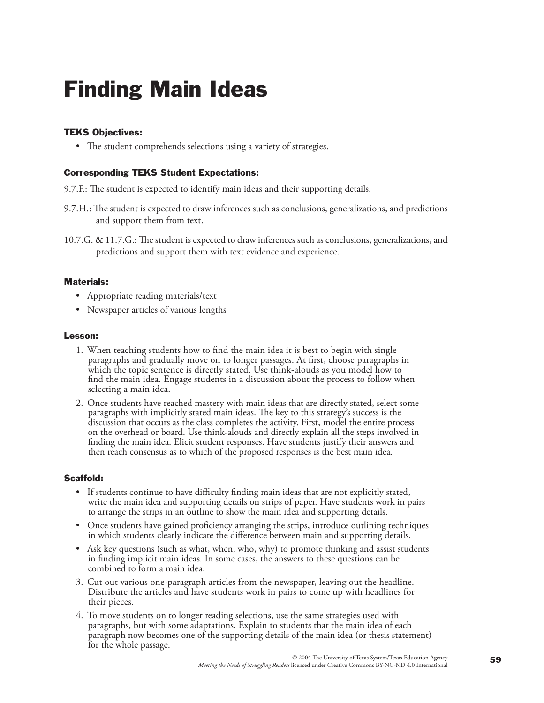# Finding Main Ideas

# TEKS Objectives:

• The student comprehends selections using a variety of strategies.

### Corresponding TEKS Student Expectations:

- 9.7.F.: The student is expected to identify main ideas and their supporting details.
- 9.7.H.: The student is expected to draw inferences such as conclusions, generalizations, and predictions and support them from text.
- 10.7.G. & 11.7.G.: The student is expected to draw inferences such as conclusions, generalizations, and predictions and support them with text evidence and experience.

### Materials:

- Appropriate reading materials/text
- Newspaper articles of various lengths

### Lesson:

- 1. When teaching students how to find the main idea it is best to begin with single paragraphs and gradually move on to longer passages. At first, choose paragraphs in which the topic sentence is directly stated. Use think-alouds as you model how to find the main idea. Engage students in a discussion about the process to follow when selecting a main idea.
- 2. Once students have reached mastery with main ideas that are directly stated, select some paragraphs with implicitly stated main ideas. The key to this strategy's success is the discussion that occurs as the class completes the activity. First, model the entire process on the overhead or board. Use think-alouds and directly explain all the steps involved in finding the main idea. Elicit student responses. Have students justify their answers and then reach consensus as to which of the proposed responses is the best main idea.

### Scaffold:

- If students continue to have difficulty finding main ideas that are not explicitly stated, write the main idea and supporting details on strips of paper. Have students work in pairs to arrange the strips in an outline to show the main idea and supporting details.
- Once students have gained proficiency arranging the strips, introduce outlining techniques in which students clearly indicate the difference between main and supporting details.
- Ask key questions (such as what, when, who, why) to promote thinking and assist students in finding implicit main ideas. In some cases, the answers to these questions can be combined to form a main idea.
- 3. Cut out various one-paragraph articles from the newspaper, leaving out the headline. Distribute the articles and have students work in pairs to come up with headlines for their pieces.
- 4. To move students on to longer reading selections, use the same strategies used with paragraphs, but with some adaptations. Explain to students that the main idea of each paragraph now becomes one of the supporting details of the main idea (or thesis statement) for the whole passage.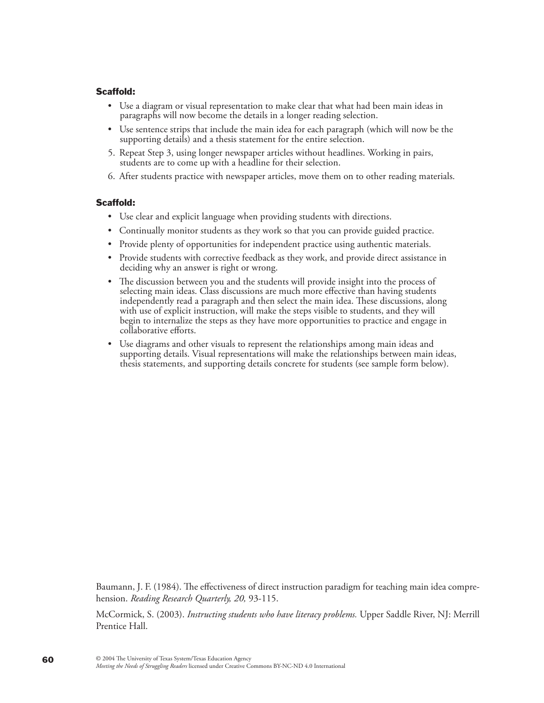#### Scaffold:

- Use a diagram or visual representation to make clear that what had been main ideas in paragraphs will now become the details in a longer reading selection.
- Use sentence strips that include the main idea for each paragraph (which will now be the supporting details) and a thesis statement for the entire selection.
- 5. Repeat Step 3, using longer newspaper articles without headlines. Working in pairs, students are to come up with a headline for their selection.
- 6. After students practice with newspaper articles, move them on to other reading materials.

#### Scaffold:

- Use clear and explicit language when providing students with directions.
- Continually monitor students as they work so that you can provide guided practice.
- Provide plenty of opportunities for independent practice using authentic materials.
- Provide students with corrective feedback as they work, and provide direct assistance in deciding why an answer is right or wrong.
- The discussion between you and the students will provide insight into the process of selecting main ideas. Class discussions are much more effective than having students independently read a paragraph and then select the main idea. These discussions, along with use of explicit instruction, will make the steps visible to students, and they will begin to internalize the steps as they have more opportunities to practice and engage in collaborative efforts.
- Use diagrams and other visuals to represent the relationships among main ideas and supporting details. Visual representations will make the relationships between main ideas, thesis statements, and supporting details concrete for students (see sample form below).

Baumann, J. F. (1984). The effectiveness of direct instruction paradigm for teaching main idea comprehension. *Reading Research Quarterly, 20,* 93-115.

McCormick, S. (2003). *Instructing students who have literacy problems.* Upper Saddle River, NJ: Merrill Prentice Hall.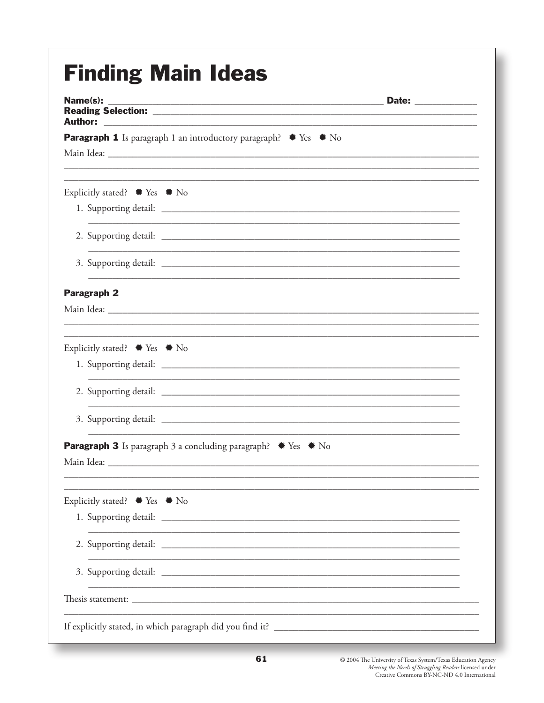| <b>Author:</b><br><b>Paragraph 1</b> Is paragraph 1 an introductory paragraph? $\#$ Yes $\#$ No                 |  |
|-----------------------------------------------------------------------------------------------------------------|--|
| Explicitly stated? $*$ Yes $*$ No                                                                               |  |
|                                                                                                                 |  |
|                                                                                                                 |  |
|                                                                                                                 |  |
| Paragraph 2                                                                                                     |  |
| Explicitly stated? $*$ Yes $*$ No                                                                               |  |
|                                                                                                                 |  |
|                                                                                                                 |  |
|                                                                                                                 |  |
|                                                                                                                 |  |
|                                                                                                                 |  |
| <b>Paragraph 3</b> Is paragraph 3 a concluding paragraph? $\#$ Yes $\#$ No<br>Explicitly stated? $*$ Yes $*$ No |  |
|                                                                                                                 |  |
|                                                                                                                 |  |
|                                                                                                                 |  |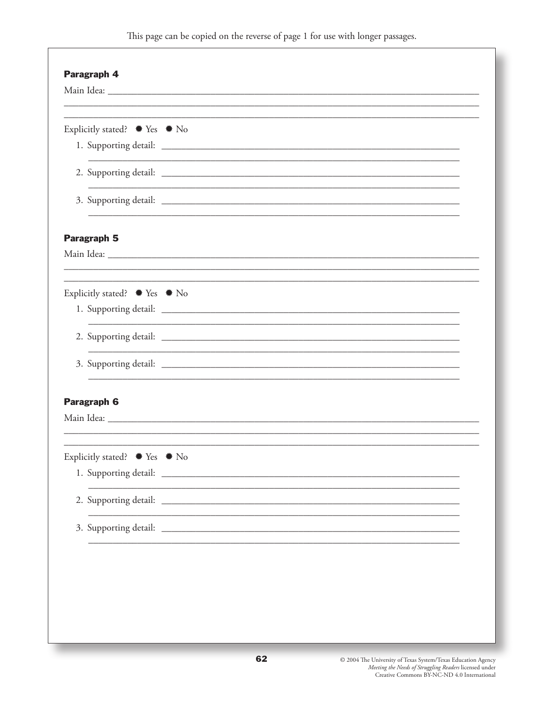| Explicitly stated? $\#$ Yes $\#$ No |  |                                                                                                                       |  |
|-------------------------------------|--|-----------------------------------------------------------------------------------------------------------------------|--|
|                                     |  |                                                                                                                       |  |
|                                     |  |                                                                                                                       |  |
|                                     |  |                                                                                                                       |  |
| Paragraph 5                         |  |                                                                                                                       |  |
|                                     |  |                                                                                                                       |  |
|                                     |  |                                                                                                                       |  |
| Explicitly stated? $*$ Yes $*$ No   |  |                                                                                                                       |  |
|                                     |  |                                                                                                                       |  |
|                                     |  |                                                                                                                       |  |
|                                     |  |                                                                                                                       |  |
|                                     |  |                                                                                                                       |  |
| Paragraph 6                         |  |                                                                                                                       |  |
|                                     |  |                                                                                                                       |  |
| Explicitly stated? * Yes * No       |  |                                                                                                                       |  |
|                                     |  |                                                                                                                       |  |
|                                     |  | <u> 1989 - Johann Stoff, deutscher Stoff, der Stoff, der Stoff, der Stoff, der Stoff, der Stoff, der Stoff, der S</u> |  |
|                                     |  |                                                                                                                       |  |
|                                     |  |                                                                                                                       |  |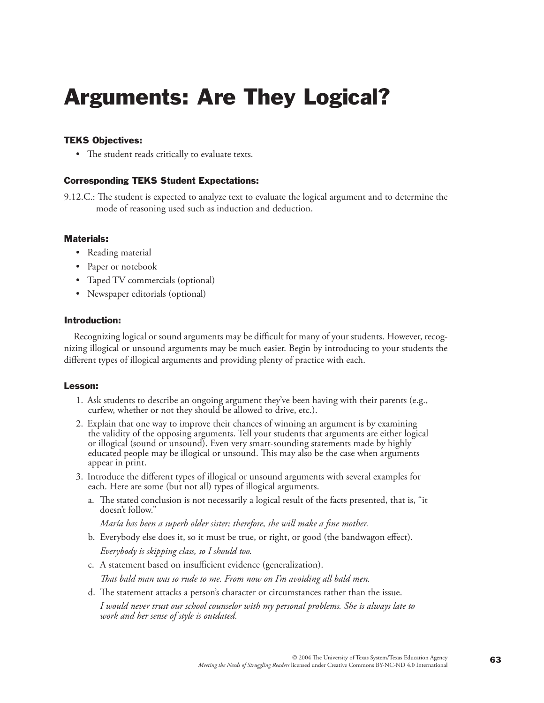# Arguments: Are They Logical?

# TEKS Objectives:

• The student reads critically to evaluate texts.

### Corresponding TEKS Student Expectations:

9.12.C.: The student is expected to analyze text to evaluate the logical argument and to determine the mode of reasoning used such as induction and deduction.

### Materials:

- Reading material
- Paper or notebook
- Taped TV commercials (optional)
- Newspaper editorials (optional)

#### Introduction:

Recognizing logical or sound arguments may be difficult for many of your students. However, recognizing illogical or unsound arguments may be much easier. Begin by introducing to your students the different types of illogical arguments and providing plenty of practice with each.

#### Lesson:

- 1. Ask students to describe an ongoing argument they've been having with their parents (e.g., curfew, whether or not they should be allowed to drive, etc.).
- 2. Explain that one way to improve their chances of winning an argument is by examining the validity of the opposing arguments. Tell your students that arguments are either logical or illogical (sound or unsound). Even very smart-sounding statements made by highly educated people may be illogical or unsound. This may also be the case when arguments appear in print.
- 3. Introduce the different types of illogical or unsound arguments with several examples for each. Here are some (but not all) types of illogical arguments.
	- a. The stated conclusion is not necessarily a logical result of the facts presented, that is, "it doesn't follow."

*María has been a superb older sister; therefore, she will make a fine mother.*

- b. Everybody else does it, so it must be true, or right, or good (the bandwagon effect). *Everybody is skipping class, so I should too.*
- c. A statement based on insufficient evidence (generalization).

*That bald man was so rude to me. From now on I'm avoiding all bald men.*

d. The statement attacks a person's character or circumstances rather than the issue.

*I would never trust our school counselor with my personal problems. She is always late to work and her sense of style is outdated.*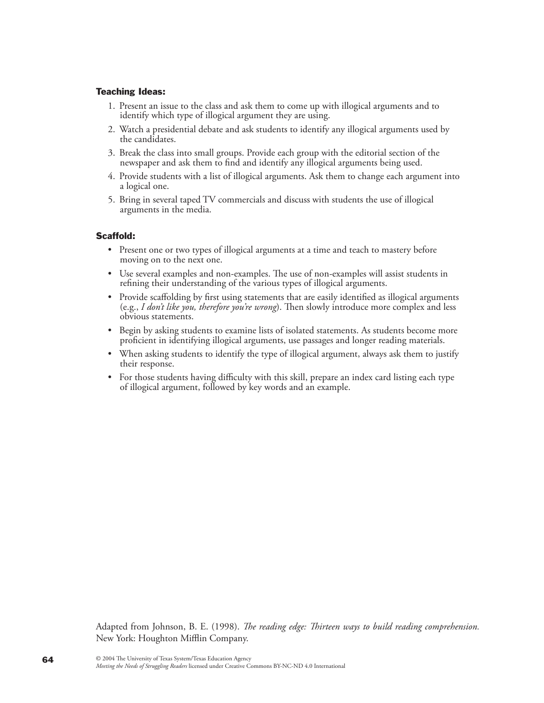#### Teaching Ideas:

- 1. Present an issue to the class and ask them to come up with illogical arguments and to identify which type of illogical argument they are using.
- 2. Watch a presidential debate and ask students to identify any illogical arguments used by the candidates.
- 3. Break the class into small groups. Provide each group with the editorial section of the newspaper and ask them to find and identify any illogical arguments being used.
- 4. Provide students with a list of illogical arguments. Ask them to change each argument into a logical one.
- 5. Bring in several taped TV commercials and discuss with students the use of illogical arguments in the media.

#### Scaffold:

- Present one or two types of illogical arguments at a time and teach to mastery before moving on to the next one.
- Use several examples and non-examples. The use of non-examples will assist students in refining their understanding of the various types of illogical arguments.
- Provide scaffolding by first using statements that are easily identified as illogical arguments (e.g., *I don't like you, therefore you're wrong*). Then slowly introduce more complex and less obvious statements.
- Begin by asking students to examine lists of isolated statements. As students become more proficient in identifying illogical arguments, use passages and longer reading materials.
- When asking students to identify the type of illogical argument, always ask them to justify their response.
- For those students having difficulty with this skill, prepare an index card listing each type of illogical argument, followed by key words and an example.

Adapted from Johnson, B. E. (1998). *The reading edge: Thirteen ways to build reading comprehension.*  New York: Houghton Mifflin Company.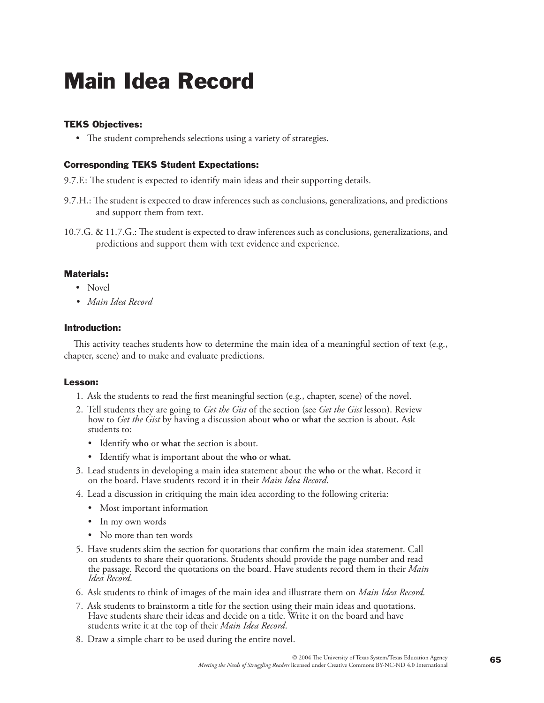# Main Idea Record

# TEKS Objectives:

• The student comprehends selections using a variety of strategies.

# Corresponding TEKS Student Expectations:

9.7.F.: The student is expected to identify main ideas and their supporting details.

- 9.7.H.: The student is expected to draw inferences such as conclusions, generalizations, and predictions and support them from text.
- 10.7.G. & 11.7.G.: The student is expected to draw inferences such as conclusions, generalizations, and predictions and support them with text evidence and experience.

### Materials:

- Novel
- *• Main Idea Record*

### Introduction:

This activity teaches students how to determine the main idea of a meaningful section of text (e.g., chapter, scene) and to make and evaluate predictions.

#### Lesson:

- 1. Ask the students to read the first meaningful section (e.g., chapter, scene) of the novel.
- 2. Tell students they are going to *Get the Gist* of the section (see *Get the Gist* lesson). Review how to *Get the Gist* by having a discussion about **who** or **what** the section is about. Ask students to:
	- Identify **who** or **what** the section is about.
	- Identify what is important about the **who** or **what.**
- 3. Lead students in developing a main idea statement about the **who** or the **what**. Record it on the board. Have students record it in their *Main Idea Record*.
- 4. Lead a discussion in critiquing the main idea according to the following criteria:
	- Most important information
	- In my own words
	- No more than ten words
- 5. Have students skim the section for quotations that confirm the main idea statement. Call on students to share their quotations. Students should provide the page number and read the passage. Record the quotations on the board. Have students record them in their *Main Idea Record*.
- 6. Ask students to think of images of the main idea and illustrate them on *Main Idea Record.*
- 7. Ask students to brainstorm a title for the section using their main ideas and quotations. Have students share their ideas and decide on a title. Write it on the board and have students write it at the top of their *Main Idea Record*.
- 8. Draw a simple chart to be used during the entire novel.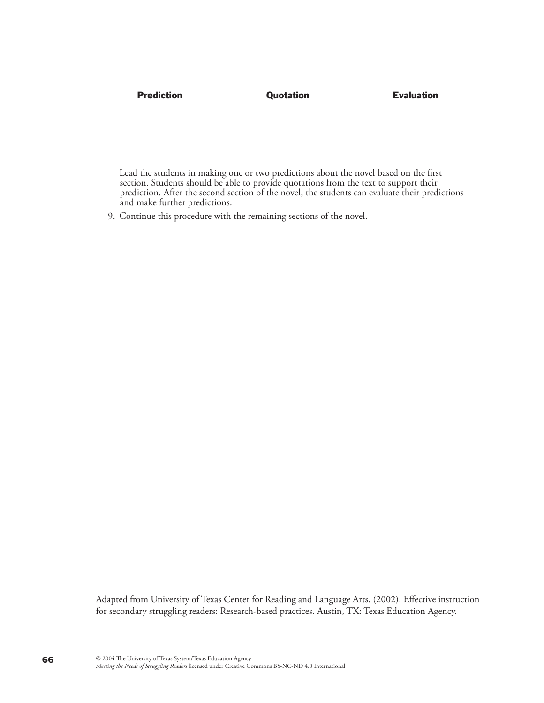| <b>Prediction</b> | <b>Quotation</b> | <b>Evaluation</b> |
|-------------------|------------------|-------------------|
|                   |                  |                   |
|                   |                  |                   |
|                   |                  |                   |
|                   |                  |                   |

Lead the students in making one or two predictions about the novel based on the first section. Students should be able to provide quotations from the text to support their prediction. After the second section of the novel, the students can evaluate their predictions and make further predictions.

9. Continue this procedure with the remaining sections of the novel.

Adapted from University of Texas Center for Reading and Language Arts. (2002). Effective instruction for secondary struggling readers: Research-based practices. Austin, TX: Texas Education Agency.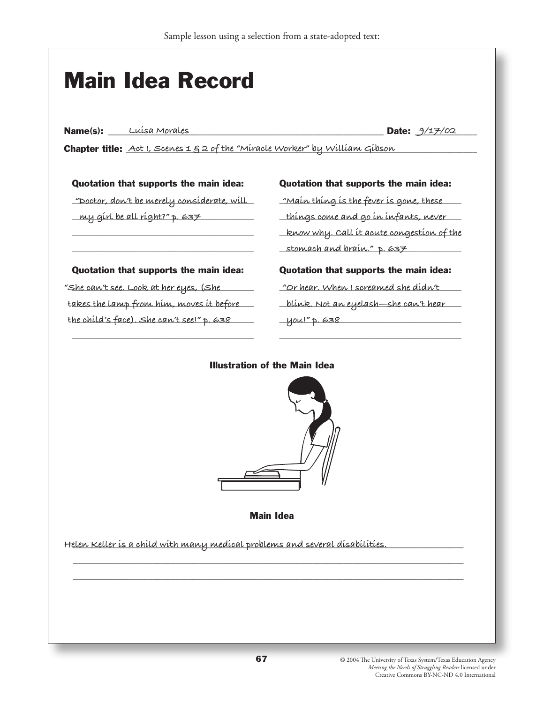# Main Idea Record

Name(s): Luísa Morales

**Date:**  $\frac{9}{17}$ /02

**Chapter title:** \_Act I, Scenes 1 § 2 of the "Miracle Worker" by William Gibson \_\_\_\_\_\_\_\_\_\_\_\_\_\_\_\_\_\_\_\_

### Quotation that supports the main idea:

\_\_\_\_\_\_\_\_\_\_\_\_\_\_\_\_\_\_\_\_\_\_\_\_\_\_\_\_\_\_\_\_\_\_\_\_\_\_\_\_\_ **"Doctor, don't be merely considerate, will**  \_\_\_\_\_\_\_\_\_\_\_\_\_\_\_\_\_\_\_\_\_\_\_\_\_\_\_\_\_\_\_\_\_\_\_\_\_\_\_\_\_ **my girl be all right?" p. 637**

\_\_\_\_\_\_\_\_\_\_\_\_\_\_\_\_\_\_\_\_\_\_\_\_\_\_\_\_\_\_\_\_\_\_\_\_\_\_\_\_\_ \_\_\_\_\_\_\_\_\_\_\_\_\_\_\_\_\_\_\_\_\_\_\_\_\_\_\_\_\_\_\_\_\_\_\_\_\_\_\_\_\_

### Quotation that supports the main idea:

\_\_\_\_\_\_\_\_\_\_\_\_\_\_\_\_\_\_\_\_\_\_\_\_\_\_\_\_\_\_\_\_\_\_\_\_\_\_\_\_\_ **"She can't see. Look at her eyes, (She**  \_\_\_\_\_\_\_\_\_\_\_\_\_\_\_\_\_\_\_\_\_\_\_\_\_\_\_\_\_\_\_\_\_\_\_\_\_\_\_\_\_ **takes the lamp from him, moves it before**  \_\_\_\_\_\_\_\_\_\_\_\_\_\_\_\_\_\_\_\_\_\_\_\_\_\_\_\_\_\_\_\_\_\_\_\_\_\_\_\_\_ **the child's face). She can't see!" p. 638**

\_\_\_\_\_\_\_\_\_\_\_\_\_\_\_\_\_\_\_\_\_\_\_\_\_\_\_\_\_\_\_\_\_\_\_\_\_\_\_\_\_

Quotation that supports the main idea:

\_\_\_\_\_\_\_\_\_\_\_\_\_\_\_\_\_\_\_\_\_\_\_\_\_\_\_\_\_\_\_\_\_\_\_\_\_\_\_\_\_ **"Main thing is the fever is gone, these**  \_\_\_\_\_\_\_\_\_\_\_\_\_\_\_\_\_\_\_\_\_\_\_\_\_\_\_\_\_\_\_\_\_\_\_\_\_\_\_\_\_ **things come and go in infants, never**  \_\_\_\_\_\_\_\_\_\_\_\_\_\_\_\_\_\_\_\_\_\_\_\_\_\_\_\_\_\_\_\_\_\_\_\_\_\_\_\_\_ **know why. Call it acute congestion of the** 

\_\_\_\_\_\_\_\_\_\_\_\_\_\_\_\_\_\_\_\_\_\_\_\_\_\_\_\_\_\_\_\_\_\_\_\_\_\_\_\_\_ **stomach and brain." p. 637**

# Quotation that supports the main idea:

\_\_\_\_\_\_\_\_\_\_\_\_\_\_\_\_\_\_\_\_\_\_\_\_\_\_\_\_\_\_\_\_\_\_\_\_\_\_\_\_\_ **"Or hear. When I screamed she didn't** 

\_\_\_\_\_\_\_\_\_\_\_\_\_\_\_\_\_\_\_\_\_\_\_\_\_\_\_\_\_\_\_\_\_\_\_\_\_\_\_\_\_ **blink. Not an eyelash—she can't hear**  \_\_\_\_\_\_\_\_\_\_\_\_\_\_\_\_\_\_\_\_\_\_\_\_\_\_\_\_\_\_\_\_\_\_\_\_\_\_\_\_\_ **you!" p. 638**

\_\_\_\_\_\_\_\_\_\_\_\_\_\_\_\_\_\_\_\_\_\_\_\_\_\_\_\_\_\_\_\_\_\_\_\_\_\_\_\_\_

### Illustration of the Main Idea



Main Idea

\_\_\_\_\_\_\_\_\_\_\_\_\_\_\_\_\_\_\_\_\_\_\_\_\_\_\_\_\_\_\_\_\_\_\_\_\_\_\_\_\_\_\_\_\_\_\_\_\_\_\_\_\_\_\_\_\_\_\_\_\_\_\_\_\_\_\_\_\_\_\_\_\_\_\_\_\_\_\_\_\_\_\_\_\_\_\_\_ \_\_\_\_\_\_\_\_\_\_\_\_\_\_\_\_\_\_\_\_\_\_\_\_\_\_\_\_\_\_\_\_\_\_\_\_\_\_\_\_\_\_\_\_\_\_\_\_\_\_\_\_\_\_\_\_\_\_\_\_\_\_\_\_\_\_\_\_\_\_\_\_\_\_\_\_\_\_\_\_\_\_\_\_\_\_\_\_

\_\_\_\_\_\_\_\_\_\_\_\_\_\_\_\_\_\_\_\_\_\_\_\_\_\_\_\_\_\_\_\_\_\_\_\_\_\_\_\_\_\_\_\_\_\_\_\_\_\_\_\_\_\_\_\_\_\_\_\_\_\_\_\_\_\_\_\_\_\_\_\_\_\_\_\_\_\_\_\_\_\_\_\_\_\_\_\_ **Helen Keller is a child with many medical problems and several disabilities.**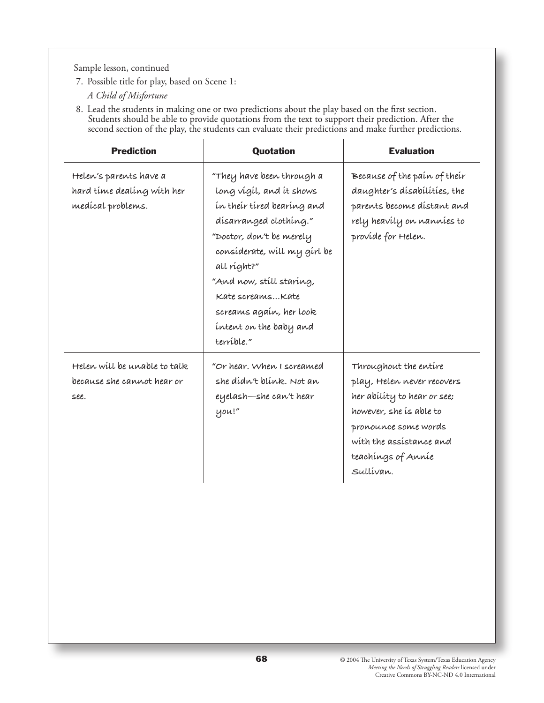Sample lesson, continued

- 7. Possible title for play, based on Scene 1:
	- *A Child of Misfortune*
- 8. Lead the students in making one or two predictions about the play based on the first section. Students should be able to provide quotations from the text to support their prediction. After the second section of the play, the students can evaluate their predictions and make further predictions.

| <b>Prediction</b>                                                         | <b>Quotation</b>                                                                                                                                                                                                                                                                                            | <b>Evaluation</b>                                                                                                                                                                                   |
|---------------------------------------------------------------------------|-------------------------------------------------------------------------------------------------------------------------------------------------------------------------------------------------------------------------------------------------------------------------------------------------------------|-----------------------------------------------------------------------------------------------------------------------------------------------------------------------------------------------------|
| Helen's parents have a<br>hard time dealing with her<br>medical problems. | "They have been through a<br>long vigil, and it shows<br>in their tired bearing and<br>disarranged clothing."<br>"Doctor, don't be merely<br>consíderate, will my girl be<br>all ríght?"<br>"And now, still staring,<br>Kate screamsKate<br>screams again, her look<br>intent on the baby and<br>terríble." | Because of the pain of their<br>daughter's disabilities, the<br>parents become distant and<br>rely heavily on nannies to<br>provide for Helen.                                                      |
| Helen will be unable to talk<br>because she cannot hear or<br>see.        | "Or hear. When I screamed<br>she dídn't blínk. Not an<br>eyelash—she can't hear<br>you!"                                                                                                                                                                                                                    | Throughout the entire<br>play, Helen never recovers<br>her ability to hear or see;<br>however, she is able to<br>pronounce some words<br>with the assistance and<br>teachings of Annie<br>Sullivan. |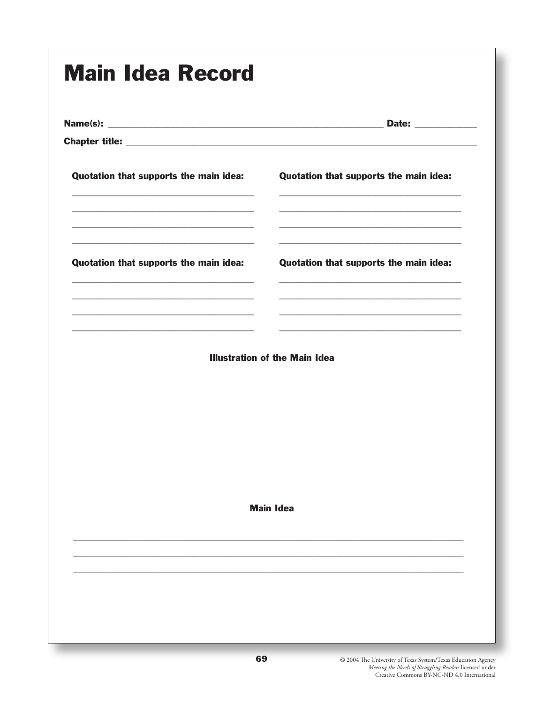|                                        | Date: _____________                    |
|----------------------------------------|----------------------------------------|
| Quotation that supports the main idea: | Quotation that supports the main idea: |
| Quotation that supports the main idea: | Quotation that supports the main idea: |
|                                        |                                        |
|                                        | <b>Illustration of the Main Idea</b>   |
|                                        |                                        |
|                                        |                                        |
|                                        | <b>Main Idea</b>                       |
|                                        |                                        |
|                                        |                                        |
|                                        |                                        |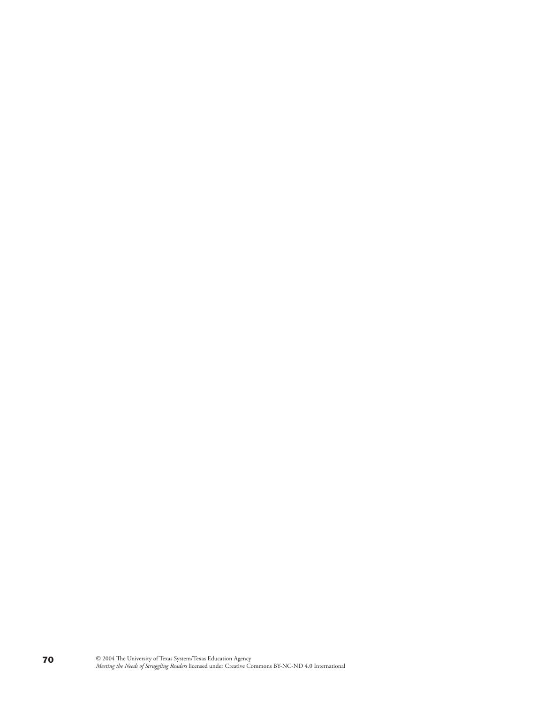70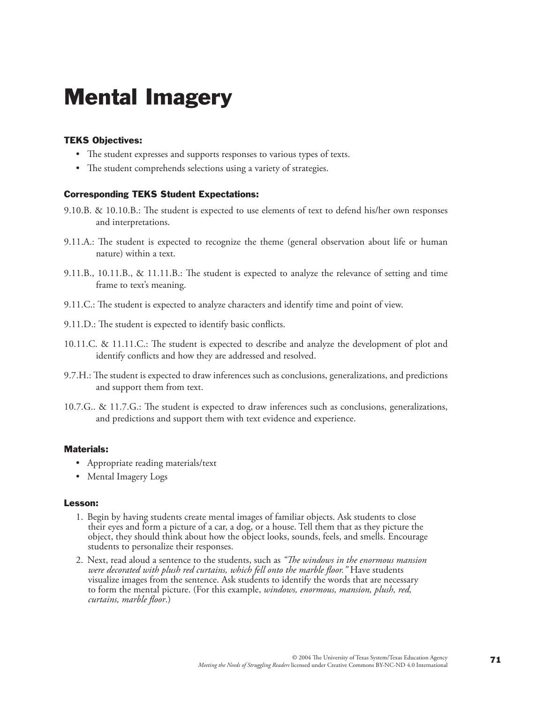# Mental Imagery

### TEKS Objectives:

- The student expresses and supports responses to various types of texts.
- The student comprehends selections using a variety of strategies.

#### Corresponding TEKS Student Expectations:

- 9.10.B. & 10.10.B.: The student is expected to use elements of text to defend his/her own responses and interpretations.
- 9.11.A.: The student is expected to recognize the theme (general observation about life or human nature) within a text.
- 9.11.B., 10.11.B., & 11.11.B.: The student is expected to analyze the relevance of setting and time frame to text's meaning.
- 9.11.C.: The student is expected to analyze characters and identify time and point of view.
- 9.11.D.: The student is expected to identify basic conflicts.
- 10.11.C. & 11.11.C.: The student is expected to describe and analyze the development of plot and identify conflicts and how they are addressed and resolved.
- 9.7.H.: The student is expected to draw inferences such as conclusions, generalizations, and predictions and support them from text.
- 10.7.G.. & 11.7.G.: The student is expected to draw inferences such as conclusions, generalizations, and predictions and support them with text evidence and experience.

#### Materials:

- Appropriate reading materials/text
- Mental Imagery Logs

#### Lesson:

- 1. Begin by having students create mental images of familiar objects. Ask students to close their eyes and form a picture of a car, a dog, or a house. Tell them that as they picture the object, they should think about how the object looks, sounds, feels, and smells. Encourage students to personalize their responses.
- 2. Next, read aloud a sentence to the students, such as *"The windows in the enormous mansion were decorated with plush red curtains, which fell onto the marble floor."* Have students visualize images from the sentence. Ask students to identify the words that are necessary to form the mental picture. (For this example, *windows, enormous, mansion, plush, red, curtains, marble floor*.)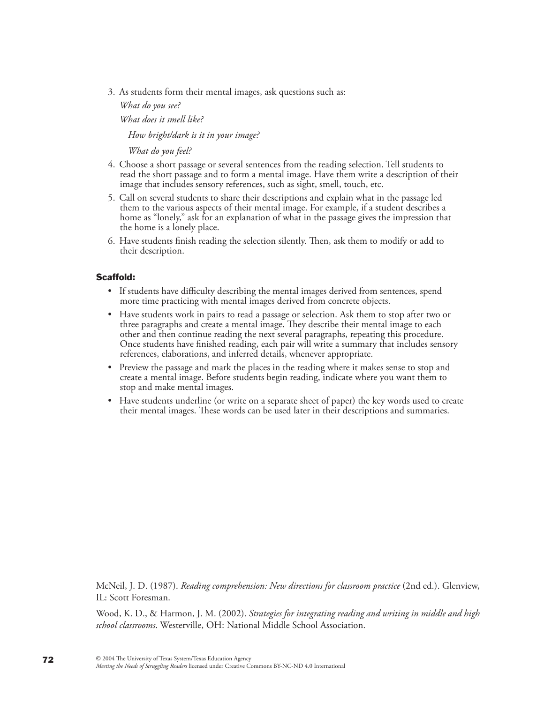3. As students form their mental images, ask questions such as:

*What do you see?*

*What does it smell like?*

*How bright/dark is it in your image?*

*What do you feel?*

- 4. Choose a short passage or several sentences from the reading selection. Tell students to read the short passage and to form a mental image. Have them write a description of their image that includes sensory references, such as sight, smell, touch, etc.
- 5. Call on several students to share their descriptions and explain what in the passage led them to the various aspects of their mental image. For example, if a student describes a home as "lonely," ask for an explanation of what in the passage gives the impression that the home is a lonely place.
- 6. Have students finish reading the selection silently. Then, ask them to modify or add to their description.

#### Scaffold:

- If students have difficulty describing the mental images derived from sentences, spend more time practicing with mental images derived from concrete objects.
- Have students work in pairs to read a passage or selection. Ask them to stop after two or three paragraphs and create a mental image. They describe their mental image to each other and then continue reading the next several paragraphs, repeating this procedure. Once students have finished reading, each pair will write a summary that includes sensory references, elaborations, and inferred details, whenever appropriate.
- Preview the passage and mark the places in the reading where it makes sense to stop and create a mental image. Before students begin reading, indicate where you want them to stop and make mental images.
- Have students underline (or write on a separate sheet of paper) the key words used to create their mental images. These words can be used later in their descriptions and summaries.

McNeil, J. D. (1987). *Reading comprehension: New directions for classroom practice* (2nd ed.). Glenview, IL: Scott Foresman.

Wood, K. D., & Harmon, J. M. (2002). *Strategies for integrating reading and writing in middle and high school classrooms*. Westerville, OH: National Middle School Association.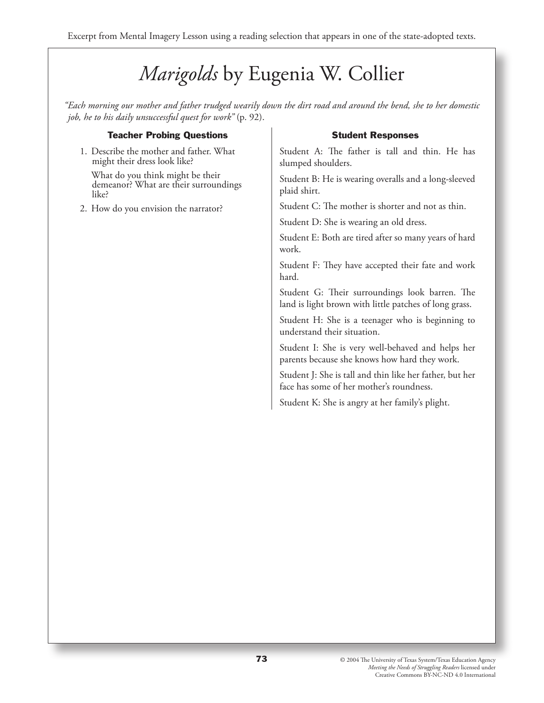# *Marigolds* by Eugenia W. Collier

*"Each morning our mother and father trudged wearily down the dirt road and around the bend, she to her domestic job, he to his daily unsuccessful quest for work"* (p. 92).

# Teacher Probing Questions Teacher Probing Questions

1. Describe the mother and father. What might their dress look like?

What do you think might be their demeanor? What are their surroundings like?

2. How do you envision the narrator?

Student A: The father is tall and thin. He has slumped shoulders.

Student B: He is wearing overalls and a long-sleeved plaid shirt.

Student C: The mother is shorter and not as thin.

Student D: She is wearing an old dress.

Student E: Both are tired after so many years of hard work.

Student F: They have accepted their fate and work hard.

Student G: Their surroundings look barren. The land is light brown with little patches of long grass.

Student H: She is a teenager who is beginning to understand their situation.

Student I: She is very well-behaved and helps her parents because she knows how hard they work.

Student J: She is tall and thin like her father, but her face has some of her mother's roundness.

Student K: She is angry at her family's plight.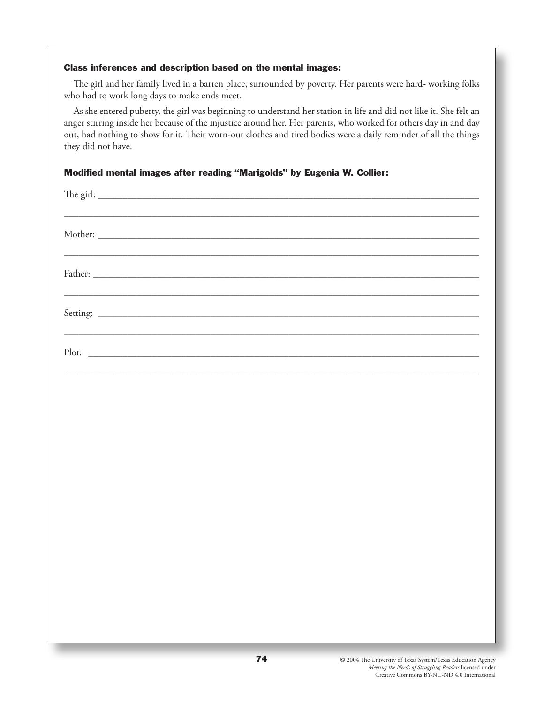## Class inferences and description based on the mental images:

The girl and her family lived in a barren place, surrounded by poverty. Her parents were hard- working folks who had to work long days to make ends meet.

As she entered puberty, the girl was beginning to understand her station in life and did not like it. She felt an anger stirring inside her because of the injustice around her. Her parents, who worked for others day in and day out, had nothing to show for it. Their worn-out clothes and tired bodies were a daily reminder of all the things they did not have.

### Modified mental images after reading "Marigolds" by Eugenia W. Collier:

| ,我们也不能在这里的人,我们也不能在这里的人,我们也不能在这里的人,我们也不能在这里的人,我们也不能在这里的人,我们也不能在这里的人,我们也不能在这里的人,我们也 |  |  |  |
|-----------------------------------------------------------------------------------|--|--|--|
|                                                                                   |  |  |  |
|                                                                                   |  |  |  |
|                                                                                   |  |  |  |
| 一个人的人,我们就是一个人的人,我们就是一个人的人,我们就是一个人的人,我们就是一个人的人,我们就是一个人的人,我们就是一个人的人,我们就是一个人的人。""我们  |  |  |  |
|                                                                                   |  |  |  |
|                                                                                   |  |  |  |
|                                                                                   |  |  |  |
|                                                                                   |  |  |  |
|                                                                                   |  |  |  |
|                                                                                   |  |  |  |
|                                                                                   |  |  |  |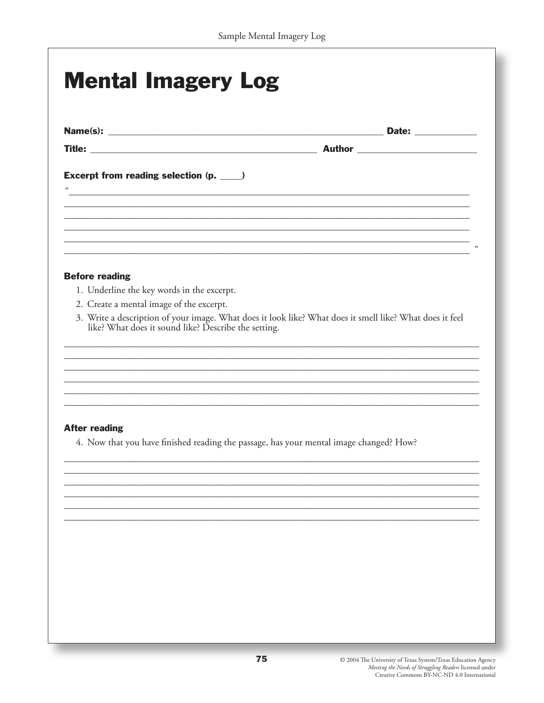|  | <b>Mental Imagery Log</b> |  |
|--|---------------------------|--|
|--|---------------------------|--|

| Excerpt from reading selection (p. ____)                                                                                                                         |  |
|------------------------------------------------------------------------------------------------------------------------------------------------------------------|--|
|                                                                                                                                                                  |  |
|                                                                                                                                                                  |  |
|                                                                                                                                                                  |  |
|                                                                                                                                                                  |  |
|                                                                                                                                                                  |  |
| <b>Before reading</b><br>1. Underline the key words in the excerpt.                                                                                              |  |
| 2. Create a mental image of the excerpt.                                                                                                                         |  |
| 3. Write a description of your image. What does it look like? What does it smell like? What does it feel<br>like? What does it sound like? Describe the setting. |  |
|                                                                                                                                                                  |  |
|                                                                                                                                                                  |  |
|                                                                                                                                                                  |  |
|                                                                                                                                                                  |  |
| <b>After reading</b>                                                                                                                                             |  |
| 4. Now that you have finished reading the passage, has your mental image changed? How?                                                                           |  |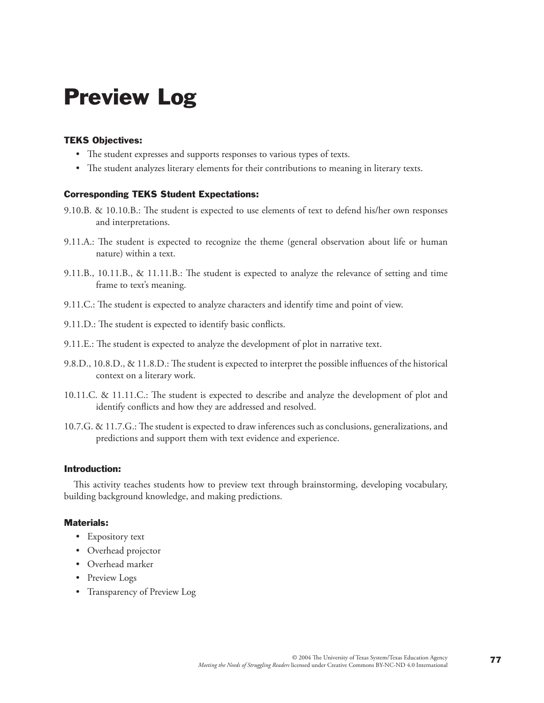# Preview Log

### TEKS Objectives:

- The student expresses and supports responses to various types of texts.
- The student analyzes literary elements for their contributions to meaning in literary texts.

### Corresponding TEKS Student Expectations:

- 9.10.B. & 10.10.B.: The student is expected to use elements of text to defend his/her own responses and interpretations.
- 9.11.A.: The student is expected to recognize the theme (general observation about life or human nature) within a text.
- 9.11.B., 10.11.B., & 11.11.B.: The student is expected to analyze the relevance of setting and time frame to text's meaning.
- 9.11.C.: The student is expected to analyze characters and identify time and point of view.
- 9.11.D.: The student is expected to identify basic conflicts.
- 9.11.E.: The student is expected to analyze the development of plot in narrative text.
- 9.8.D., 10.8.D., & 11.8.D.: The student is expected to interpret the possible influences of the historical context on a literary work.
- 10.11.C. & 11.11.C.: The student is expected to describe and analyze the development of plot and identify conflicts and how they are addressed and resolved.
- 10.7.G. & 11.7.G.: The student is expected to draw inferences such as conclusions, generalizations, and predictions and support them with text evidence and experience.

### Introduction:

This activity teaches students how to preview text through brainstorming, developing vocabulary, building background knowledge, and making predictions.

### Materials:

- Expository text
- Overhead projector
- Overhead marker
- Preview Logs
- Transparency of Preview Log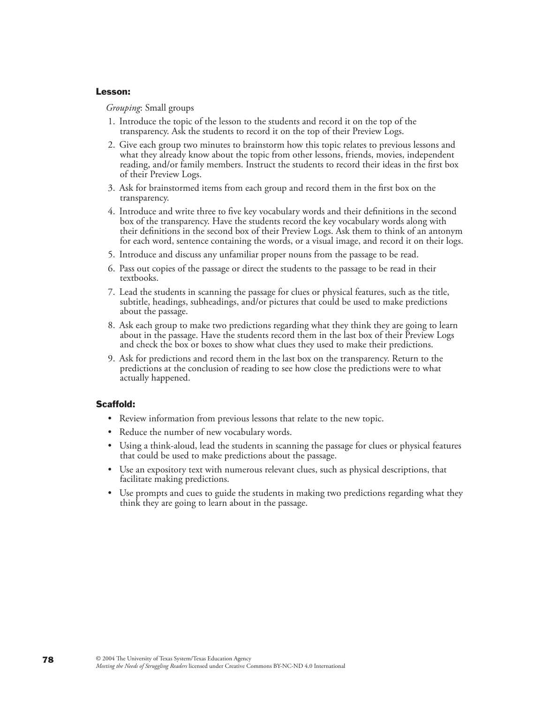#### Lesson:

*Grouping*: Small groups

- 1. Introduce the topic of the lesson to the students and record it on the top of the transparency. Ask the students to record it on the top of their Preview Logs.
- 2. Give each group two minutes to brainstorm how this topic relates to previous lessons and what they already know about the topic from other lessons, friends, movies, independent reading, and/or family members. Instruct the students to record their ideas in the first box of their Preview Logs.
- 3. Ask for brainstormed items from each group and record them in the first box on the transparency.
- 4. Introduce and write three to five key vocabulary words and their definitions in the second box of the transparency. Have the students record the key vocabulary words along with their definitions in the second box of their Preview Logs. Ask them to think of an antonym for each word, sentence containing the words, or a visual image, and record it on their logs.
- 5. Introduce and discuss any unfamiliar proper nouns from the passage to be read.
- 6. Pass out copies of the passage or direct the students to the passage to be read in their textbooks.
- 7. Lead the students in scanning the passage for clues or physical features, such as the title, subtitle, headings, subheadings, and/or pictures that could be used to make predictions about the passage.
- 8. Ask each group to make two predictions regarding what they think they are going to learn about in the passage. Have the students record them in the last box of their Preview Logs and check the box or boxes to show what clues they used to make their predictions.
- 9. Ask for predictions and record them in the last box on the transparency. Return to the predictions at the conclusion of reading to see how close the predictions were to what actually happened.

#### Scaffold:

- Review information from previous lessons that relate to the new topic.
- Reduce the number of new vocabulary words.
- Using a think-aloud, lead the students in scanning the passage for clues or physical features that could be used to make predictions about the passage.
- Use an expository text with numerous relevant clues, such as physical descriptions, that facilitate making predictions.
- Use prompts and cues to guide the students in making two predictions regarding what they think they are going to learn about in the passage.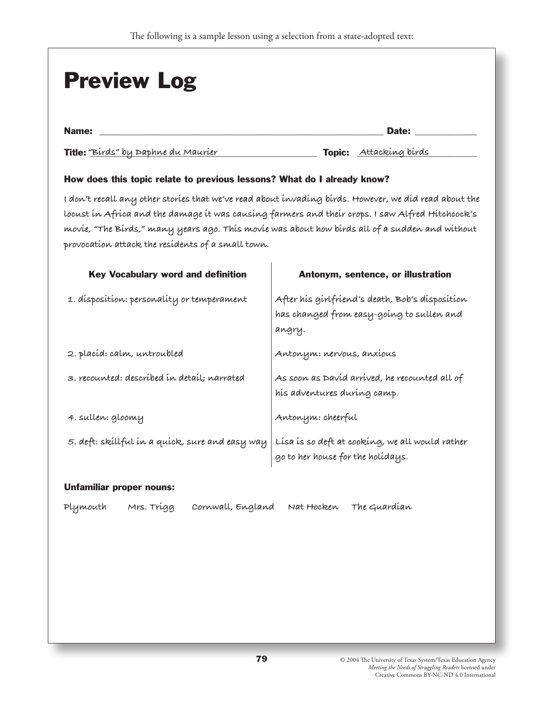# Preview Log

| <b>Name:</b>                               | Date:                         |
|--------------------------------------------|-------------------------------|
| <b>Title:</b> "Birds" by Daphne du Maurier | <b>Topic:</b> Attacking birds |

### How does this topic relate to previous lessons? What do I already know?

**I don't recall any other stories that we've read about invading birds. However, we did read about the locust in Africa and the damage it was causing farmers and their crops. I saw Alfred Hitchcock's movie, "The Birds," many years ago. This movie was about how birds all of a sudden and without provocation attack the residents of a small town.**

 $\mathbf{I}$ 

| <b>Key Vocabulary word and definition</b>       | Antonym, sentence, or illustration                                                                     |
|-------------------------------------------------|--------------------------------------------------------------------------------------------------------|
| 1. dísposítíon: personalíty or temperament      | After his girlfriend's death, Bob's disposition<br>has changed from easy-going to sullen and<br>angry. |
| 2. placíd: calm, untroubled                     | Antonym: nervous, anxíous                                                                              |
| 3. recounted: descríbed in detail; narrated     | As soon as Davíd arrived, he recounted all of<br>his adventures during camp.                           |
| 4. sullen: gloomy                               | Antonym: cheerful                                                                                      |
| 5. deft: skíllful ín a quíck, sure and easy way | Lísa ís so deft at cookíng, we all would rather<br>go to her house for the holidays.                   |

### Unfamiliar proper nouns:

**Plymouth Mrs. Trigg Cornwall, England Nat Hocken The Guardian**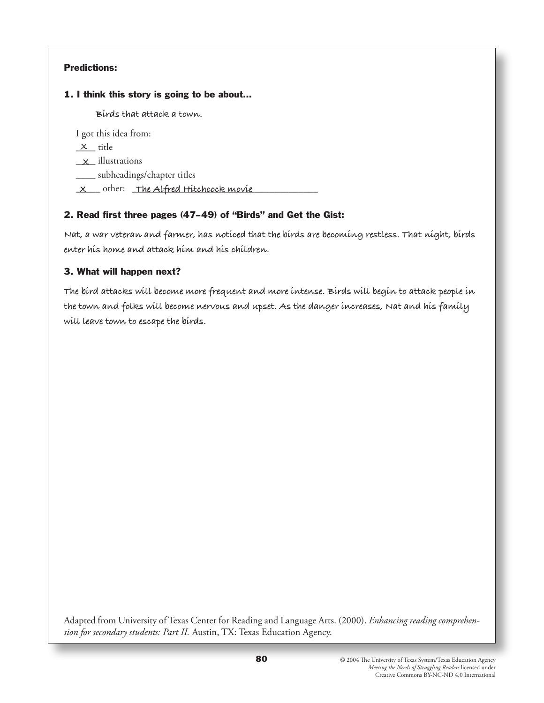# Predictions:

# 1. I think this story is going to be about…

**Birds that attack a town.**

I got this idea from:

 $\underline{\mathsf{x}}$  title

\_\_\_\_ illustrations **X**

\_\_\_\_ subheadings/chapter titles

\_\_\_\_\_ other: \_\_\_\_\_\_\_\_\_\_\_\_\_\_\_\_\_\_\_\_\_\_\_\_\_\_\_\_\_\_\_\_\_\_\_\_\_\_ **X The Alfred Hitchcock movie**

# 2. Read first three pages (47–49) of "Birds" and Get the Gist:

**Nat, a war veteran and farmer, has noticed that the birds are becoming restless. That night, birds enter his home and attack him and his children.**

# 3. What will happen next?

**The bird attacks will become more frequent and more intense. Birds will begin to attack people in the town and folks will become nervous and upset. As the danger increases, Nat and his family will leave town to escape the birds.**

Adapted from University of Texas Center for Reading and Language Arts. (2000). *Enhancing reading comprehension for secondary students: Part II.* Austin, TX: Texas Education Agency.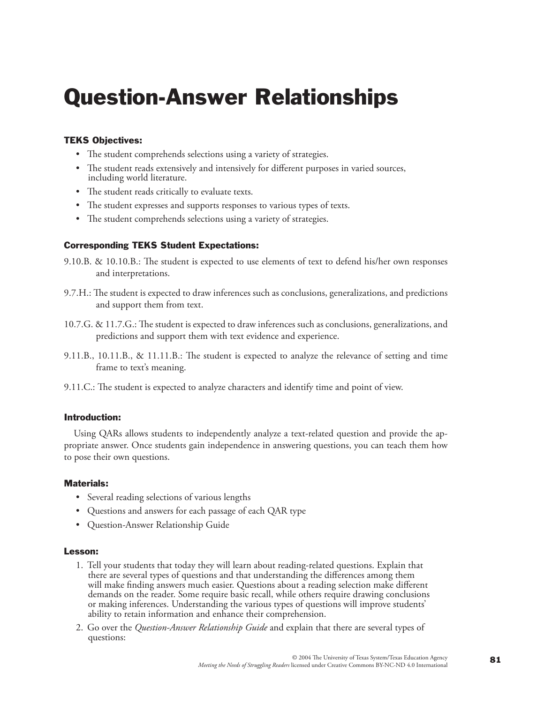# Question-Answer Relationships

### TEKS Objectives:

- The student comprehends selections using a variety of strategies.
- The student reads extensively and intensively for different purposes in varied sources, including world literature.
- The student reads critically to evaluate texts.
- The student expresses and supports responses to various types of texts.
- The student comprehends selections using a variety of strategies.

### Corresponding TEKS Student Expectations:

- 9.10.B. & 10.10.B.: The student is expected to use elements of text to defend his/her own responses and interpretations.
- 9.7.H.: The student is expected to draw inferences such as conclusions, generalizations, and predictions and support them from text.
- 10.7.G. & 11.7.G.: The student is expected to draw inferences such as conclusions, generalizations, and predictions and support them with text evidence and experience.
- 9.11.B., 10.11.B., & 11.11.B.: The student is expected to analyze the relevance of setting and time frame to text's meaning.
- 9.11.C.: The student is expected to analyze characters and identify time and point of view.

### Introduction:

Using QARs allows students to independently analyze a text-related question and provide the appropriate answer. Once students gain independence in answering questions, you can teach them how to pose their own questions.

### Materials:

- Several reading selections of various lengths
- Questions and answers for each passage of each QAR type
- Question-Answer Relationship Guide

### Lesson:

- 1. Tell your students that today they will learn about reading-related questions. Explain that there are several types of questions and that understanding the differences among them will make finding answers much easier. Questions about a reading selection make different demands on the reader. Some require basic recall, while others require drawing conclusions or making inferences. Understanding the various types of questions will improve students' ability to retain information and enhance their comprehension.
- 2. Go over the *Question-Answer Relationship Guide* and explain that there are several types of questions: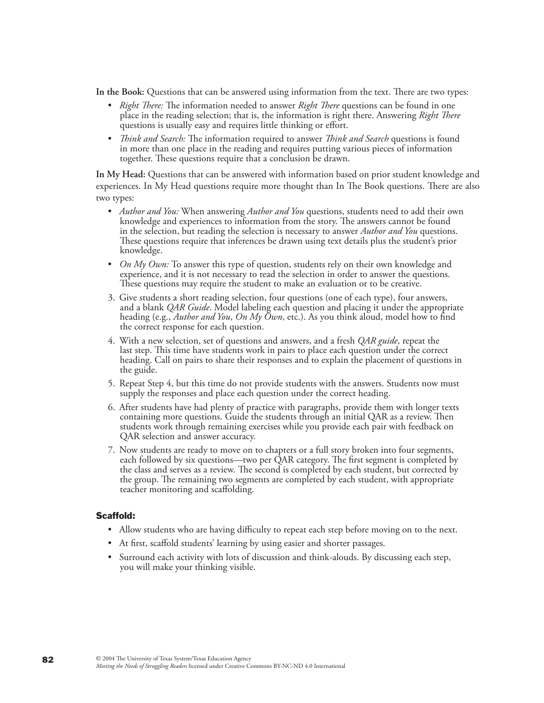**In the Book:** Questions that can be answered using information from the text. There are two types:

- *Right There:* The information needed to answer *Right There* questions can be found in one place in the reading selection; that is, the information is right there. Answering *Right There*  questions is usually easy and requires little thinking or effort.
- *Think and Search:* The information required to answer *Think and Search* questions is found in more than one place in the reading and requires putting various pieces of information together. These questions require that a conclusion be drawn.

**In My Head:** Questions that can be answered with information based on prior student knowledge and experiences. In My Head questions require more thought than In The Book questions. There are also two types:

- *Author and You:* When answering *Author and You* questions, students need to add their own knowledge and experiences to information from the story. The answers cannot be found in the selection, but reading the selection is necessary to answer *Author and You* questions. These questions require that inferences be drawn using text details plus the student's prior knowledge.
- *On My Own:* To answer this type of question, students rely on their own knowledge and experience, and it is not necessary to read the selection in order to answer the questions. These questions may require the student to make an evaluation or to be creative.
- 3. Give students a short reading selection, four questions (one of each type), four answers, and a blank *QAR Guide*. Model labeling each question and placing it under the appropriate heading (e.g., *Author and You*, *On My Own*, etc.). As you think aloud, model how to find the correct response for each question.
- 4. With a new selection, set of questions and answers, and a fresh *QAR guide*, repeat the last step. This time have students work in pairs to place each question under the correct heading. Call on pairs to share their responses and to explain the placement of questions in the guide.
- 5. Repeat Step 4, but this time do not provide students with the answers. Students now must supply the responses and place each question under the correct heading.
- 6. After students have had plenty of practice with paragraphs, provide them with longer texts containing more questions. Guide the students through an initial QAR as a review. Then students work through remaining exercises while you provide each pair with feedback on QAR selection and answer accuracy.
- 7. Now students are ready to move on to chapters or a full story broken into four segments, each followed by six questions—two per QAR category. The first segment is completed by the class and serves as a review. The second is completed by each student, but corrected by the group. The remaining two segments are completed by each student, with appropriate teacher monitoring and scaffolding.

#### Scaffold:

- Allow students who are having difficulty to repeat each step before moving on to the next.
- At first, scaffold students' learning by using easier and shorter passages.
- Surround each activity with lots of discussion and think-alouds. By discussing each step, you will make your thinking visible.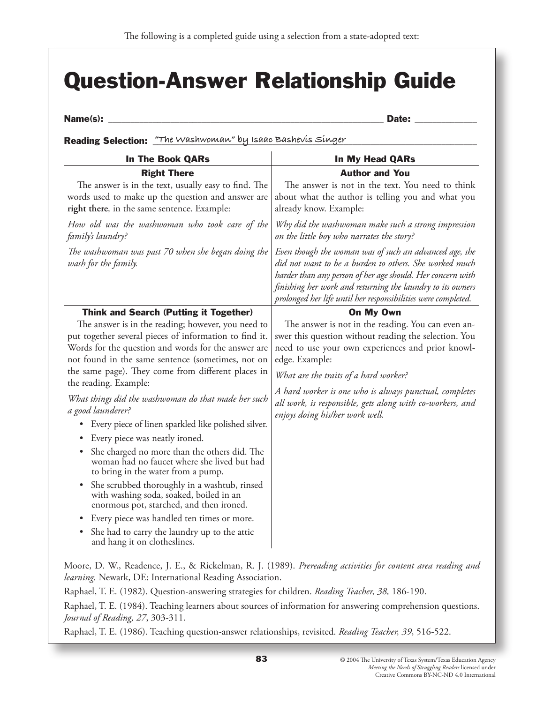# Question-Answer Relationship Guide

| Name(s):                                                                                                                                                                                                                                                                                                                                                                                                                                                                                                                                                                                                                                                                                                                                                                                                                                                                                                                                               | Date:                                                                                                                                                                                                                                                                                                                                                                                              |
|--------------------------------------------------------------------------------------------------------------------------------------------------------------------------------------------------------------------------------------------------------------------------------------------------------------------------------------------------------------------------------------------------------------------------------------------------------------------------------------------------------------------------------------------------------------------------------------------------------------------------------------------------------------------------------------------------------------------------------------------------------------------------------------------------------------------------------------------------------------------------------------------------------------------------------------------------------|----------------------------------------------------------------------------------------------------------------------------------------------------------------------------------------------------------------------------------------------------------------------------------------------------------------------------------------------------------------------------------------------------|
| Reading Selection: "The Washwoman" by Isaac Bashevis Singer                                                                                                                                                                                                                                                                                                                                                                                                                                                                                                                                                                                                                                                                                                                                                                                                                                                                                            |                                                                                                                                                                                                                                                                                                                                                                                                    |
| <b>In The Book QARs</b>                                                                                                                                                                                                                                                                                                                                                                                                                                                                                                                                                                                                                                                                                                                                                                                                                                                                                                                                | <b>In My Head QARs</b>                                                                                                                                                                                                                                                                                                                                                                             |
| <b>Right There</b><br>The answer is in the text, usually easy to find. The<br>words used to make up the question and answer are<br>right there, in the same sentence. Example:<br>How old was the washwoman who took care of the<br>family's laundry?                                                                                                                                                                                                                                                                                                                                                                                                                                                                                                                                                                                                                                                                                                  | <b>Author and You</b><br>The answer is not in the text. You need to think<br>about what the author is telling you and what you<br>already know. Example:<br>Why did the washwoman make such a strong impression<br>on the little boy who narrates the story?                                                                                                                                       |
| The washwoman was past 70 when she began doing the<br>wash for the family.                                                                                                                                                                                                                                                                                                                                                                                                                                                                                                                                                                                                                                                                                                                                                                                                                                                                             | Even though the woman was of such an advanced age, she<br>did not want to be a burden to others. She worked much<br>harder than any person of her age should. Her concern with<br>finishing her work and returning the laundry to its owners<br>prolonged her life until her responsibilities were completed.                                                                                      |
| <b>Think and Search (Putting it Together)</b><br>The answer is in the reading; however, you need to<br>put together several pieces of information to find it.<br>Words for the question and words for the answer are<br>not found in the same sentence (sometimes, not on<br>the same page). They come from different places in<br>the reading. Example:<br>What things did the washwoman do that made her such<br>a good launderer?<br>Every piece of linen sparkled like polished silver.<br>٠<br>Every piece was neatly ironed.<br>She charged no more than the others did. The<br>٠<br>woman had no faucet where she lived but had<br>to bring in the water from a pump.<br>She scrubbed thoroughly in a washtub, rinsed<br>٠<br>with washing soda, soaked, boiled in an<br>enormous pot, starched, and then ironed.<br>Every piece was handled ten times or more.<br>She had to carry the laundry up to the attic<br>and hang it on clotheslines. | On My Own<br>The answer is not in the reading. You can even an-<br>swer this question without reading the selection. You<br>need to use your own experiences and prior knowl-<br>edge. Example:<br>What are the traits of a hard worker?<br>A hard worker is one who is always punctual, completes<br>all work, is responsible, gets along with co-workers, and<br>enjoys doing his/her work well. |
| learning. Newark, DE: International Reading Association.                                                                                                                                                                                                                                                                                                                                                                                                                                                                                                                                                                                                                                                                                                                                                                                                                                                                                               | Moore, D. W., Readence, J. E., & Rickelman, R. J. (1989). Prereading activities for content area reading and                                                                                                                                                                                                                                                                                       |
| Raphael, T. E. (1982). Question-answering strategies for children. Reading Teacher, 38, 186-190.                                                                                                                                                                                                                                                                                                                                                                                                                                                                                                                                                                                                                                                                                                                                                                                                                                                       |                                                                                                                                                                                                                                                                                                                                                                                                    |

Raphael, T. E. (1984). Teaching learners about sources of information for answering comprehension questions. *Journal of Reading, 27*, 303-311.

Raphael, T. E. (1986). Teaching question-answer relationships, revisited. *Reading Teacher, 39*, 516-522.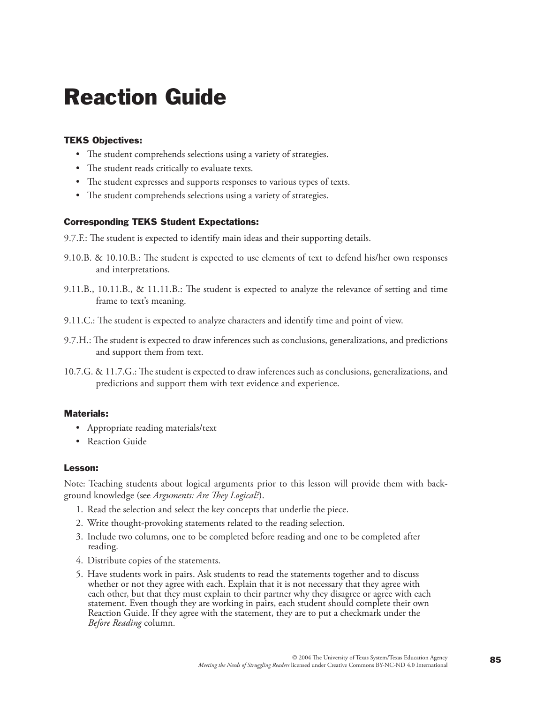# Reaction Guide

### TEKS Objectives:

- The student comprehends selections using a variety of strategies.
- The student reads critically to evaluate texts.
- The student expresses and supports responses to various types of texts.
- The student comprehends selections using a variety of strategies.

### Corresponding TEKS Student Expectations:

9.7.F.: The student is expected to identify main ideas and their supporting details.

- 9.10.B. & 10.10.B.: The student is expected to use elements of text to defend his/her own responses and interpretations.
- 9.11.B., 10.11.B., & 11.11.B.: The student is expected to analyze the relevance of setting and time frame to text's meaning.
- 9.11.C.: The student is expected to analyze characters and identify time and point of view.
- 9.7.H.: The student is expected to draw inferences such as conclusions, generalizations, and predictions and support them from text.
- 10.7.G. & 11.7.G.: The student is expected to draw inferences such as conclusions, generalizations, and predictions and support them with text evidence and experience.

### Materials:

- Appropriate reading materials/text
- Reaction Guide

### Lesson:

Note: Teaching students about logical arguments prior to this lesson will provide them with background knowledge (see *Arguments: Are They Logical?*).

- 1. Read the selection and select the key concepts that underlie the piece.
- 2. Write thought-provoking statements related to the reading selection.
- 3. Include two columns, one to be completed before reading and one to be completed after reading.
- 4. Distribute copies of the statements.
- 5. Have students work in pairs. Ask students to read the statements together and to discuss whether or not they agree with each. Explain that it is not necessary that they agree with each other, but that they must explain to their partner why they disagree or agree with each statement. Even though they are working in pairs, each student should complete their own Reaction Guide. If they agree with the statement, they are to put a checkmark under the *Before Reading* column.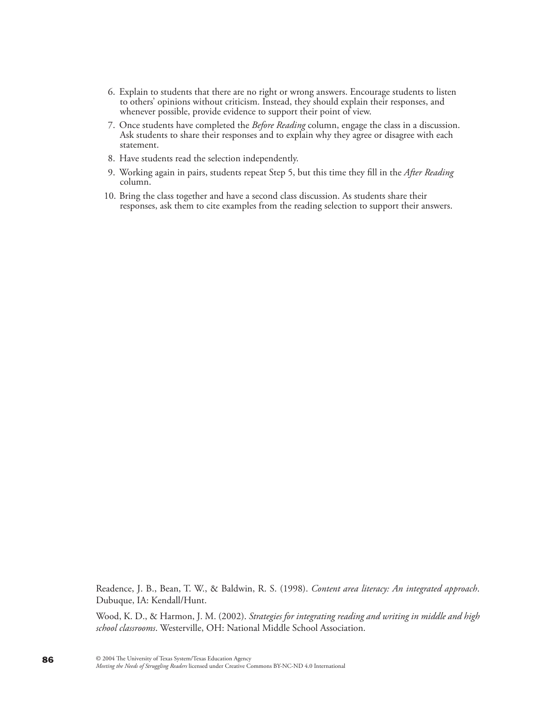- 6. Explain to students that there are no right or wrong answers. Encourage students to listen to others' opinions without criticism. Instead, they should explain their responses, and whenever possible, provide evidence to support their point of view.
- 7. Once students have completed the *Before Reading* column, engage the class in a discussion. Ask students to share their responses and to explain why they agree or disagree with each statement.
- 8. Have students read the selection independently.
- 9. Working again in pairs, students repeat Step 5, but this time they fill in the *After Reading* column.
- 10. Bring the class together and have a second class discussion. As students share their responses, ask them to cite examples from the reading selection to support their answers.

Readence, J. B., Bean, T. W., & Baldwin, R. S. (1998). *Content area literacy: An integrated approach*. Dubuque, IA: Kendall/Hunt.

Wood, K. D., & Harmon, J. M. (2002). *Strategies for integrating reading and writing in middle and high school classrooms*. Westerville, OH: National Middle School Association.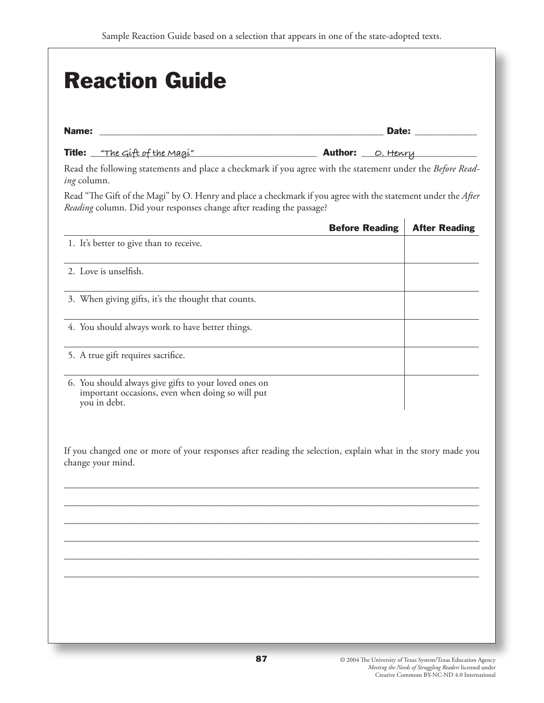| Name:                                                                                                                                                                                 |                       |                      |
|---------------------------------------------------------------------------------------------------------------------------------------------------------------------------------------|-----------------------|----------------------|
| Title: "The Gift of the Magi"                                                                                                                                                         |                       |                      |
| Read the following statements and place a checkmark if you agree with the statement under the Before Read-<br>ing column.                                                             |                       |                      |
| Read "The Gift of the Magi" by O. Henry and place a checkmark if you agree with the statement under the After<br>Reading column. Did your responses change after reading the passage? |                       |                      |
|                                                                                                                                                                                       | <b>Before Reading</b> | <b>After Reading</b> |
| 1. It's better to give than to receive.                                                                                                                                               |                       |                      |
| 2. Love is unselfish.                                                                                                                                                                 |                       |                      |
| 3. When giving gifts, it's the thought that counts.                                                                                                                                   |                       |                      |
| 4. You should always work to have better things.                                                                                                                                      |                       |                      |
| 5. A true gift requires sacrifice.                                                                                                                                                    |                       |                      |
| 6. You should always give gifts to your loved ones on<br>important occasions, even when doing so will put<br>you in debt.                                                             |                       |                      |
| If you changed one or more of your responses after reading the selection, explain what in the story made you<br>change your mind.                                                     |                       |                      |
|                                                                                                                                                                                       |                       |                      |
|                                                                                                                                                                                       |                       |                      |
|                                                                                                                                                                                       |                       |                      |
|                                                                                                                                                                                       |                       |                      |
|                                                                                                                                                                                       |                       |                      |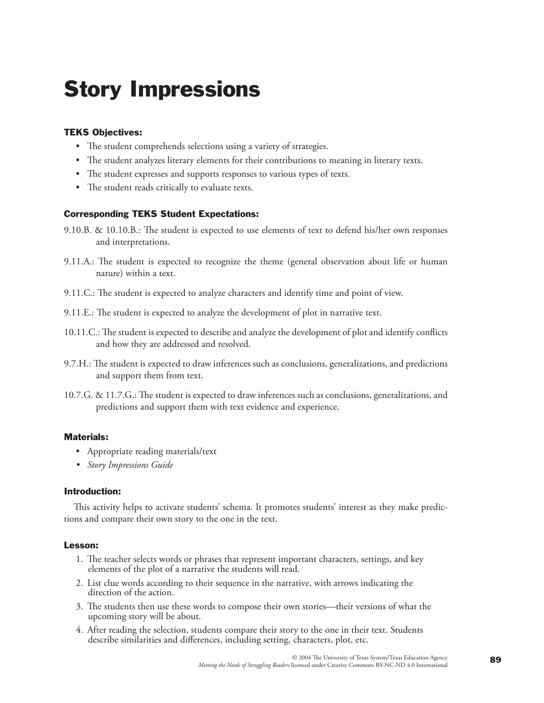# Story Impressions

### TEKS Objectives:

- The student comprehends selections using a variety of strategies.
- The student analyzes literary elements for their contributions to meaning in literary texts.
- The student expresses and supports responses to various types of texts.
- The student reads critically to evaluate texts.

### Corresponding TEKS Student Expectations:

- 9.10.B. & 10.10.B.: The student is expected to use elements of text to defend his/her own responses and interpretations.
- 9.11.A.: The student is expected to recognize the theme (general observation about life or human nature) within a text.
- 9.11.C.: The student is expected to analyze characters and identify time and point of view.
- 9.11.E.: The student is expected to analyze the development of plot in narrative text.
- 10.11.C.: The student is expected to describe and analyze the development of plot and identify conflicts and how they are addressed and resolved.
- 9.7.H.: The student is expected to draw inferences such as conclusions, generalizations, and predictions and support them from text.
- 10.7.G. & 11.7.G.: The student is expected to draw inferences such as conclusions, generalizations, and predictions and support them with text evidence and experience.

### Materials:

- Appropriate reading materials/text
- *• Story Impressions Guide*

### Introduction:

This activity helps to activate students' schema. It promotes students' interest as they make predictions and compare their own story to the one in the text.

### Lesson:

- 1. The teacher selects words or phrases that represent important characters, settings, and key elements of the plot of a narrative the students will read.
- 2. List clue words according to their sequence in the narrative, with arrows indicating the direction of the action.
- 3. The students then use these words to compose their own stories—their versions of what the upcoming story will be about.
- 4. After reading the selection, students compare their story to the one in their text. Students describe similarities and differences, including setting, characters, plot, etc.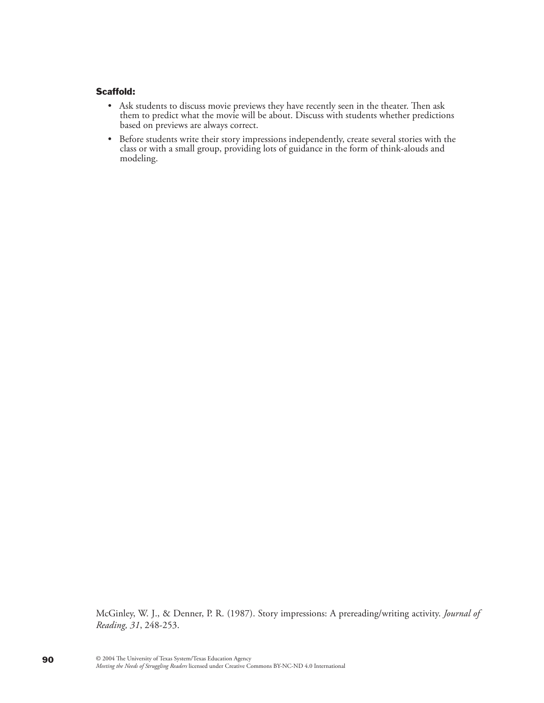### Scaffold:

- Ask students to discuss movie previews they have recently seen in the theater. Then ask them to predict what the movie will be about. Discuss with students whether predictions based on previews are always correct.
- Before students write their story impressions independently, create several stories with the class or with a small group, providing lots of guidance in the form of think-alouds and modeling.

McGinley, W. J., & Denner, P. R. (1987). Story impressions: A prereading/writing activity. *Journal of Reading, 31*, 248-253.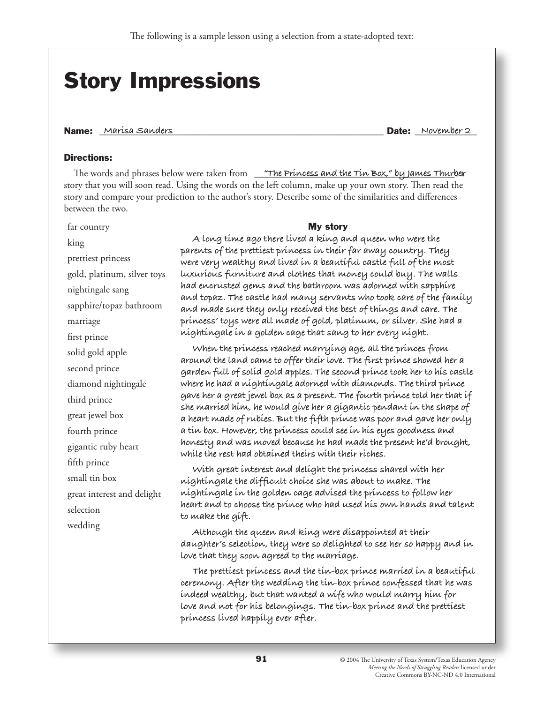# Story Impressions

### Name: Marísa Sanders

**Date:** November 2

### Directions:

The words and phrases below were taken from \_\_\_\_\_\_\_\_\_\_\_\_\_\_\_\_\_\_\_\_\_\_\_\_\_\_\_\_\_\_\_\_\_\_\_\_\_\_\_\_\_, a **"The Princess and the Tin Box," by James Thurber**story that you will soon read. Using the words on the left column, make up your own story. Then read the story and compare your prediction to the author's story. Describe some of the similarities and differences between the two.

far country

king prettiest princess gold, platinum, silver toys nightingale sang sapphire/topaz bathroom marriage first prince solid gold apple second prince diamond nightingale third prince great jewel box fourth prince gigantic ruby heart fifth prince small tin box great interest and delight selection wedding

### My story

**A long time ago there lived a king and queen who were the parents of the prettiest princess in their far away country. They were very wealthy and lived in a beautiful castle full of the most luxurious furniture and clothes that money could buy. The walls had encrusted gems and the bathroom was adorned with sapphire and topaz. The castle had many servants who took care of the family and made sure they only received the best of things and care. The princess' toys were all made of gold, platinum, or silver. She had a nightingale in a golden cage that sang to her every night.** 

**When the princess reached marrying age, all the princes from around the land came to offer their love. The first prince showed her a garden full of solid gold apples. The second prince took her to his castle where he had a nightingale adorned with diamonds. The third prince gave her a great jewel box as a present. The fourth prince told her that if she married him, he would give her a gigantic pendant in the shape of a heart made of rubies. But the fifth prince was poor and gave her only a tin box. However, the princess could see in his eyes goodness and honesty and was moved because he had made the present he'd brought, while the rest had obtained theirs with their riches.**

**With great interest and delight the princess shared with her nightingale the difficult choice she was about to make. The nightingale in the golden cage advised the princess to follow her heart and to choose the prince who had used his own hands and talent to make the gift.**

**Although the queen and king were disappointed at their daughter's selection, they were so delighted to see her so happy and in love that they soon agreed to the marriage.**

**The prettiest princess and the tin-box prince married in a beautiful ceremony. After the wedding the tin-box prince confessed that he was indeed wealthy, but that wanted a wife who would marry him for love and not for his belongings. The tin-box prince and the prettiest princess lived happily ever after.**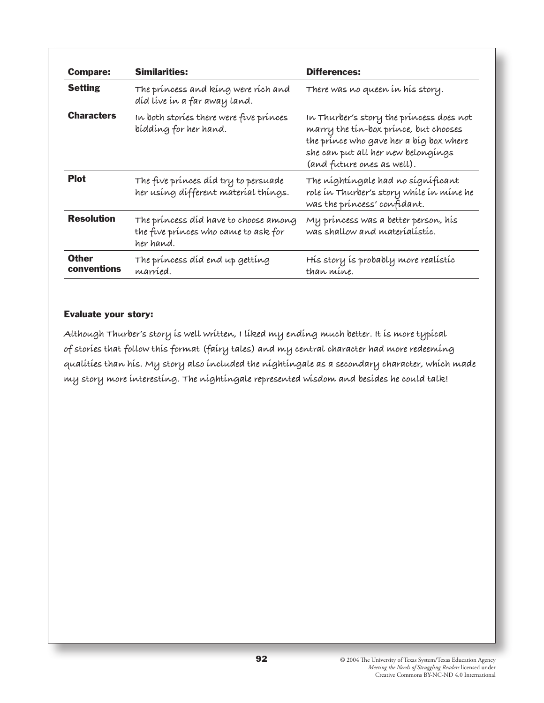| <b>Compare:</b>             | <b>Similarities:</b>                                                                       | <b>Differences:</b>                                                                                                                                                                              |
|-----------------------------|--------------------------------------------------------------------------------------------|--------------------------------------------------------------------------------------------------------------------------------------------------------------------------------------------------|
| <b>Setting</b>              | The princess and king were rich and<br>díd líve ín a far away land.                        | There was no queen in his story.                                                                                                                                                                 |
| <b>Characters</b>           | In both stories there were five princes<br>bíddíng for her hand.                           | In Thurber's story the princess does not<br>marry the tin-box prince, but chooses<br>the prince who gave her a big box where<br>she can put all her new belongings<br>(and future ones as well). |
| <b>Plot</b>                 | The five princes did try to persuade<br>her using different material things.               | The níghtíngale had no sígníficant<br>role ín Thurber's story whíle ín míne he<br>was the princess' confidant.                                                                                   |
| <b>Resolution</b>           | The príncess díd have to choose among<br>the five princes who came to ask for<br>her hand. | My príncess was a better person, his<br>was shallow and materialistic.                                                                                                                           |
| <b>Other</b><br>conventions | The princess did end up getting<br>marríed.                                                | His story is probably more realistic<br>than mine.                                                                                                                                               |

# Evaluate your story:

**Although Thurber's story is well written, I liked my ending much better. It is more typical of stories that follow this format (fairy tales) and my central character had more redeeming qualities than his. My story also included the nightingale as a secondary character, which made my story more interesting. The nightingale represented wisdom and besides he could talk!**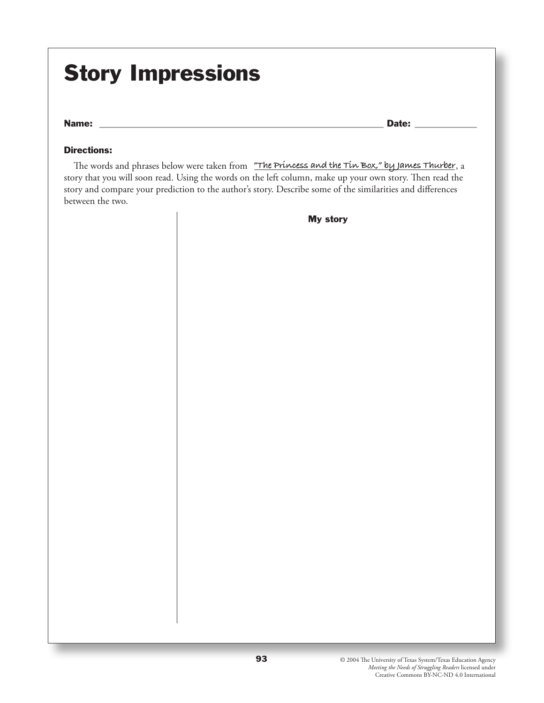| Name:              | Date: ___________                                                                                                                                                                                                                                                                                                         |
|--------------------|---------------------------------------------------------------------------------------------------------------------------------------------------------------------------------------------------------------------------------------------------------------------------------------------------------------------------|
| <b>Directions:</b> |                                                                                                                                                                                                                                                                                                                           |
| between the two.   | The words and phrases below were taken from "The Princess and the Tin Box," by James Thurber, a<br>story that you will soon read. Using the words on the left column, make up your own story. Then read the<br>story and compare your prediction to the author's story. Describe some of the similarities and differences |
|                    | <b>My story</b>                                                                                                                                                                                                                                                                                                           |
|                    |                                                                                                                                                                                                                                                                                                                           |
|                    |                                                                                                                                                                                                                                                                                                                           |
|                    |                                                                                                                                                                                                                                                                                                                           |
|                    |                                                                                                                                                                                                                                                                                                                           |
|                    |                                                                                                                                                                                                                                                                                                                           |
|                    |                                                                                                                                                                                                                                                                                                                           |
|                    |                                                                                                                                                                                                                                                                                                                           |
|                    |                                                                                                                                                                                                                                                                                                                           |
|                    |                                                                                                                                                                                                                                                                                                                           |
|                    |                                                                                                                                                                                                                                                                                                                           |
|                    |                                                                                                                                                                                                                                                                                                                           |
|                    |                                                                                                                                                                                                                                                                                                                           |
|                    |                                                                                                                                                                                                                                                                                                                           |
|                    |                                                                                                                                                                                                                                                                                                                           |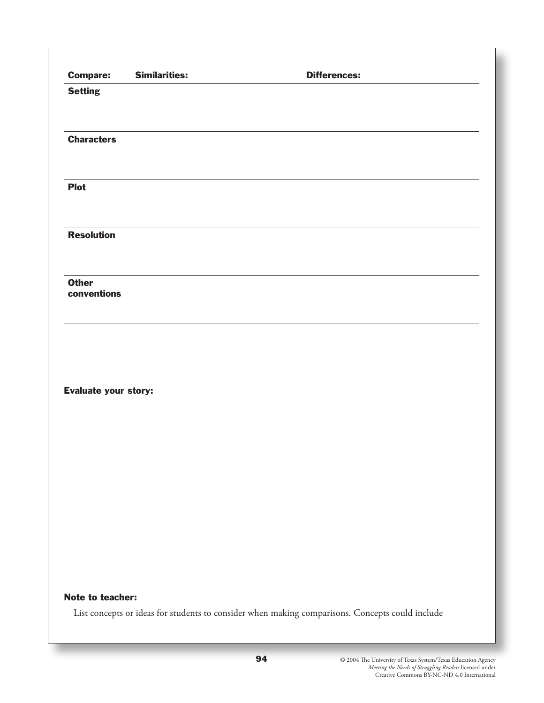| <b>Setting</b><br><b>Characters</b><br><b>Plot</b><br><b>Resolution</b> |  |  |  |
|-------------------------------------------------------------------------|--|--|--|
|                                                                         |  |  |  |
|                                                                         |  |  |  |
|                                                                         |  |  |  |
|                                                                         |  |  |  |
|                                                                         |  |  |  |
|                                                                         |  |  |  |
|                                                                         |  |  |  |
|                                                                         |  |  |  |
|                                                                         |  |  |  |
|                                                                         |  |  |  |
| <b>Other</b>                                                            |  |  |  |
| conventions                                                             |  |  |  |
|                                                                         |  |  |  |
|                                                                         |  |  |  |
|                                                                         |  |  |  |
|                                                                         |  |  |  |
|                                                                         |  |  |  |
| Evaluate your story:                                                    |  |  |  |
|                                                                         |  |  |  |
|                                                                         |  |  |  |
|                                                                         |  |  |  |
|                                                                         |  |  |  |
|                                                                         |  |  |  |
|                                                                         |  |  |  |
|                                                                         |  |  |  |
|                                                                         |  |  |  |
|                                                                         |  |  |  |
|                                                                         |  |  |  |
|                                                                         |  |  |  |
| Note to teacher:                                                        |  |  |  |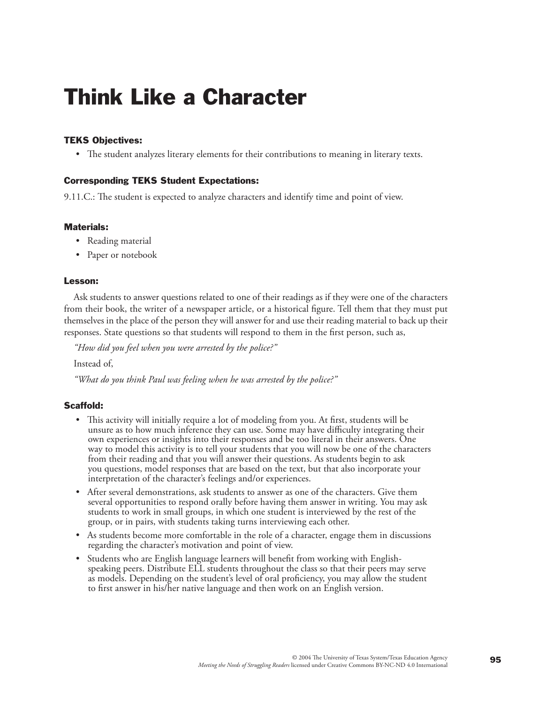# Think Like a Character

### TEKS Objectives:

• The student analyzes literary elements for their contributions to meaning in literary texts.

### Corresponding TEKS Student Expectations:

9.11.C.: The student is expected to analyze characters and identify time and point of view.

### Materials:

- Reading material
- Paper or notebook

### Lesson:

Ask students to answer questions related to one of their readings as if they were one of the characters from their book, the writer of a newspaper article, or a historical figure. Tell them that they must put themselves in the place of the person they will answer for and use their reading material to back up their responses. State questions so that students will respond to them in the first person, such as,

*"How did you feel when you were arrested by the police?"* 

Instead of,

*"What do you think Paul was feeling when he was arrested by the police?"*

### Scaffold:

- This activity will initially require a lot of modeling from you. At first, students will be unsure as to how much inference they can use. Some may have difficulty integrating their own experiences or insights into their responses and be too literal in their answers. One way to model this activity is to tell your students that you will now be one of the characters from their reading and that you will answer their questions. As students begin to ask you questions, model responses that are based on the text, but that also incorporate your interpretation of the character's feelings and/or experiences.
- After several demonstrations, ask students to answer as one of the characters. Give them several opportunities to respond orally before having them answer in writing. You may ask students to work in small groups, in which one student is interviewed by the rest of the group, or in pairs, with students taking turns interviewing each other.
- As students become more comfortable in the role of a character, engage them in discussions regarding the character's motivation and point of view.
- Students who are English language learners will benefit from working with Englishspeaking peers. Distribute ELL students throughout the class so that their peers may serve as models. Depending on the student's level of oral proficiency, you may allow the student to first answer in his/her native language and then work on an English version.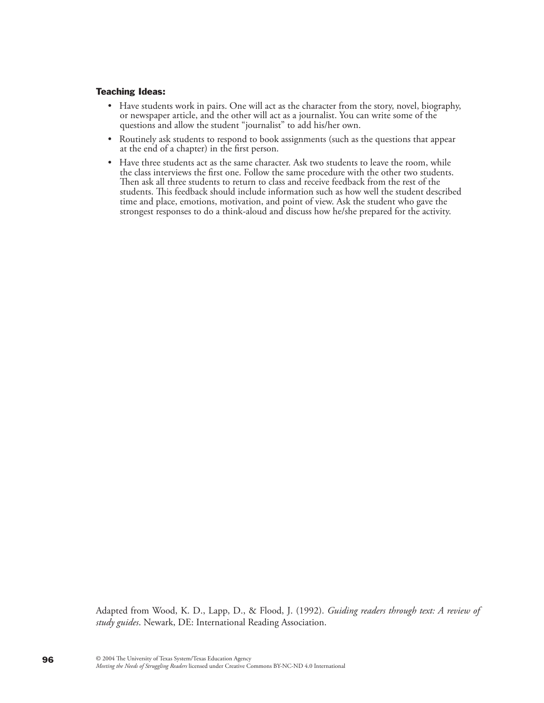#### Teaching Ideas:

- Have students work in pairs. One will act as the character from the story, novel, biography, or newspaper article, and the other will act as a journalist. You can write some of the questions and allow the student "journalist" to add his/her own.
- Routinely ask students to respond to book assignments (such as the questions that appear at the end of a chapter) in the first person.
- Have three students act as the same character. Ask two students to leave the room, while the class interviews the first one. Follow the same procedure with the other two students. Then ask all three students to return to class and receive feedback from the rest of the students. This feedback should include information such as how well the student described time and place, emotions, motivation, and point of view. Ask the student who gave the strongest responses to do a think-aloud and discuss how he/she prepared for the activity.

Adapted from Wood, K. D., Lapp, D., & Flood, J. (1992). *Guiding readers through text: A review of study guides*. Newark, DE: International Reading Association.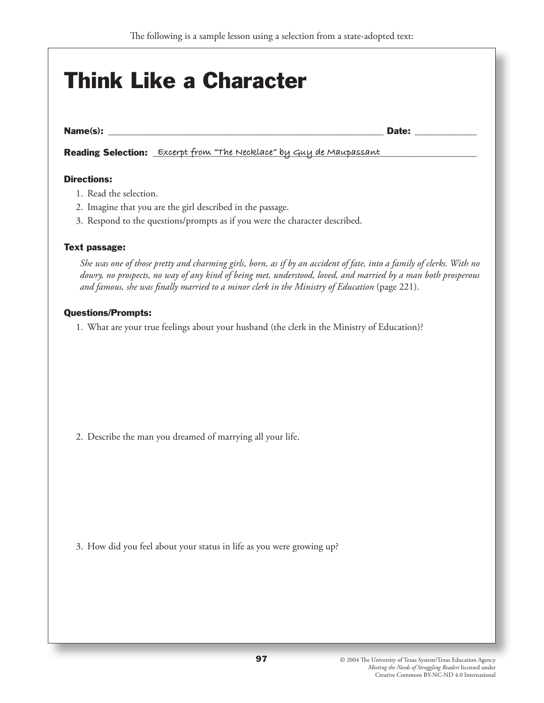# Think Like a Character

Name(s): \_\_\_\_\_\_\_\_\_\_\_\_\_\_\_\_\_\_\_\_\_\_\_\_\_\_\_\_\_\_\_\_\_\_\_\_\_\_\_\_\_\_\_\_\_\_\_\_\_\_\_\_\_\_\_\_\_\_\_\_\_\_ Date: \_\_\_\_\_\_\_\_\_\_\_\_\_\_

**Reading Selection:** Excerpt from "The Necklace" by Guy de Maupassant \_\_\_\_\_\_\_\_\_\_\_\_

# Directions:

- 1. Read the selection.
- 2. Imagine that you are the girl described in the passage.
- 3. Respond to the questions/prompts as if you were the character described.

# Text passage:

*She was one of those pretty and charming girls, born, as if by an accident of fate, into a family of clerks. With no dowry, no prospects, no way of any kind of being met, understood, loved, and married by a man both prosperous and famous, she was finally married to a minor clerk in the Ministry of Education* (page 221).

# Questions/Prompts:

1. What are your true feelings about your husband (the clerk in the Ministry of Education)?

2. Describe the man you dreamed of marrying all your life.

3. How did you feel about your status in life as you were growing up?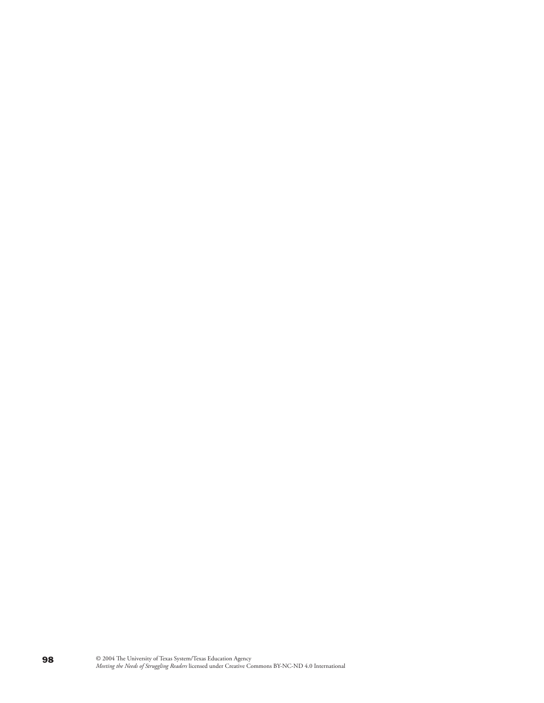98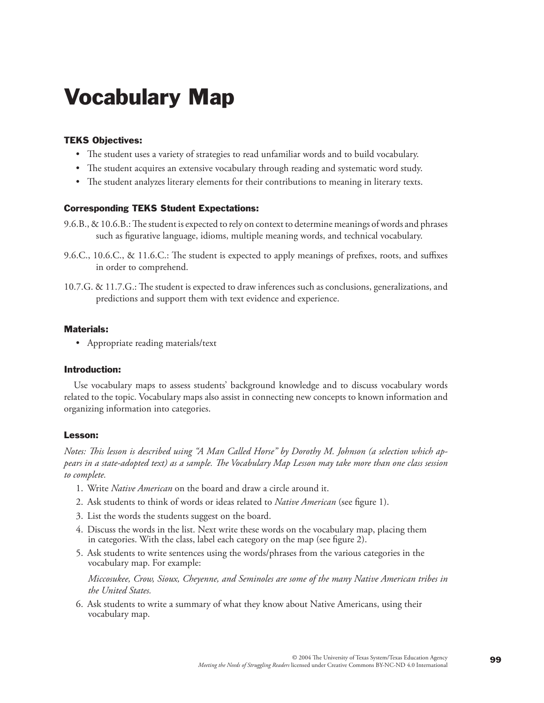# Vocabulary Map

### TEKS Objectives:

- The student uses a variety of strategies to read unfamiliar words and to build vocabulary.
- The student acquires an extensive vocabulary through reading and systematic word study.
- The student analyzes literary elements for their contributions to meaning in literary texts.

### Corresponding TEKS Student Expectations:

- 9.6.B., & 10.6.B.: The student is expected to rely on context to determine meanings of words and phrases such as figurative language, idioms, multiple meaning words, and technical vocabulary.
- 9.6.C., 10.6.C., & 11.6.C.: The student is expected to apply meanings of prefixes, roots, and suffixes in order to comprehend.
- 10.7.G. & 11.7.G.: The student is expected to draw inferences such as conclusions, generalizations, and predictions and support them with text evidence and experience.

#### Materials:

• Appropriate reading materials/text

#### Introduction:

Use vocabulary maps to assess students' background knowledge and to discuss vocabulary words related to the topic. Vocabulary maps also assist in connecting new concepts to known information and organizing information into categories.

#### Lesson:

*Notes: This lesson is described using "A Man Called Horse" by Dorothy M. Johnson (a selection which appears in a state-adopted text) as a sample. The Vocabulary Map Lesson may take more than one class session to complete.*

- 1. Write *Native American* on the board and draw a circle around it.
- 2. Ask students to think of words or ideas related to *Native American* (see figure 1).
- 3. List the words the students suggest on the board.
- 4. Discuss the words in the list. Next write these words on the vocabulary map, placing them in categories. With the class, label each category on the map (see figure 2).
- 5. Ask students to write sentences using the words/phrases from the various categories in the vocabulary map. For example:

*Miccosukee, Crow, Sioux, Cheyenne, and Seminoles are some of the many Native American tribes in the United States.*

6. Ask students to write a summary of what they know about Native Americans, using their vocabulary map.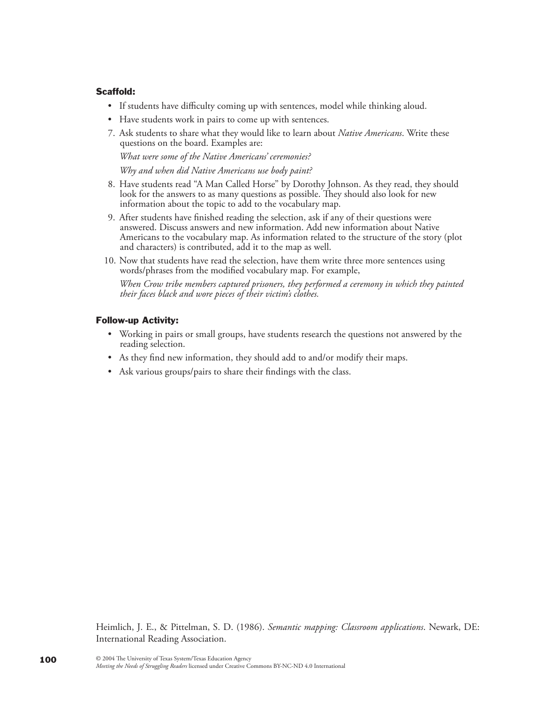#### Scaffold:

- If students have difficulty coming up with sentences, model while thinking aloud.
- Have students work in pairs to come up with sentences.
- 7. Ask students to share what they would like to learn about *Native Americans*. Write these questions on the board. Examples are:

*What were some of the Native Americans' ceremonies?*

*Why and when did Native Americans use body paint?*

- 8. Have students read "A Man Called Horse" by Dorothy Johnson. As they read, they should look for the answers to as many questions as possible. They should also look for new information about the topic to add to the vocabulary map.
- 9. After students have finished reading the selection, ask if any of their questions were answered. Discuss answers and new information. Add new information about Native Americans to the vocabulary map. As information related to the structure of the story (plot and characters) is contributed, add it to the map as well.
- 10. Now that students have read the selection, have them write three more sentences using words/phrases from the modified vocabulary map. For example,

*When Crow tribe members captured prisoners, they performed a ceremony in which they painted their faces black and wore pieces of their victim's clothes.*

### Follow-up Activity:

- Working in pairs or small groups, have students research the questions not answered by the reading selection.
- As they find new information, they should add to and/or modify their maps.
- Ask various groups/pairs to share their findings with the class.

Heimlich, J. E., & Pittelman, S. D. (1986). *Semantic mapping: Classroom applications*. Newark, DE: International Reading Association.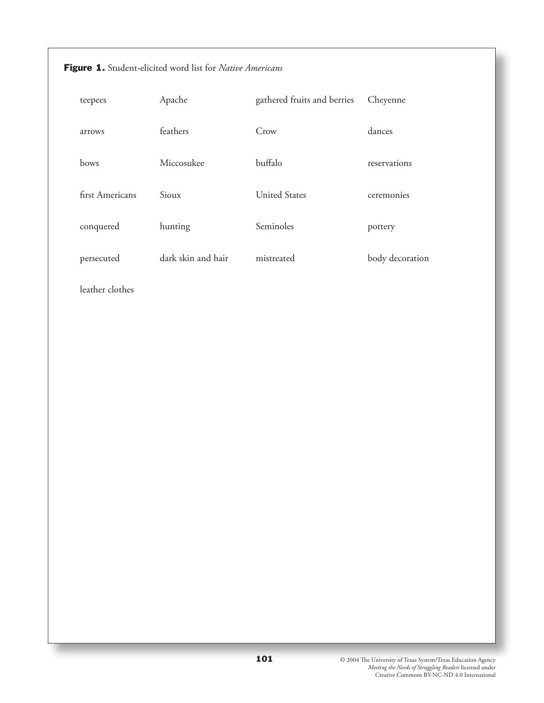# Figure 1. Student-elicited word list for *Native Americans*

| teepees         | Apache             | gathered fruits and berries | Cheyenne        |
|-----------------|--------------------|-----------------------------|-----------------|
| arrows          | feathers           | $C_{row}$                   | dances          |
| <b>bows</b>     | Miccosukee         | buffalo                     | reservations    |
| first Americans | Sioux              | <b>United States</b>        | ceremonies      |
| conquered       | hunting            | Seminoles                   | pottery         |
| persecuted      | dark skin and hair | mistreated                  | body decoration |

leather clothes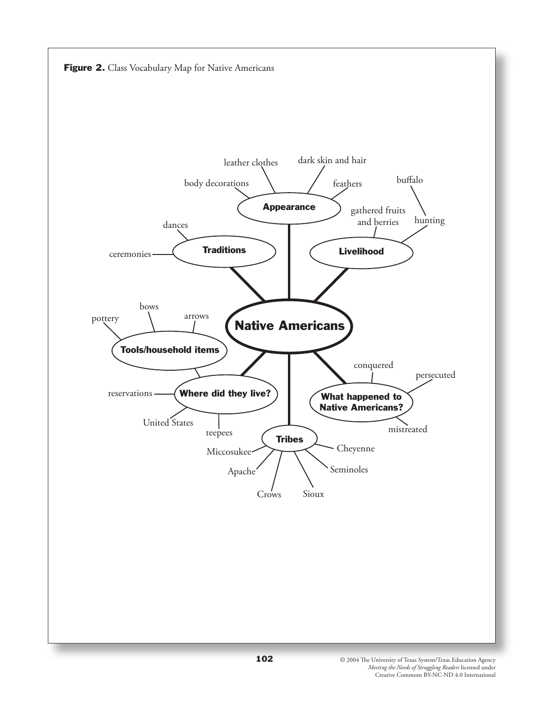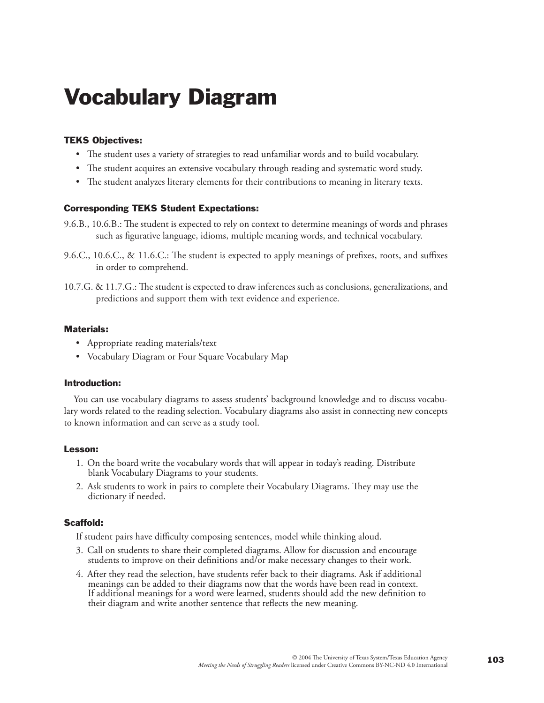# Vocabulary Diagram

### TEKS Objectives:

- The student uses a variety of strategies to read unfamiliar words and to build vocabulary.
- The student acquires an extensive vocabulary through reading and systematic word study.
- The student analyzes literary elements for their contributions to meaning in literary texts.

### Corresponding TEKS Student Expectations:

- 9.6.B., 10.6.B.: The student is expected to rely on context to determine meanings of words and phrases such as figurative language, idioms, multiple meaning words, and technical vocabulary.
- 9.6.C., 10.6.C., & 11.6.C.: The student is expected to apply meanings of prefixes, roots, and suffixes in order to comprehend.
- 10.7.G. & 11.7.G.: The student is expected to draw inferences such as conclusions, generalizations, and predictions and support them with text evidence and experience.

### Materials:

- Appropriate reading materials/text
- Vocabulary Diagram or Four Square Vocabulary Map

### Introduction:

You can use vocabulary diagrams to assess students' background knowledge and to discuss vocabulary words related to the reading selection. Vocabulary diagrams also assist in connecting new concepts to known information and can serve as a study tool.

### Lesson:

- 1. On the board write the vocabulary words that will appear in today's reading. Distribute blank Vocabulary Diagrams to your students.
- 2. Ask students to work in pairs to complete their Vocabulary Diagrams. They may use the dictionary if needed.

### Scaffold:

If student pairs have difficulty composing sentences, model while thinking aloud.

- 3. Call on students to share their completed diagrams. Allow for discussion and encourage students to improve on their definitions and/or make necessary changes to their work.
- 4. After they read the selection, have students refer back to their diagrams. Ask if additional meanings can be added to their diagrams now that the words have been read in context. If additional meanings for a word were learned, students should add the new definition to their diagram and write another sentence that reflects the new meaning.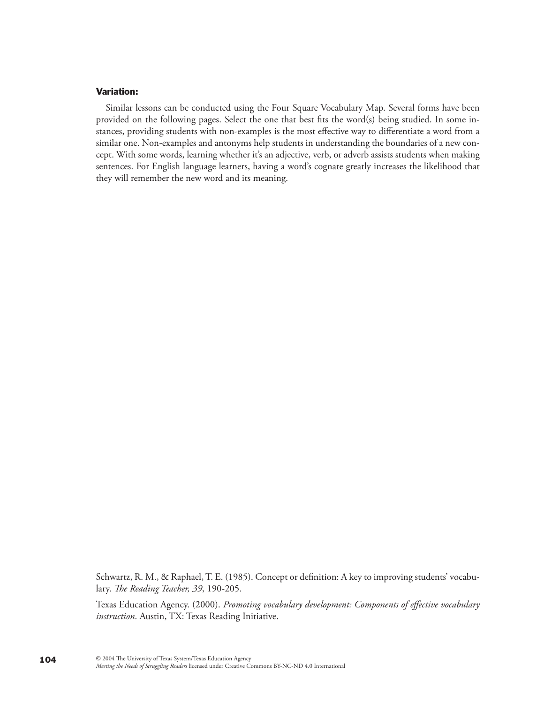### Variation:

Similar lessons can be conducted using the Four Square Vocabulary Map. Several forms have been provided on the following pages. Select the one that best fits the word(s) being studied. In some instances, providing students with non-examples is the most effective way to differentiate a word from a similar one. Non-examples and antonyms help students in understanding the boundaries of a new concept. With some words, learning whether it's an adjective, verb, or adverb assists students when making sentences. For English language learners, having a word's cognate greatly increases the likelihood that they will remember the new word and its meaning.

Schwartz, R. M., & Raphael, T. E. (1985). Concept or definition: A key to improving students' vocabulary. *The Reading Teacher, 39*, 190-205.

Texas Education Agency. (2000). *Promoting vocabulary development: Components of effective vocabulary instruction*. Austin, TX: Texas Reading Initiative.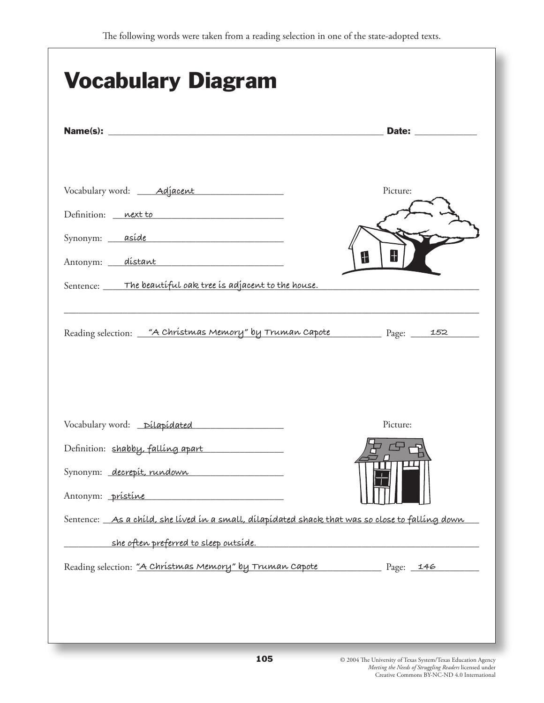|                                                                                                                                  | Date: _____________ |
|----------------------------------------------------------------------------------------------------------------------------------|---------------------|
| Vocabulary word: <u>Adjacent</u>                                                                                                 | Picture:            |
| Definition: <u>next to</u>                                                                                                       |                     |
|                                                                                                                                  |                     |
|                                                                                                                                  | H<br>$\mathbf H$    |
|                                                                                                                                  |                     |
| Sentence: The beautiful oak tree is adjacent to the house.<br>Reading selection: "A Christmas Memory" by Truman Capote Page: 152 |                     |
|                                                                                                                                  | Picture:            |
| Vocabulary word: Dilapidated                                                                                                     | ام ہے جا            |
| Definition: shabby, falling apart<br>Synonym: decrepit, rundown                                                                  |                     |
| Antonym: prístine                                                                                                                |                     |
| Sentence: As a child, she lived in a small, dilapidated shack that was so close to falling down                                  |                     |
| she often preferred to sleep outside.                                                                                            |                     |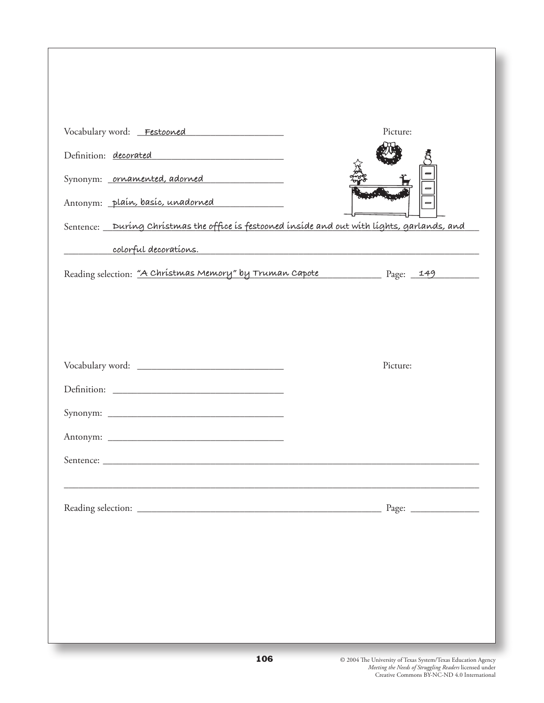| Vocabulary word: Festooned<br>Definition: decorated<br>Synonym: _ornamented, adorned<br>Antonym: plain, basic, unadorned<br>Sentence: During Christmas the office is festooned inside and out with lights, garlands, and | Picture:              |
|--------------------------------------------------------------------------------------------------------------------------------------------------------------------------------------------------------------------------|-----------------------|
| Reading selection: "A Christmas Memory" by Truman Capote Page: 149                                                                                                                                                       | colorful decorations. |
|                                                                                                                                                                                                                          |                       |
|                                                                                                                                                                                                                          | Picture:              |
|                                                                                                                                                                                                                          |                       |
|                                                                                                                                                                                                                          |                       |
|                                                                                                                                                                                                                          |                       |
|                                                                                                                                                                                                                          |                       |
|                                                                                                                                                                                                                          |                       |
|                                                                                                                                                                                                                          |                       |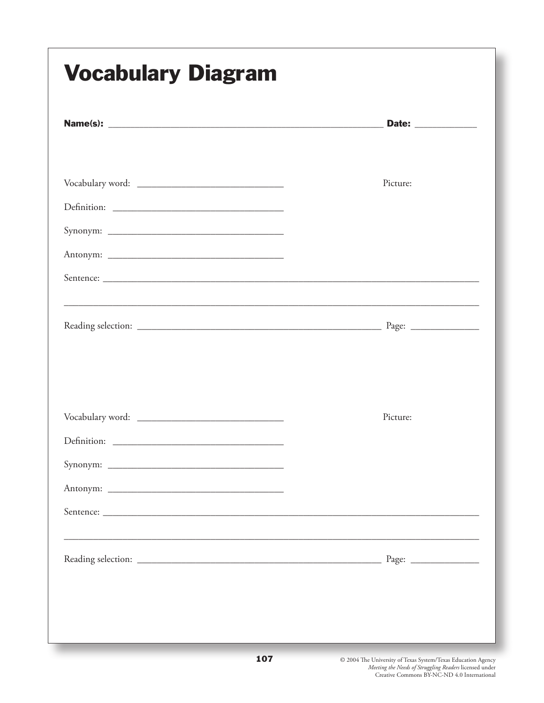| <b>Vocabulary Diagram</b> |                                                              |
|---------------------------|--------------------------------------------------------------|
|                           | Date: _____________                                          |
|                           | Picture:                                                     |
|                           |                                                              |
|                           |                                                              |
|                           |                                                              |
|                           |                                                              |
|                           | Picture:                                                     |
|                           |                                                              |
|                           |                                                              |
|                           |                                                              |
|                           |                                                              |
|                           |                                                              |
|                           |                                                              |
|                           |                                                              |
| 107                       | © 2004 The University of Texas System/Texas Education Agency |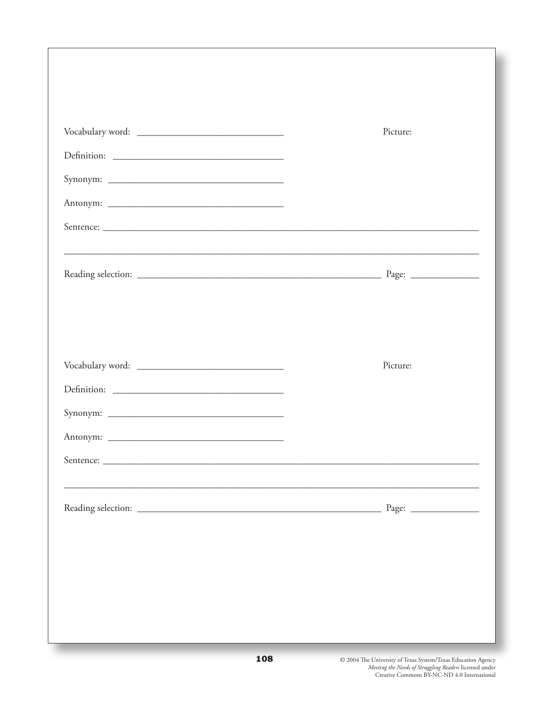| Picture:  |
|-----------|
|           |
|           |
|           |
| Sentence: |
|           |
|           |
|           |
|           |
|           |
| Picture:  |
|           |
|           |
|           |
| Sentence: |
|           |
|           |
|           |
|           |
|           |
|           |
|           |
|           |
|           |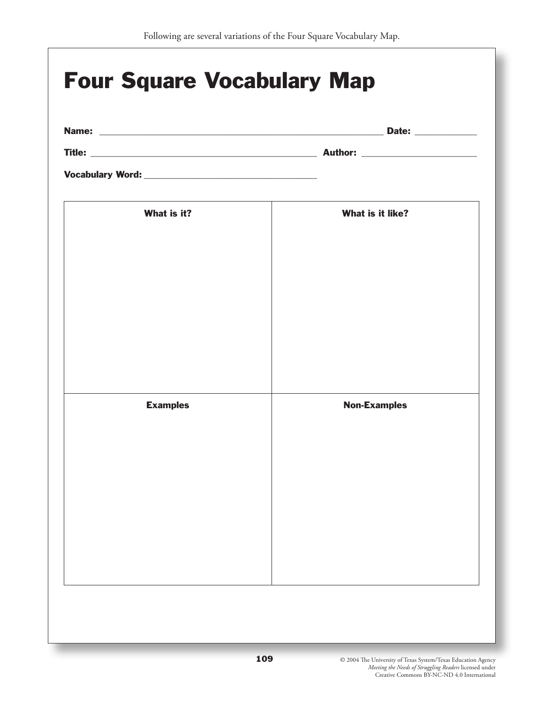|                 | Date: _____________ |
|-----------------|---------------------|
|                 |                     |
|                 |                     |
| What is it?     | What is it like?    |
|                 |                     |
|                 |                     |
|                 |                     |
|                 |                     |
| <b>Examples</b> | <b>Non-Examples</b> |
|                 |                     |
|                 |                     |
|                 |                     |
|                 |                     |
|                 |                     |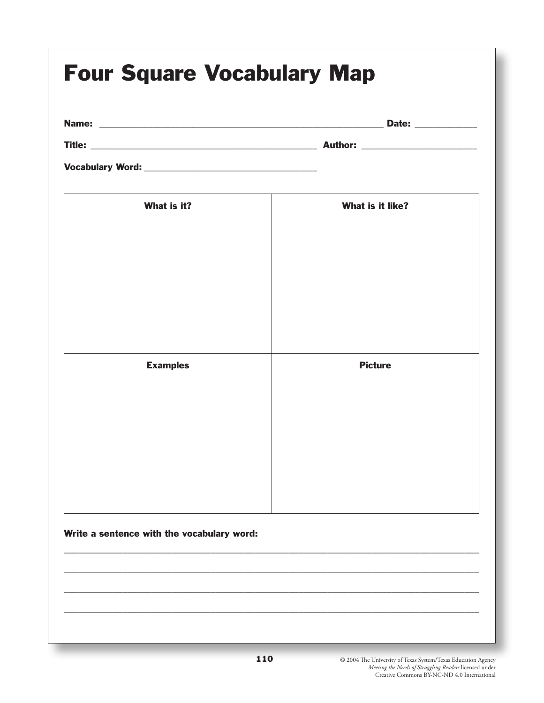| What is it?                                | What is it like? |  |  |
|--------------------------------------------|------------------|--|--|
|                                            |                  |  |  |
|                                            |                  |  |  |
|                                            |                  |  |  |
| <b>Examples</b>                            | <b>Picture</b>   |  |  |
|                                            |                  |  |  |
|                                            |                  |  |  |
|                                            |                  |  |  |
|                                            |                  |  |  |
| Write a sentence with the vocabulary word: |                  |  |  |
|                                            |                  |  |  |
|                                            |                  |  |  |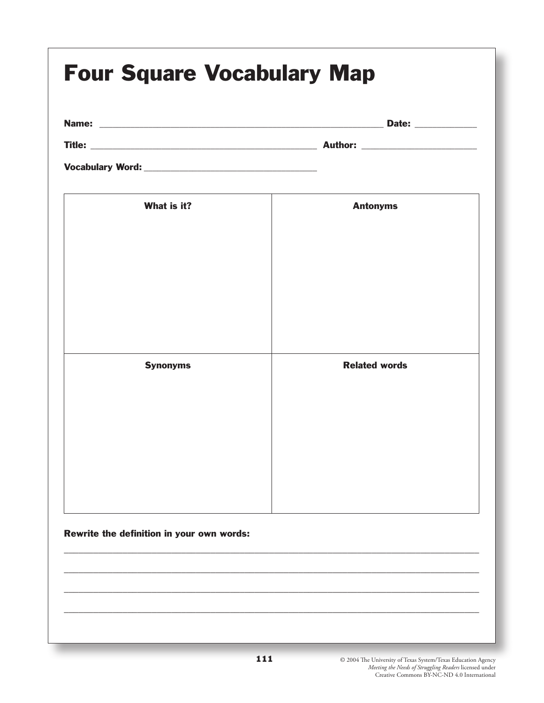| What is it?                               | <u> 1989 - Johann Barbara, martin amerikan personal di sebagai personal di sebagai personal di sebagai personal d</u><br><b>Antonyms</b> |  |  |
|-------------------------------------------|------------------------------------------------------------------------------------------------------------------------------------------|--|--|
|                                           |                                                                                                                                          |  |  |
|                                           |                                                                                                                                          |  |  |
|                                           |                                                                                                                                          |  |  |
| <b>Synonyms</b>                           | <b>Related words</b>                                                                                                                     |  |  |
|                                           |                                                                                                                                          |  |  |
|                                           |                                                                                                                                          |  |  |
|                                           |                                                                                                                                          |  |  |
| Rewrite the definition in your own words: |                                                                                                                                          |  |  |
|                                           |                                                                                                                                          |  |  |
|                                           |                                                                                                                                          |  |  |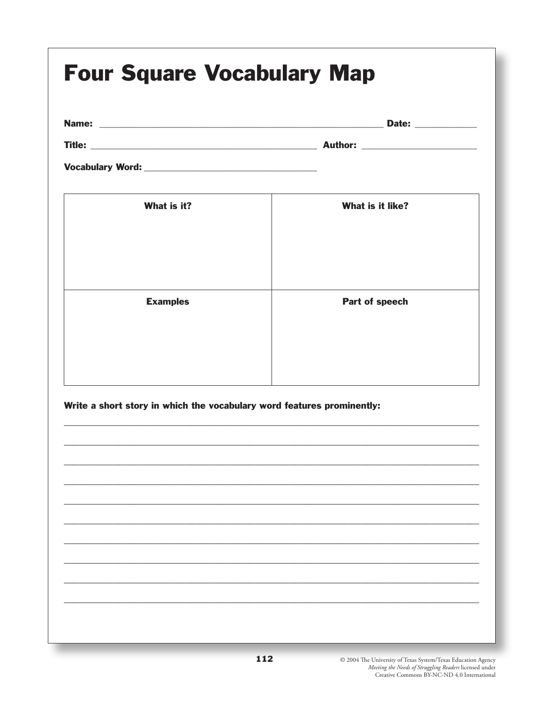| What is it?                                                            | What is it like? |
|------------------------------------------------------------------------|------------------|
| <b>Examples</b>                                                        | Part of speech   |
|                                                                        |                  |
| Write a short story in which the vocabulary word features prominently: |                  |
|                                                                        |                  |
|                                                                        |                  |
|                                                                        |                  |
|                                                                        |                  |
|                                                                        |                  |
|                                                                        |                  |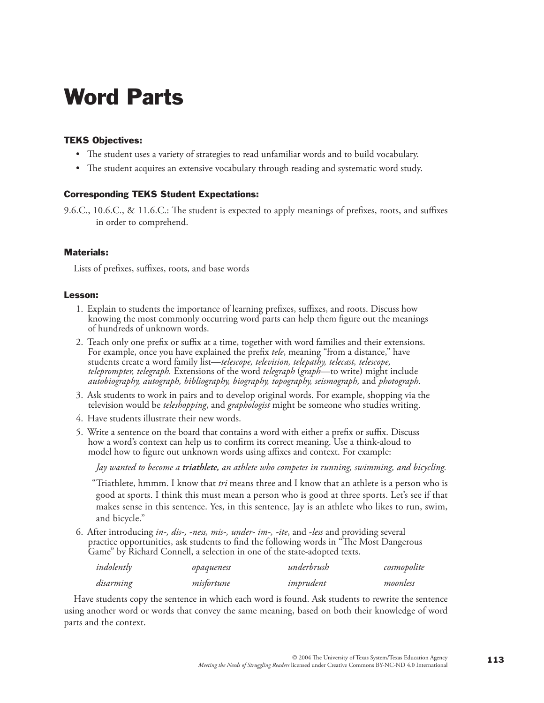# Word Parts

# TEKS Objectives:

- The student uses a variety of strategies to read unfamiliar words and to build vocabulary.
- The student acquires an extensive vocabulary through reading and systematic word study.

## Corresponding TEKS Student Expectations:

9.6.C., 10.6.C., & 11.6.C.: The student is expected to apply meanings of prefixes, roots, and suffixes in order to comprehend.

### Materials:

Lists of prefixes, suffixes, roots, and base words

#### Lesson:

- 1. Explain to students the importance of learning prefixes, suffixes, and roots. Discuss how knowing the most commonly occurring word parts can help them figure out the meanings of hundreds of unknown words.
- 2. Teach only one prefix or suffix at a time, together with word families and their extensions. For example, once you have explained the prefix *tele*, meaning "from a distance," have students create a word family list—*telescope, television, telepathy, telecast, telescope, teleprompter, telegraph.* Extensions of the word *telegraph* (*graph*—to write) might include *autobiography, autograph, bibliography, biography, topography, seismograph,* and *photograph.*
- 3. Ask students to work in pairs and to develop original words. For example, shopping via the television would be *teleshopping*, and *graphologist* might be someone who studies writing.
- 4. Have students illustrate their new words.
- 5. Write a sentence on the board that contains a word with either a prefix or suffix. Discuss how a word's context can help us to confirm its correct meaning. Use a think-aloud to model how to figure out unknown words using affixes and context. For example:

*Jay wanted to become a triathlete, an athlete who competes in running, swimming, and bicycling.*

"Triathlete, hmmm. I know that *tri* means three and I know that an athlete is a person who is good at sports. I think this must mean a person who is good at three sports. Let's see if that makes sense in this sentence. Yes, in this sentence, Jay is an athlete who likes to run, swim, and bicycle."

6. After introducing *in-, dis-, -ness, mis-, under- im-, -ite*, and -*less* and providing several practice opportunities, ask students to find the following words in "The Most Dangerous Game" by Richard Connell, a selection in one of the state-adopted texts.

| indolently | opaqueness | underbrush | cosmopolite |
|------------|------------|------------|-------------|
| disarming  | misfortune | imprudent  | moonless    |

Have students copy the sentence in which each word is found. Ask students to rewrite the sentence using another word or words that convey the same meaning, based on both their knowledge of word parts and the context.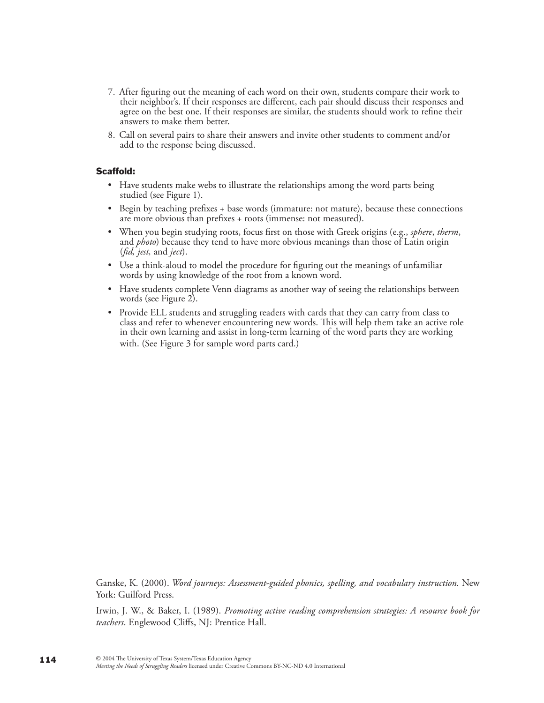- 7. After figuring out the meaning of each word on their own, students compare their work to their neighbor's. If their responses are different, each pair should discuss their responses and agree on the best one. If their responses are similar, the students should work to refine their answers to make them better.
- 8. Call on several pairs to share their answers and invite other students to comment and/or add to the response being discussed.

#### Scaffold:

- Have students make webs to illustrate the relationships among the word parts being studied (see Figure 1).
- Begin by teaching prefixes + base words (immature: not mature), because these connections are more obvious than prefixes + roots (immense: not measured).
- When you begin studying roots, focus first on those with Greek origins (e.g., *sphere*, *therm*, and *photo*) because they tend to have more obvious meanings than those of Latin origin (*fid, jest,* and *ject*).
- Use a think-aloud to model the procedure for figuring out the meanings of unfamiliar words by using knowledge of the root from a known word.
- Have students complete Venn diagrams as another way of seeing the relationships between words (see Figure 2).
- Provide ELL students and struggling readers with cards that they can carry from class to class and refer to whenever encountering new words. This will help them take an active role in their own learning and assist in long-term learning of the word parts they are working with. (See Figure 3 for sample word parts card.)

Ganske, K. (2000). *Word journeys: Assessment-guided phonics, spelling, and vocabulary instruction.* New York: Guilford Press.

Irwin, J. W., & Baker, I. (1989). *Promoting active reading comprehension strategies: A resource book for teachers*. Englewood Cliffs, NJ: Prentice Hall.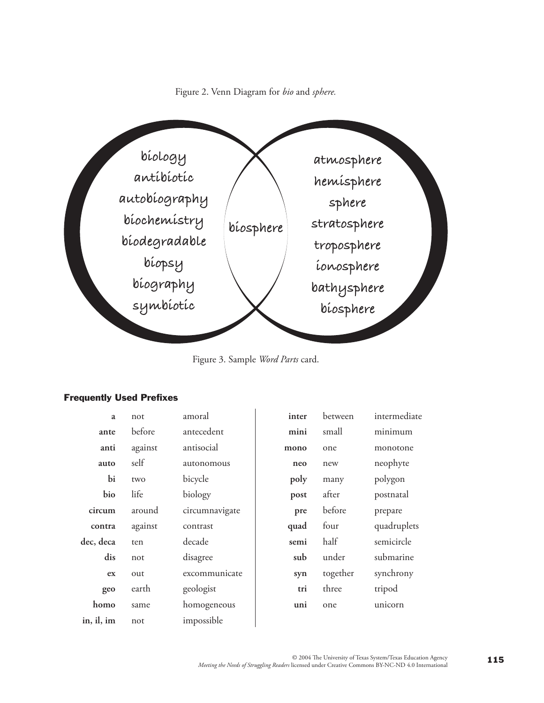

Figure 3. Sample *Word Parts* card.

## Frequently Used Prefixes

| a          | not     | amoral         | inter | between  | intermediate |
|------------|---------|----------------|-------|----------|--------------|
| ante       | before  | antecedent     | mini  | small    | minimum      |
| anti       | against | antisocial     | mono  | one      | monotone     |
| auto       | self    | autonomous     | neo   | new      | neophyte     |
| bi         | two     | bicycle        | poly  | many     | polygon      |
| bio        | life    | biology        | post  | after    | postnatal    |
| circum     | around  | circumnavigate | pre   | before   | prepare      |
| contra     | against | contrast       | quad  | four     | quadruplets  |
| dec, deca  | ten     | decade         | semi  | half     | semicircle   |
| dis        | not     | disagree       | sub   | under    | submarine    |
| ex         | out     | excommunicate  | syn   | together | synchrony    |
| geo        | earth   | geologist      | tri   | three    | tripod       |
| homo       | same    | homogeneous    | uni   | one      | unicorn      |
| in, il, im | not     | impossible     |       |          |              |

Figure 2. Venn Diagram for *bio* and *sphere.*